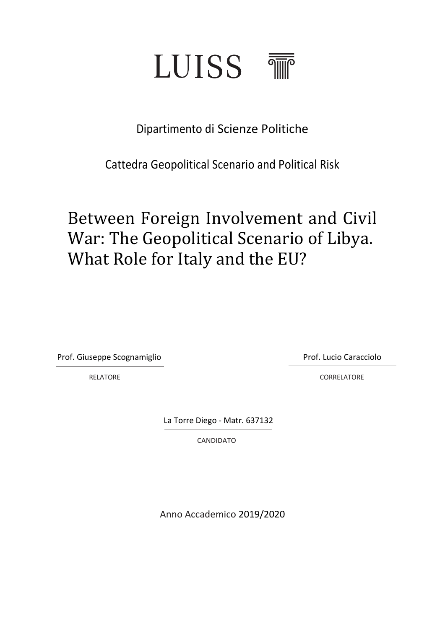

# Dipartimento di Scienze Politiche

Cattedra Geopolitical Scenario and Political Risk

# Between Foreign Involvement and Civil War: The Geopolitical Scenario of Libya. What Role for Italy and the EU?

Prof. Giuseppe Scognamiglio Prof. Lucio Caracciolo

RELATORE **CORRELATORE CORRELATORE** 

La Torre Diego - Matr. 637132

CANDIDATO

Anno Accademico 2019/2020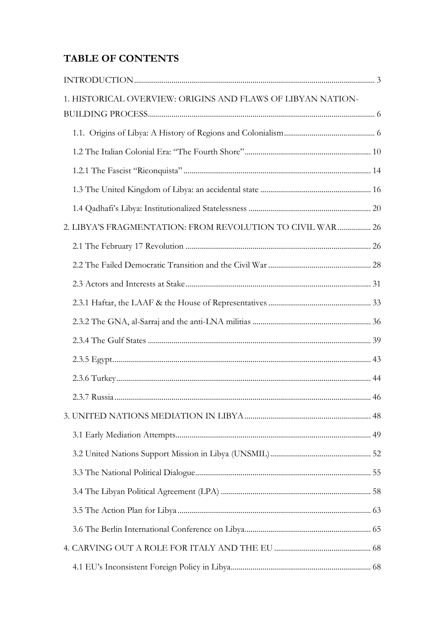# **TABLE OF CONTENTS**

| 1. HISTORICAL OVERVIEW: ORIGINS AND FLAWS OF LIBYAN NATION- |  |
|-------------------------------------------------------------|--|
|                                                             |  |
|                                                             |  |
|                                                             |  |
|                                                             |  |
|                                                             |  |
|                                                             |  |
| 2. LIBYA'S FRAGMENTATION: FROM REVOLUTION TO CIVIL WAR 26   |  |
|                                                             |  |
|                                                             |  |
|                                                             |  |
|                                                             |  |
|                                                             |  |
|                                                             |  |
|                                                             |  |
|                                                             |  |
|                                                             |  |
|                                                             |  |
|                                                             |  |
|                                                             |  |
|                                                             |  |
|                                                             |  |
|                                                             |  |
|                                                             |  |
|                                                             |  |
|                                                             |  |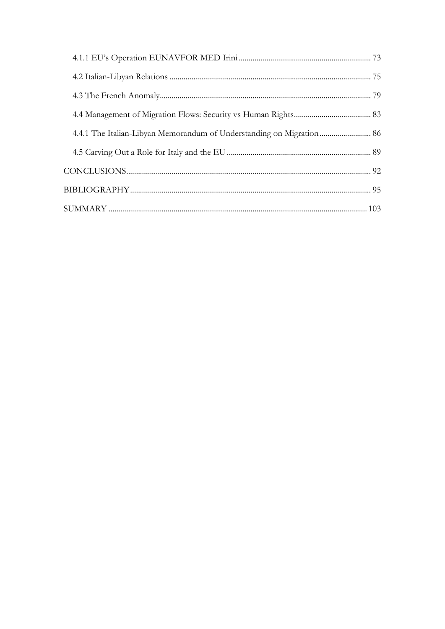<span id="page-2-0"></span>

| 4.4.1 The Italian-Libyan Memorandum of Understanding on Migration  86 |  |
|-----------------------------------------------------------------------|--|
|                                                                       |  |
|                                                                       |  |
|                                                                       |  |
|                                                                       |  |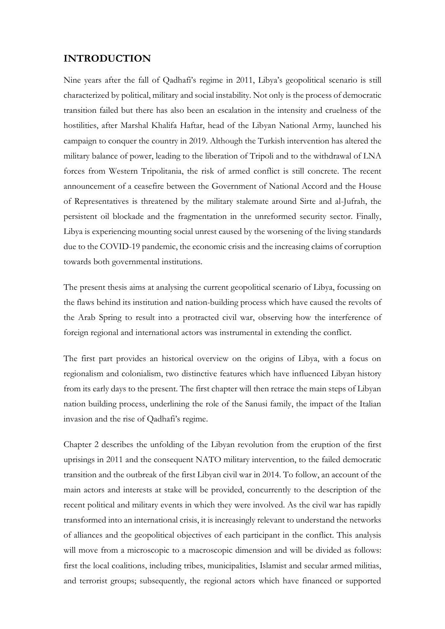## **INTRODUCTION**

Nine years after the fall of Qadhafi's regime in 2011, Libya's geopolitical scenario is still characterized by political, military and social instability. Not only is the process of democratic transition failed but there has also been an escalation in the intensity and cruelness of the hostilities, after Marshal Khalifa Haftar, head of the Libyan National Army, launched his campaign to conquer the country in 2019. Although the Turkish intervention has altered the military balance of power, leading to the liberation of Tripoli and to the withdrawal of LNA forces from Western Tripolitania, the risk of armed conflict is still concrete. The recent announcement of a ceasefire between the Government of National Accord and the House of Representatives is threatened by the military stalemate around Sirte and al-Jufrah, the persistent oil blockade and the fragmentation in the unreformed security sector. Finally, Libya is experiencing mounting social unrest caused by the worsening of the living standards due to the COVID-19 pandemic, the economic crisis and the increasing claims of corruption towards both governmental institutions.

The present thesis aims at analysing the current geopolitical scenario of Libya, focussing on the flaws behind its institution and nation-building process which have caused the revolts of the Arab Spring to result into a protracted civil war, observing how the interference of foreign regional and international actors was instrumental in extending the conflict.

The first part provides an historical overview on the origins of Libya, with a focus on regionalism and colonialism, two distinctive features which have influenced Libyan history from its early days to the present. The first chapter will then retrace the main steps of Libyan nation building process, underlining the role of the Sanusi family, the impact of the Italian invasion and the rise of Qadhafi's regime.

Chapter 2 describes the unfolding of the Libyan revolution from the eruption of the first uprisings in 2011 and the consequent NATO military intervention, to the failed democratic transition and the outbreak of the first Libyan civil war in 2014. To follow, an account of the main actors and interests at stake will be provided, concurrently to the description of the recent political and military events in which they were involved. As the civil war has rapidly transformed into an international crisis, it is increasingly relevant to understand the networks of alliances and the geopolitical objectives of each participant in the conflict. This analysis will move from a microscopic to a macroscopic dimension and will be divided as follows: first the local coalitions, including tribes, municipalities, Islamist and secular armed militias, and terrorist groups; subsequently, the regional actors which have financed or supported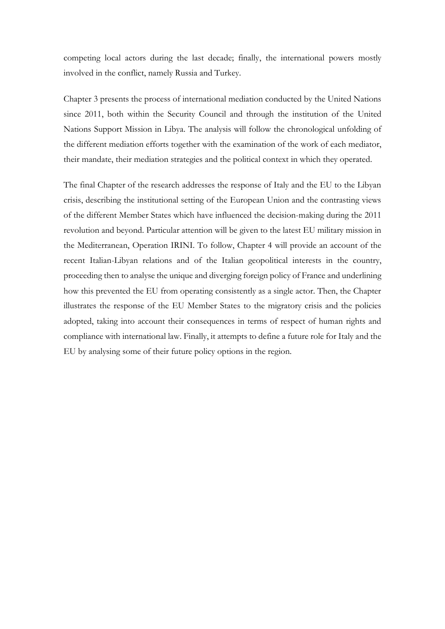competing local actors during the last decade; finally, the international powers mostly involved in the conflict, namely Russia and Turkey.

Chapter 3 presents the process of international mediation conducted by the United Nations since 2011, both within the Security Council and through the institution of the United Nations Support Mission in Libya. The analysis will follow the chronological unfolding of the different mediation efforts together with the examination of the work of each mediator, their mandate, their mediation strategies and the political context in which they operated.

The final Chapter of the research addresses the response of Italy and the EU to the Libyan crisis, describing the institutional setting of the European Union and the contrasting views of the different Member States which have influenced the decision-making during the 2011 revolution and beyond. Particular attention will be given to the latest EU military mission in the Mediterranean, Operation IRINI. To follow, Chapter 4 will provide an account of the recent Italian-Libyan relations and of the Italian geopolitical interests in the country, proceeding then to analyse the unique and diverging foreign policy of France and underlining how this prevented the EU from operating consistently as a single actor. Then, the Chapter illustrates the response of the EU Member States to the migratory crisis and the policies adopted, taking into account their consequences in terms of respect of human rights and compliance with international law. Finally, it attempts to define a future role for Italy and the EU by analysing some of their future policy options in the region.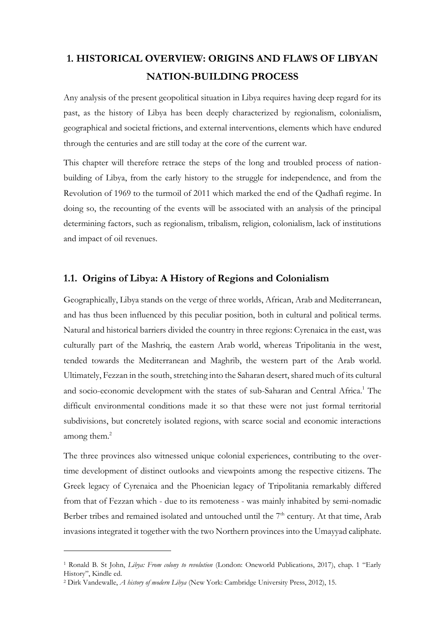# <span id="page-5-0"></span>**1. HISTORICAL OVERVIEW: ORIGINS AND FLAWS OF LIBYAN NATION-BUILDING PROCESS**

Any analysis of the present geopolitical situation in Libya requires having deep regard for its past, as the history of Libya has been deeply characterized by regionalism, colonialism, geographical and societal frictions, and external interventions, elements which have endured through the centuries and are still today at the core of the current war.

This chapter will therefore retrace the steps of the long and troubled process of nationbuilding of Libya, from the early history to the struggle for independence, and from the Revolution of 1969 to the turmoil of 2011 which marked the end of the Qadhafi regime. In doing so, the recounting of the events will be associated with an analysis of the principal determining factors, such as regionalism, tribalism, religion, colonialism, lack of institutions and impact of oil revenues.

# <span id="page-5-1"></span>**1.1. Origins of Libya: A History of Regions and Colonialism**

Geographically, Libya stands on the verge of three worlds, African, Arab and Mediterranean, and has thus been influenced by this peculiar position, both in cultural and political terms. Natural and historical barriers divided the country in three regions: Cyrenaica in the east, was culturally part of the Mashriq, the eastern Arab world, whereas Tripolitania in the west, tended towards the Mediterranean and Maghrib, the western part of the Arab world. Ultimately, Fezzan in the south, stretching into the Saharan desert, shared much of its cultural and socio-economic development with the states of sub-Saharan and Central Africa.<sup>1</sup> The difficult environmental conditions made it so that these were not just formal territorial subdivisions, but concretely isolated regions, with scarce social and economic interactions among them. $2$ 

The three provinces also witnessed unique colonial experiences, contributing to the overtime development of distinct outlooks and viewpoints among the respective citizens. The Greek legacy of Cyrenaica and the Phoenician legacy of Tripolitania remarkably differed from that of Fezzan which - due to its remoteness - was mainly inhabited by semi-nomadic Berber tribes and remained isolated and untouched until the  $7<sup>th</sup>$  century. At that time, Arab invasions integrated it together with the two Northern provinces into the Umayyad caliphate.

<sup>1</sup> Ronald B. St John, *Libya: From colony to revolution* (London: Oneworld Publications, 2017), chap. 1 "Early History", Kindle ed.

<sup>2</sup> Dirk Vandewalle, *A history of modern Libya* (New York: Cambridge University Press, 2012), 15.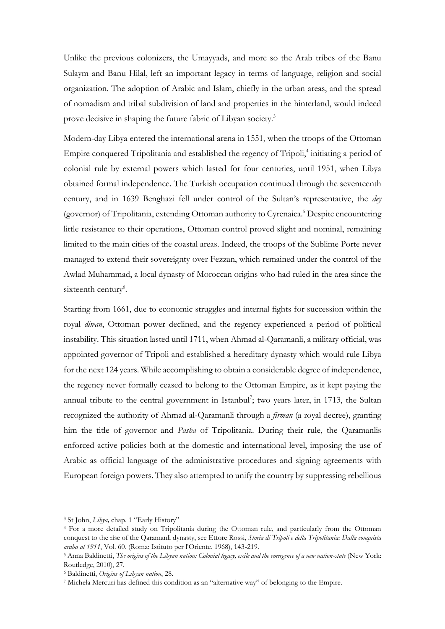Unlike the previous colonizers, the Umayyads, and more so the Arab tribes of the Banu Sulaym and Banu Hilal, left an important legacy in terms of language, religion and social organization. The adoption of Arabic and Islam, chiefly in the urban areas, and the spread of nomadism and tribal subdivision of land and properties in the hinterland, would indeed prove decisive in shaping the future fabric of Libyan society.<sup>3</sup>

Modern-day Libya entered the international arena in 1551, when the troops of the Ottoman Empire conquered Tripolitania and established the regency of Tripoli,<sup>4</sup> initiating a period of colonial rule by external powers which lasted for four centuries, until 1951, when Libya obtained formal independence. The Turkish occupation continued through the seventeenth century, and in 1639 Benghazi fell under control of the Sultan's representative, the *dey*  (governor) of Tripolitania, extending Ottoman authority to Cyrenaica.<sup>5</sup> Despite encountering little resistance to their operations, Ottoman control proved slight and nominal, remaining limited to the main cities of the coastal areas. Indeed, the troops of the Sublime Porte never managed to extend their sovereignty over Fezzan, which remained under the control of the Awlad Muhammad, a local dynasty of Moroccan origins who had ruled in the area since the sixteenth century<sup>6</sup>.

Starting from 1661, due to economic struggles and internal fights for succession within the royal *diwan*, Ottoman power declined, and the regency experienced a period of political instability. This situation lasted until 1711, when Ahmad al-Qaramanli, a military official, was appointed governor of Tripoli and established a hereditary dynasty which would rule Libya for the next 124 years. While accomplishing to obtain a considerable degree of independence, the regency never formally ceased to belong to the Ottoman Empire, as it kept paying the annual tribute to the central government in Istanbul<sup>7</sup>; two years later, in 1713, the Sultan recognized the authority of Ahmad al-Qaramanli through a *firman* (a royal decree), granting him the title of governor and *Pasha* of Tripolitania. During their rule, the Qaramanlis enforced active policies both at the domestic and international level, imposing the use of Arabic as official language of the administrative procedures and signing agreements with European foreign powers. They also attempted to unify the country by suppressing rebellious

<sup>3</sup> St John, *Libya,* chap. 1 "Early History"

<sup>4</sup> For a more detailed study on Tripolitania during the Ottoman rule, and particularly from the Ottoman conquest to the rise of the Qaramanli dynasty, see Ettore Rossi, *Storia di Tripoli e della Tripolitania: Dalla conquista araba al 1911*, Vol. 60, (Roma: Istituto per l'Oriente, 1968), 143-219.

<sup>5</sup> Anna Baldinetti, *The origins of the Libyan nation: Colonial legacy, exile and the emergence of a new nation-state* (New York: Routledge, 2010), 27.

<sup>6</sup> Baldinetti, *Origins of Libyan nation*, 28.

<sup>7</sup> Michela Mercuri has defined this condition as an "alternative way" of belonging to the Empire.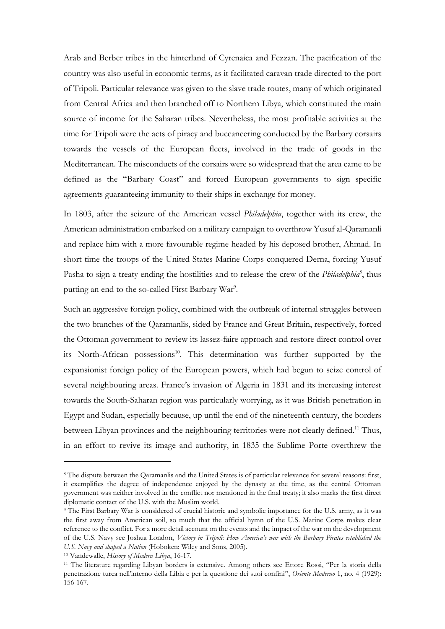Arab and Berber tribes in the hinterland of Cyrenaica and Fezzan. The pacification of the country was also useful in economic terms, as it facilitated caravan trade directed to the port of Tripoli. Particular relevance was given to the slave trade routes, many of which originated from Central Africa and then branched off to Northern Libya, which constituted the main source of income for the Saharan tribes. Nevertheless, the most profitable activities at the time for Tripoli were the acts of piracy and buccaneering conducted by the Barbary corsairs towards the vessels of the European fleets, involved in the trade of goods in the Mediterranean. The misconducts of the corsairs were so widespread that the area came to be defined as the "Barbary Coast" and forced European governments to sign specific agreements guaranteeing immunity to their ships in exchange for money.

In 1803, after the seizure of the American vessel *Philadelphia*, together with its crew, the American administration embarked on a military campaign to overthrow Yusuf al-Qaramanli and replace him with a more favourable regime headed by his deposed brother, Ahmad. In short time the troops of the United States Marine Corps conquered Derna, forcing Yusuf Pasha to sign a treaty ending the hostilities and to release the crew of the *Philadelphia<sup>8</sup>*, thus putting an end to the so-called First Barbary War<sup>9</sup>.

Such an aggressive foreign policy, combined with the outbreak of internal struggles between the two branches of the Qaramanlis, sided by France and Great Britain, respectively, forced the Ottoman government to review its lassez-faire approach and restore direct control over its North-African possessions<sup>10</sup>. This determination was further supported by the expansionist foreign policy of the European powers, which had begun to seize control of several neighbouring areas. France's invasion of Algeria in 1831 and its increasing interest towards the South-Saharan region was particularly worrying, as it was British penetration in Egypt and Sudan, especially because, up until the end of the nineteenth century, the borders between Libyan provinces and the neighbouring territories were not clearly defined.<sup>11</sup> Thus, in an effort to revive its image and authority, in 1835 the Sublime Porte overthrew the

<sup>8</sup> The dispute between the Qaramanlis and the United States is of particular relevance for several reasons: first, it exemplifies the degree of independence enjoyed by the dynasty at the time, as the central Ottoman government was neither involved in the conflict nor mentioned in the final treaty; it also marks the first direct diplomatic contact of the U.S. with the Muslim world.

<sup>9</sup> The First Barbary War is considered of crucial historic and symbolic importance for the U.S. army, as it was the first away from American soil, so much that the official hymn of the U.S. Marine Corps makes clear reference to the conflict. For a more detail account on the events and the impact of the war on the development of the U.S. Navy see Joshua London, *Victory in Tripoli: How America's war with the Barbary Pirates established the U.S. Navy and shaped a Nation* (Hoboken: Wiley and Sons, 2005).

<sup>10</sup> Vandewalle, *History of Modern Libya*, 16-17.

<sup>11</sup> The literature regarding Libyan borders is extensive. Among others see Ettore Rossi, "Per la storia della penetrazione turca nell'interno della Libia e per la questione dei suoi confini", *Oriente Moderno* 1, no. 4 (1929): 156-167.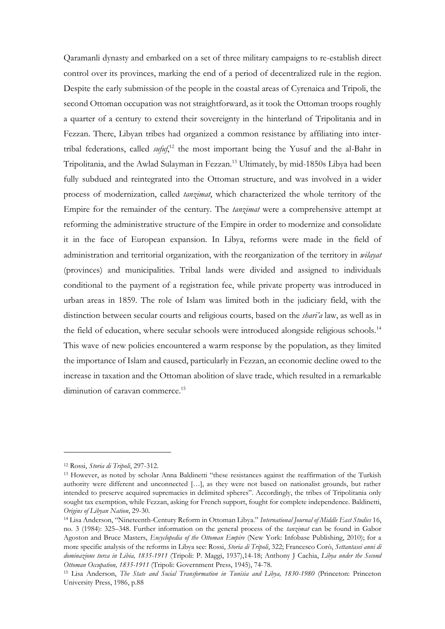Qaramanli dynasty and embarked on a set of three military campaigns to re-establish direct control over its provinces, marking the end of a period of decentralized rule in the region. Despite the early submission of the people in the coastal areas of Cyrenaica and Tripoli, the second Ottoman occupation was not straightforward, as it took the Ottoman troops roughly a quarter of a century to extend their sovereignty in the hinterland of Tripolitania and in Fezzan. There, Libyan tribes had organized a common resistance by affiliating into intertribal federations, called *sufuf*,<sup>12</sup> the most important being the Yusuf and the al-Bahr in Tripolitania, and the Awlad Sulayman in Fezzan.<sup>13</sup> Ultimately, by mid-1850s Libya had been fully subdued and reintegrated into the Ottoman structure, and was involved in a wider process of modernization, called *tanzimat*, which characterized the whole territory of the Empire for the remainder of the century. The *tanzimat* were a comprehensive attempt at reforming the administrative structure of the Empire in order to modernize and consolidate it in the face of European expansion. In Libya, reforms were made in the field of administration and territorial organization, with the reorganization of the territory in *wilayat* (provinces) and municipalities. Tribal lands were divided and assigned to individuals conditional to the payment of a registration fee, while private property was introduced in urban areas in 1859. The role of Islam was limited both in the judiciary field, with the distinction between secular courts and religious courts, based on the *shari'a* law, as well as in the field of education, where secular schools were introduced alongside religious schools.<sup>14</sup> This wave of new policies encountered a warm response by the population, as they limited the importance of Islam and caused, particularly in Fezzan, an economic decline owed to the increase in taxation and the Ottoman abolition of slave trade, which resulted in a remarkable diminution of caravan commerce.<sup>15</sup>

<sup>12</sup> Rossi, *Storia di Tripoli*, 297-312.

<sup>13</sup> However, as noted by scholar Anna Baldinetti "these resistances against the reaffirmation of the Turkish authority were different and unconnected […], as they were not based on nationalist grounds, but rather intended to preserve acquired supremacies in delimited spheres". Accordingly, the tribes of Tripolitania only sought tax exemption, while Fezzan, asking for French support, fought for complete independence. Baldinetti, *Origins of Libyan Nation*, 29-30.

<sup>14</sup> Lisa Anderson, "Nineteenth-Century Reform in Ottoman Libya." *International Journal of Middle East Studies* 16, no. 3 (1984): 325–348. Further information on the general process of the *tanzimat* can be found in Gabor Agoston and Bruce Masters, *Encyclopedia of the Ottoman Empire* (New York: Infobase Publishing, 2010); for a more specific analysis of the reforms in Libya see: Rossi, *Storia di Tripoli*, 322; Francesco Corò, *Settantasei anni di dominazione turca in Libia, 1835-1911* (Tripoli: P. Maggi, 1937),14-18; Anthony J Cachia, *Libya under the Second Ottoman Occupation, 1835-1911* (Tripoli: Government Press, 1945), 74-78.

<sup>15</sup> Lisa Anderson, *The State and Social Transformation in Tunisia and Libya, 1830-1980* (Princeton: Princeton University Press, 1986, p.88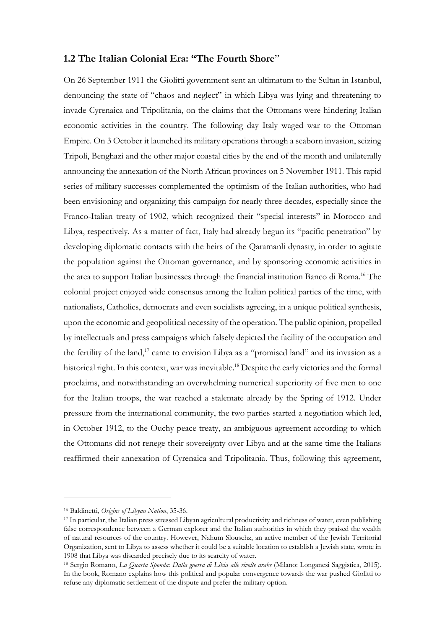#### <span id="page-9-0"></span>**1.2 The Italian Colonial Era: "The Fourth Shore**"

On 26 September 1911 the Giolitti government sent an ultimatum to the Sultan in Istanbul, denouncing the state of "chaos and neglect" in which Libya was lying and threatening to invade Cyrenaica and Tripolitania, on the claims that the Ottomans were hindering Italian economic activities in the country. The following day Italy waged war to the Ottoman Empire. On 3 October it launched its military operations through a seaborn invasion, seizing Tripoli, Benghazi and the other major coastal cities by the end of the month and unilaterally announcing the annexation of the North African provinces on 5 November 1911. This rapid series of military successes complemented the optimism of the Italian authorities, who had been envisioning and organizing this campaign for nearly three decades, especially since the Franco-Italian treaty of 1902, which recognized their "special interests" in Morocco and Libya, respectively. As a matter of fact, Italy had already begun its "pacific penetration" by developing diplomatic contacts with the heirs of the Qaramanli dynasty, in order to agitate the population against the Ottoman governance, and by sponsoring economic activities in the area to support Italian businesses through the financial institution Banco di Roma.<sup>16</sup> The colonial project enjoyed wide consensus among the Italian political parties of the time, with nationalists, Catholics, democrats and even socialists agreeing, in a unique political synthesis, upon the economic and geopolitical necessity of the operation. The public opinion, propelled by intellectuals and press campaigns which falsely depicted the facility of the occupation and the fertility of the land,<sup>17</sup> came to envision Libya as a "promised land" and its invasion as a historical right. In this context, war was inevitable.<sup>18</sup> Despite the early victories and the formal proclaims, and notwithstanding an overwhelming numerical superiority of five men to one for the Italian troops, the war reached a stalemate already by the Spring of 1912. Under pressure from the international community, the two parties started a negotiation which led, in October 1912, to the Ouchy peace treaty, an ambiguous agreement according to which the Ottomans did not renege their sovereignty over Libya and at the same time the Italians reaffirmed their annexation of Cyrenaica and Tripolitania. Thus, following this agreement,

<sup>16</sup> Baldinetti, *Origins of Libyan Nation*, 35-36.

<sup>17</sup> In particular, the Italian press stressed Libyan agricultural productivity and richness of water, even publishing false correspondence between a German explorer and the Italian authorities in which they praised the wealth of natural resources of the country. However, Nahum Slouschz, an active member of the Jewish Territorial Organization, sent to Libya to assess whether it could be a suitable location to establish a Jewish state, wrote in 1908 that Libya was discarded precisely due to its scarcity of water.

<sup>18</sup> Sergio Romano, *La Quarta Sponda: Dalla guerra di Libia alle rivolte arabe* (Milano: Longanesi Saggistica, 2015). In the book, Romano explains how this political and popular convergence towards the war pushed Giolitti to refuse any diplomatic settlement of the dispute and prefer the military option.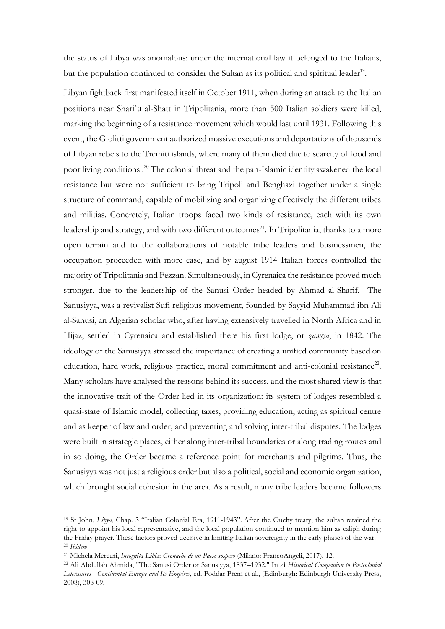the status of Libya was anomalous: under the international law it belonged to the Italians, but the population continued to consider the Sultan as its political and spiritual leader<sup>19</sup>.

Libyan fightback first manifested itself in October 1911, when during an attack to the Italian positions near Shariʿa al-Shatt in Tripolitania, more than 500 Italian soldiers were killed, marking the beginning of a resistance movement which would last until 1931. Following this event, the Giolitti government authorized massive executions and deportations of thousands of Libyan rebels to the Tremiti islands, where many of them died due to scarcity of food and poor living conditions .<sup>20</sup> The colonial threat and the pan-Islamic identity awakened the local resistance but were not sufficient to bring Tripoli and Benghazi together under a single structure of command, capable of mobilizing and organizing effectively the different tribes and militias. Concretely, Italian troops faced two kinds of resistance, each with its own leadership and strategy, and with two different outcomes<sup>21</sup>. In Tripolitania, thanks to a more open terrain and to the collaborations of notable tribe leaders and businessmen, the occupation proceeded with more ease, and by august 1914 Italian forces controlled the majority of Tripolitania and Fezzan. Simultaneously, in Cyrenaica the resistance proved much stronger, due to the leadership of the Sanusi Order headed by Ahmad al-Sharif. The Sanusiyya, was a revivalist Sufi religious movement, founded by Sayyid Muhammad ibn Ali al-Sanusi, an Algerian scholar who, after having extensively travelled in North Africa and in Hijaz, settled in Cyrenaica and established there his first lodge, or *zawiya*, in 1842. The ideology of the Sanusiyya stressed the importance of creating a unified community based on education, hard work, religious practice, moral commitment and anti-colonial resistance<sup>22</sup>. Many scholars have analysed the reasons behind its success, and the most shared view is that the innovative trait of the Order lied in its organization: its system of lodges resembled a quasi-state of Islamic model, collecting taxes, providing education, acting as spiritual centre and as keeper of law and order, and preventing and solving inter-tribal disputes. The lodges were built in strategic places, either along inter-tribal boundaries or along trading routes and in so doing, the Order became a reference point for merchants and pilgrims. Thus, the Sanusiyya was not just a religious order but also a political, social and economic organization, which brought social cohesion in the area. As a result, many tribe leaders became followers

<sup>19</sup> St John, *Libya*, Chap. 3 "Italian Colonial Era, 1911-1943". After the Ouchy treaty, the sultan retained the right to appoint his local representative, and the local population continued to mention him as caliph during the Friday prayer. These factors proved decisive in limiting Italian sovereignty in the early phases of the war. <sup>20</sup> *Ibidem* 

<sup>21</sup> Michela Mercuri, *Incognita Libia: Cronache di un Paese sospeso* (Milano: FrancoAngeli, 2017), 12.

<sup>22</sup> Ali Abdullah Ahmida, "The Sanusi Order or Sanusiyya, 1837–1932." In *A Historical Companion to Postcolonial Literatures - Continental Europe and Its Empires*, ed. Poddar Prem et al., (Edinburgh: Edinburgh University Press, 2008), 308-09.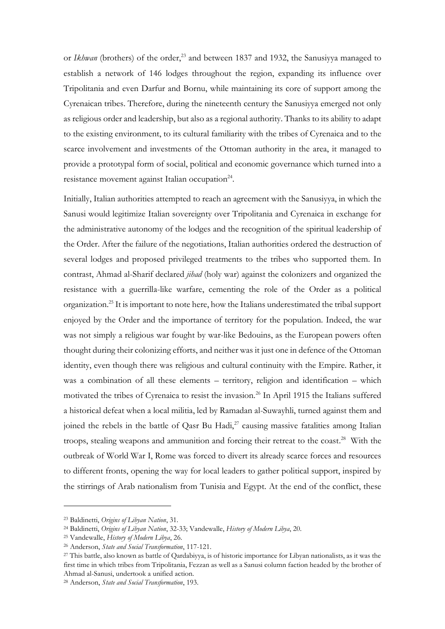or *Ikhwan* (brothers) of the order,<sup>23</sup> and between 1837 and 1932, the Sanusiyya managed to establish a network of 146 lodges throughout the region, expanding its influence over Tripolitania and even Darfur and Bornu, while maintaining its core of support among the Cyrenaican tribes. Therefore, during the nineteenth century the Sanusiyya emerged not only as religious order and leadership, but also as a regional authority. Thanks to its ability to adapt to the existing environment, to its cultural familiarity with the tribes of Cyrenaica and to the scarce involvement and investments of the Ottoman authority in the area, it managed to provide a prototypal form of social, political and economic governance which turned into a resistance movement against Italian occupation<sup>24</sup>.

Initially, Italian authorities attempted to reach an agreement with the Sanusiyya, in which the Sanusi would legitimize Italian sovereignty over Tripolitania and Cyrenaica in exchange for the administrative autonomy of the lodges and the recognition of the spiritual leadership of the Order. After the failure of the negotiations, Italian authorities ordered the destruction of several lodges and proposed privileged treatments to the tribes who supported them. In contrast, Ahmad al-Sharif declared *jihad* (holy war) against the colonizers and organized the resistance with a guerrilla-like warfare, cementing the role of the Order as a political organization.<sup>25</sup> It is important to note here, how the Italians underestimated the tribal support enjoyed by the Order and the importance of territory for the population. Indeed, the war was not simply a religious war fought by war-like Bedouins, as the European powers often thought during their colonizing efforts, and neither was it just one in defence of the Ottoman identity, even though there was religious and cultural continuity with the Empire. Rather, it was a combination of all these elements – territory, religion and identification – which motivated the tribes of Cyrenaica to resist the invasion.<sup>26</sup> In April 1915 the Italians suffered a historical defeat when a local militia, led by Ramadan al-Suwayhli, turned against them and joined the rebels in the battle of Qasr Bu Hadi, $27$  causing massive fatalities among Italian troops, stealing weapons and ammunition and forcing their retreat to the coast.<sup>28</sup> With the outbreak of World War I, Rome was forced to divert its already scarce forces and resources to different fronts, opening the way for local leaders to gather political support, inspired by the stirrings of Arab nationalism from Tunisia and Egypt. At the end of the conflict, these

<sup>23</sup> Baldinetti, *Origins of Libyan Nation*, 31.

<sup>24</sup> Baldinetti, *Origins of Libyan Nation*, 32-33; Vandewalle, *History of Modern Libya*, 20.

<sup>25</sup> Vandewalle, *History of Modern Libya*, 26.

<sup>26</sup> Anderson, *State and Social Transformation*, 117-121.

<sup>27</sup> This battle, also known as battle of Qardabiyya, is of historic importance for Libyan nationalists, as it was the first time in which tribes from Tripolitania, Fezzan as well as a Sanusi column faction headed by the brother of Ahmad al-Sanusi, undertook a unified action.

<sup>28</sup> Anderson, *State and Social Transformation*, 193.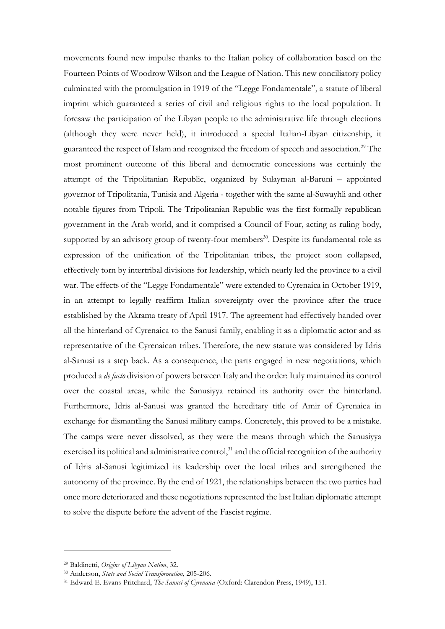movements found new impulse thanks to the Italian policy of collaboration based on the Fourteen Points of Woodrow Wilson and the League of Nation. This new conciliatory policy culminated with the promulgation in 1919 of the "Legge Fondamentale", a statute of liberal imprint which guaranteed a series of civil and religious rights to the local population. It foresaw the participation of the Libyan people to the administrative life through elections (although they were never held), it introduced a special Italian-Libyan citizenship, it guaranteed the respect of Islam and recognized the freedom of speech and association.<sup>29</sup> The most prominent outcome of this liberal and democratic concessions was certainly the attempt of the Tripolitanian Republic, organized by Sulayman al-Baruni – appointed governor of Tripolitania, Tunisia and Algeria - together with the same al-Suwayhli and other notable figures from Tripoli. The Tripolitanian Republic was the first formally republican government in the Arab world, and it comprised a Council of Four, acting as ruling body, supported by an advisory group of twenty-four members<sup>30</sup>. Despite its fundamental role as expression of the unification of the Tripolitanian tribes, the project soon collapsed, effectively torn by intertribal divisions for leadership, which nearly led the province to a civil war. The effects of the "Legge Fondamentale" were extended to Cyrenaica in October 1919, in an attempt to legally reaffirm Italian sovereignty over the province after the truce established by the Akrama treaty of April 1917. The agreement had effectively handed over all the hinterland of Cyrenaica to the Sanusi family, enabling it as a diplomatic actor and as representative of the Cyrenaican tribes. Therefore, the new statute was considered by Idris al-Sanusi as a step back. As a consequence, the parts engaged in new negotiations, which produced a *de facto* division of powers between Italy and the order: Italy maintained its control over the coastal areas, while the Sanusiyya retained its authority over the hinterland. Furthermore, Idris al-Sanusi was granted the hereditary title of Amir of Cyrenaica in exchange for dismantling the Sanusi military camps. Concretely, this proved to be a mistake. The camps were never dissolved, as they were the means through which the Sanusiyya exercised its political and administrative control, $31$  and the official recognition of the authority of Idris al-Sanusi legitimized its leadership over the local tribes and strengthened the autonomy of the province. By the end of 1921, the relationships between the two parties had once more deteriorated and these negotiations represented the last Italian diplomatic attempt to solve the dispute before the advent of the Fascist regime.

<sup>29</sup> Baldinetti, *Origins of Libyan Nation*, 32.

<sup>30</sup> Anderson, *State and Social Transformation*, 205-206.

<sup>31</sup> Edward E. Evans-Pritchard, *The Sanusi of Cyrenaica* (Oxford: Clarendon Press, 1949), 151.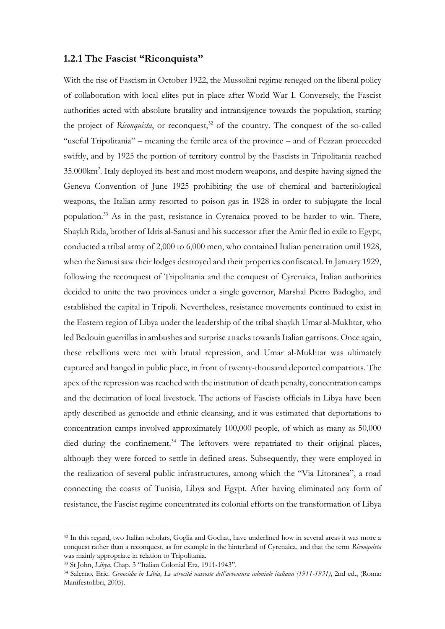#### <span id="page-13-0"></span>**1.2.1 The Fascist "Riconquista"**

With the rise of Fascism in October 1922, the Mussolini regime reneged on the liberal policy of collaboration with local elites put in place after World War I. Conversely, the Fascist authorities acted with absolute brutality and intransigence towards the population, starting the project of *Riconquista*, or reconquest,<sup>32</sup> of the country. The conquest of the so-called "useful Tripolitania" – meaning the fertile area of the province – and of Fezzan proceeded swiftly, and by 1925 the portion of territory control by the Fascists in Tripolitania reached 35.000km<sup>2</sup> . Italy deployed its best and most modern weapons, and despite having signed the Geneva Convention of June 1925 prohibiting the use of chemical and bacteriological weapons, the Italian army resorted to poison gas in 1928 in order to subjugate the local population.<sup>33</sup> As in the past, resistance in Cyrenaica proved to be harder to win. There, Shaykh Rida, brother of Idris al-Sanusi and his successor after the Amir fled in exile to Egypt, conducted a tribal army of 2,000 to 6,000 men, who contained Italian penetration until 1928, when the Sanusi saw their lodges destroyed and their properties confiscated. In January 1929, following the reconquest of Tripolitania and the conquest of Cyrenaica, Italian authorities decided to unite the two provinces under a single governor, Marshal Pietro Badoglio, and established the capital in Tripoli. Nevertheless, resistance movements continued to exist in the Eastern region of Libya under the leadership of the tribal shaykh Umar al-Mukhtar, who led Bedouin guerrillas in ambushes and surprise attacks towards Italian garrisons. Once again, these rebellions were met with brutal repression, and Umar al-Mukhtar was ultimately captured and hanged in public place, in front of twenty-thousand deported compatriots. The apex of the repression was reached with the institution of death penalty, concentration camps and the decimation of local livestock. The actions of Fascists officials in Libya have been aptly described as genocide and ethnic cleansing, and it was estimated that deportations to concentration camps involved approximately 100,000 people, of which as many as 50,000 died during the confinement.<sup>34</sup> The leftovers were repatriated to their original places, although they were forced to settle in defined areas. Subsequently, they were employed in the realization of several public infrastructures, among which the "Via Litoranea", a road connecting the coasts of Tunisia, Libya and Egypt. After having eliminated any form of resistance, the Fascist regime concentrated its colonial efforts on the transformation of Libya

<sup>32</sup> In this regard, two Italian scholars, Goglia and Gochat, have underlined how in several areas it was more a conquest rather than a reconquest, as for example in the hinterland of Cyrenaica, and that the term *Riconquista* was mainly appropriate in relation to Tripolitania.

<sup>33</sup> St John, *Libya*, Chap. 3 "Italian Colonial Era, 1911-1943".

<sup>34</sup> Salerno, Eric. *Genocidio in Libia, Le atrocità nascoste dell'avventura coloniale italiana (1911-1931)*, 2nd ed., (Roma: Manifestolibri, 2005).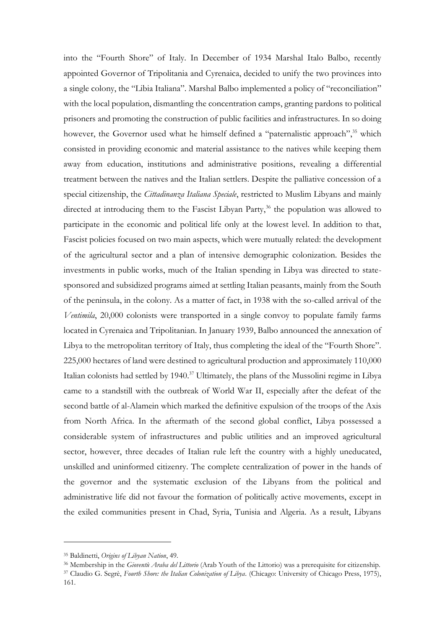into the "Fourth Shore" of Italy. In December of 1934 Marshal Italo Balbo, recently appointed Governor of Tripolitania and Cyrenaica, decided to unify the two provinces into a single colony, the "Libia Italiana". Marshal Balbo implemented a policy of "reconciliation" with the local population, dismantling the concentration camps, granting pardons to political prisoners and promoting the construction of public facilities and infrastructures. In so doing however, the Governor used what he himself defined a "paternalistic approach",<sup>35</sup> which consisted in providing economic and material assistance to the natives while keeping them away from education, institutions and administrative positions, revealing a differential treatment between the natives and the Italian settlers. Despite the palliative concession of a special citizenship, the *Cittadinanza Italiana Speciale*, restricted to Muslim Libyans and mainly directed at introducing them to the Fascist Libyan Party, $36$  the population was allowed to participate in the economic and political life only at the lowest level. In addition to that, Fascist policies focused on two main aspects, which were mutually related: the development of the agricultural sector and a plan of intensive demographic colonization. Besides the investments in public works, much of the Italian spending in Libya was directed to statesponsored and subsidized programs aimed at settling Italian peasants, mainly from the South of the peninsula, in the colony. As a matter of fact, in 1938 with the so-called arrival of the *Ventimila*, 20,000 colonists were transported in a single convoy to populate family farms located in Cyrenaica and Tripolitanian. In January 1939, Balbo announced the annexation of Libya to the metropolitan territory of Italy, thus completing the ideal of the "Fourth Shore". 225,000 hectares of land were destined to agricultural production and approximately 110,000 Italian colonists had settled by 1940.<sup>37</sup> Ultimately, the plans of the Mussolini regime in Libya came to a standstill with the outbreak of World War II, especially after the defeat of the second battle of al-Alamein which marked the definitive expulsion of the troops of the Axis from North Africa. In the aftermath of the second global conflict, Libya possessed a considerable system of infrastructures and public utilities and an improved agricultural sector, however, three decades of Italian rule left the country with a highly uneducated, unskilled and uninformed citizenry. The complete centralization of power in the hands of the governor and the systematic exclusion of the Libyans from the political and administrative life did not favour the formation of politically active movements, except in the exiled communities present in Chad, Syria, Tunisia and Algeria. As a result, Libyans

<sup>35</sup> Baldinetti, *Origins of Libyan Nation*, 49.

<sup>36</sup> Membership in the *Gioventù Araba del Littorio* (Arab Youth of the Littorio) was a prerequisite for citizenship.

<sup>37</sup> Claudio G. Segrè, *Fourth Shore: the Italian Colonization of Libya*. (Chicago: University of Chicago Press, 1975), 161.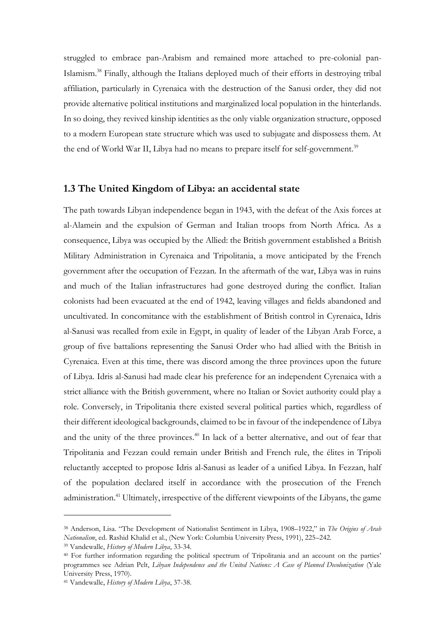struggled to embrace pan-Arabism and remained more attached to pre-colonial pan-Islamism.<sup>38</sup> Finally, although the Italians deployed much of their efforts in destroying tribal affiliation, particularly in Cyrenaica with the destruction of the Sanusi order, they did not provide alternative political institutions and marginalized local population in the hinterlands. In so doing, they revived kinship identities as the only viable organization structure, opposed to a modern European state structure which was used to subjugate and dispossess them. At the end of World War II, Libya had no means to prepare itself for self-government.<sup>39</sup>

#### <span id="page-15-0"></span>**1.3 The United Kingdom of Libya: an accidental state**

The path towards Libyan independence began in 1943, with the defeat of the Axis forces at al-Alamein and the expulsion of German and Italian troops from North Africa. As a consequence, Libya was occupied by the Allied: the British government established a British Military Administration in Cyrenaica and Tripolitania, a move anticipated by the French government after the occupation of Fezzan. In the aftermath of the war, Libya was in ruins and much of the Italian infrastructures had gone destroyed during the conflict. Italian colonists had been evacuated at the end of 1942, leaving villages and fields abandoned and uncultivated. In concomitance with the establishment of British control in Cyrenaica, Idris al-Sanusi was recalled from exile in Egypt, in quality of leader of the Libyan Arab Force, a group of five battalions representing the Sanusi Order who had allied with the British in Cyrenaica. Even at this time, there was discord among the three provinces upon the future of Libya. Idris al-Sanusi had made clear his preference for an independent Cyrenaica with a strict alliance with the British government, where no Italian or Soviet authority could play a role. Conversely, in Tripolitania there existed several political parties which, regardless of their different ideological backgrounds, claimed to be in favour of the independence of Libya and the unity of the three provinces.<sup>40</sup> In lack of a better alternative, and out of fear that Tripolitania and Fezzan could remain under British and French rule, the élites in Tripoli reluctantly accepted to propose Idris al-Sanusi as leader of a unified Libya. In Fezzan, half of the population declared itself in accordance with the prosecution of the French administration.<sup>41</sup> Ultimately, irrespective of the different viewpoints of the Libyans, the game

<sup>38</sup> Anderson, Lisa. "The Development of Nationalist Sentiment in Libya, 1908–1922," in *The Origins of Arab Nationalism*, ed. Rashid Khalid et al., (New York: Columbia University Press, 1991), 225–242.

<sup>39</sup> Vandewalle, *History of Modern Libya*, 33-34.

<sup>40</sup> For further information regarding the political spectrum of Tripolitania and an account on the parties' programmes see Adrian Pelt, *Libyan Independence and the United Nations: A Case of Planned Decolonization* (Yale University Press, 1970).

<sup>41</sup> Vandewalle, *History of Modern Libya*, 37-38.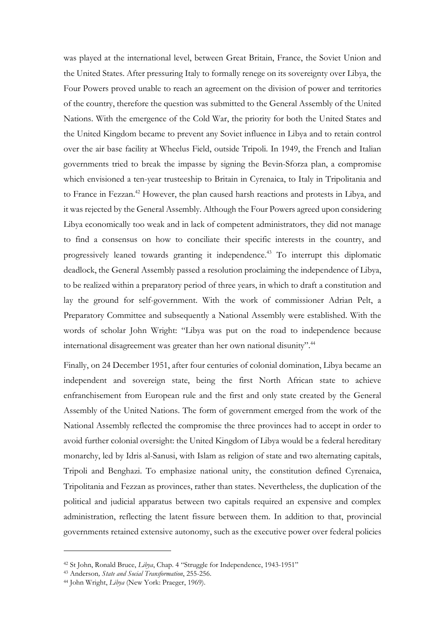was played at the international level, between Great Britain, France, the Soviet Union and the United States. After pressuring Italy to formally renege on its sovereignty over Libya, the Four Powers proved unable to reach an agreement on the division of power and territories of the country, therefore the question was submitted to the General Assembly of the United Nations. With the emergence of the Cold War, the priority for both the United States and the United Kingdom became to prevent any Soviet influence in Libya and to retain control over the air base facility at Wheelus Field, outside Tripoli. In 1949, the French and Italian governments tried to break the impasse by signing the Bevin-Sforza plan, a compromise which envisioned a ten-year trusteeship to Britain in Cyrenaica, to Italy in Tripolitania and to France in Fezzan.<sup>42</sup> However, the plan caused harsh reactions and protests in Libya, and it was rejected by the General Assembly. Although the Four Powers agreed upon considering Libya economically too weak and in lack of competent administrators, they did not manage to find a consensus on how to conciliate their specific interests in the country, and progressively leaned towards granting it independence.<sup>43</sup> To interrupt this diplomatic deadlock, the General Assembly passed a resolution proclaiming the independence of Libya, to be realized within a preparatory period of three years, in which to draft a constitution and lay the ground for self-government. With the work of commissioner Adrian Pelt, a Preparatory Committee and subsequently a National Assembly were established. With the words of scholar John Wright: "Libya was put on the road to independence because international disagreement was greater than her own national disunity".<sup>44</sup>

Finally, on 24 December 1951, after four centuries of colonial domination, Libya became an independent and sovereign state, being the first North African state to achieve enfranchisement from European rule and the first and only state created by the General Assembly of the United Nations. The form of government emerged from the work of the National Assembly reflected the compromise the three provinces had to accept in order to avoid further colonial oversight: the United Kingdom of Libya would be a federal hereditary monarchy, led by Idris al-Sanusi, with Islam as religion of state and two alternating capitals, Tripoli and Benghazi. To emphasize national unity, the constitution defined Cyrenaica, Tripolitania and Fezzan as provinces, rather than states. Nevertheless, the duplication of the political and judicial apparatus between two capitals required an expensive and complex administration, reflecting the latent fissure between them. In addition to that, provincial governments retained extensive autonomy, such as the executive power over federal policies

<sup>42</sup> St John, Ronald Bruce, *Libya*, Chap. 4 "Struggle for Independence, 1943-1951"

<sup>43</sup> Anderson*, State and Social Transformation*, 255-256.

<sup>44</sup> John Wright, *Libya* (New York: Praeger, 1969).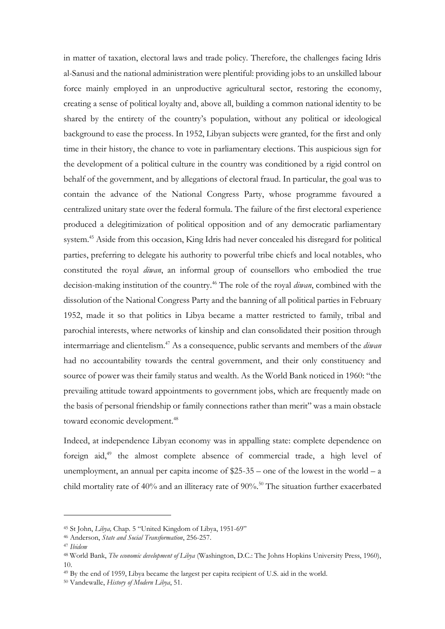in matter of taxation, electoral laws and trade policy. Therefore, the challenges facing Idris al-Sanusi and the national administration were plentiful: providing jobs to an unskilled labour force mainly employed in an unproductive agricultural sector, restoring the economy, creating a sense of political loyalty and, above all, building a common national identity to be shared by the entirety of the country's population, without any political or ideological background to ease the process. In 1952, Libyan subjects were granted, for the first and only time in their history, the chance to vote in parliamentary elections. This auspicious sign for the development of a political culture in the country was conditioned by a rigid control on behalf of the government, and by allegations of electoral fraud. In particular, the goal was to contain the advance of the National Congress Party, whose programme favoured a centralized unitary state over the federal formula. The failure of the first electoral experience produced a delegitimization of political opposition and of any democratic parliamentary system.<sup>45</sup> Aside from this occasion, King Idris had never concealed his disregard for political parties, preferring to delegate his authority to powerful tribe chiefs and local notables, who constituted the royal *diwan*, an informal group of counsellors who embodied the true decision-making institution of the country.<sup>46</sup> The role of the royal *diwan*, combined with the dissolution of the National Congress Party and the banning of all political parties in February 1952, made it so that politics in Libya became a matter restricted to family, tribal and parochial interests, where networks of kinship and clan consolidated their position through intermarriage and clientelism.<sup>47</sup> As a consequence, public servants and members of the *diwan* had no accountability towards the central government, and their only constituency and source of power was their family status and wealth. As the World Bank noticed in 1960: "the prevailing attitude toward appointments to government jobs, which are frequently made on the basis of personal friendship or family connections rather than merit" was a main obstacle toward economic development.<sup>48</sup>

Indeed, at independence Libyan economy was in appalling state: complete dependence on foreign aid,<sup>49</sup> the almost complete absence of commercial trade, a high level of unemployment, an annual per capita income of  $25-35$  – one of the lowest in the world – a child mortality rate of  $40\%$  and an illiteracy rate of  $90\%$ .<sup>50</sup> The situation further exacerbated

<sup>45</sup> St John, *Libya,* Chap. 5 "United Kingdom of Libya, 1951-69"

<sup>46</sup> Anderson, *State and Social Transformation*, 256-257.

<sup>47</sup> *Ibidem*

<sup>48</sup> World Bank, *The economic development of Libya* (Washington, D.C.: The Johns Hopkins University Press, 1960), 10.

<sup>49</sup> By the end of 1959, Libya became the largest per capita recipient of U.S. aid in the world.

<sup>50</sup> Vandewalle, *History of Modern Libya*, 51.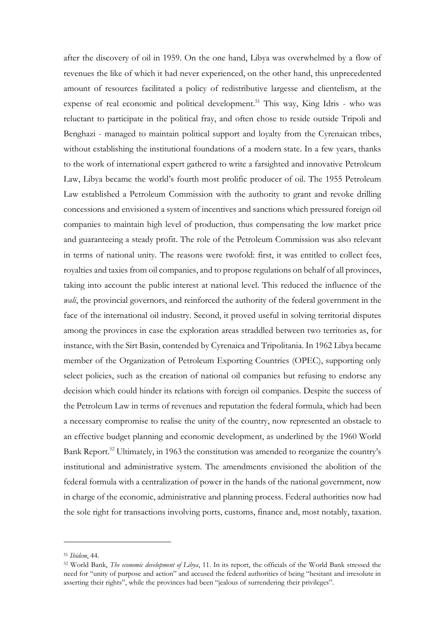after the discovery of oil in 1959. On the one hand, Libya was overwhelmed by a flow of revenues the like of which it had never experienced, on the other hand, this unprecedented amount of resources facilitated a policy of redistributive largesse and clientelism, at the expense of real economic and political development.<sup>51</sup> This way, King Idris - who was reluctant to participate in the political fray, and often chose to reside outside Tripoli and Benghazi - managed to maintain political support and loyalty from the Cyrenaican tribes, without establishing the institutional foundations of a modern state. In a few years, thanks to the work of international expert gathered to write a farsighted and innovative Petroleum Law, Libya became the world's fourth most prolific producer of oil. The 1955 Petroleum Law established a Petroleum Commission with the authority to grant and revoke drilling concessions and envisioned a system of incentives and sanctions which pressured foreign oil companies to maintain high level of production, thus compensating the low market price and guaranteeing a steady profit. The role of the Petroleum Commission was also relevant in terms of national unity. The reasons were twofold: first, it was entitled to collect fees, royalties and taxies from oil companies, and to propose regulations on behalf of all provinces, taking into account the public interest at national level. This reduced the influence of the *wali*, the provincial governors, and reinforced the authority of the federal government in the face of the international oil industry. Second, it proved useful in solving territorial disputes among the provinces in case the exploration areas straddled between two territories as, for instance, with the Sirt Basin, contended by Cyrenaica and Tripolitania. In 1962 Libya became member of the Organization of Petroleum Exporting Countries (OPEC), supporting only select policies, such as the creation of national oil companies but refusing to endorse any decision which could hinder its relations with foreign oil companies. Despite the success of the Petroleum Law in terms of revenues and reputation the federal formula, which had been a necessary compromise to realise the unity of the country, now represented an obstacle to an effective budget planning and economic development, as underlined by the 1960 World Bank Report.<sup>52</sup> Ultimately, in 1963 the constitution was amended to reorganize the country's institutional and administrative system. The amendments envisioned the abolition of the federal formula with a centralization of power in the hands of the national government, now in charge of the economic, administrative and planning process. Federal authorities now had the sole right for transactions involving ports, customs, finance and, most notably, taxation.

<sup>51</sup> *Ibidem*, 44.

<sup>52</sup> World Bank, *The economic development of Libya*, 11. In its report, the officials of the World Bank stressed the need for "unity of purpose and action" and accused the federal authorities of being "hesitant and irresolute in asserting their rights", while the provinces had been "jealous of surrendering their privileges".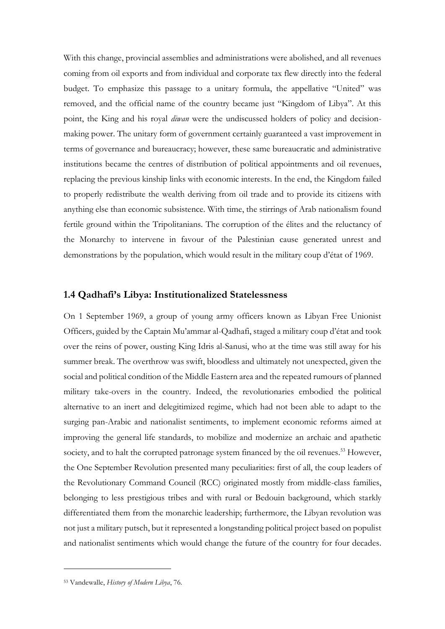With this change, provincial assemblies and administrations were abolished, and all revenues coming from oil exports and from individual and corporate tax flew directly into the federal budget. To emphasize this passage to a unitary formula, the appellative "United" was removed, and the official name of the country became just "Kingdom of Libya". At this point, the King and his royal *diwan* were the undiscussed holders of policy and decisionmaking power. The unitary form of government certainly guaranteed a vast improvement in terms of governance and bureaucracy; however, these same bureaucratic and administrative institutions became the centres of distribution of political appointments and oil revenues, replacing the previous kinship links with economic interests. In the end, the Kingdom failed to properly redistribute the wealth deriving from oil trade and to provide its citizens with anything else than economic subsistence. With time, the stirrings of Arab nationalism found fertile ground within the Tripolitanians. The corruption of the élites and the reluctancy of the Monarchy to intervene in favour of the Palestinian cause generated unrest and demonstrations by the population, which would result in the military coup d'état of 1969.

### <span id="page-19-0"></span>**1.4 Qadhafi's Libya: Institutionalized Statelessness**

On 1 September 1969, a group of young army officers known as Libyan Free Unionist Officers, guided by the Captain Mu'ammar al-Qadhafi, staged a military coup d'état and took over the reins of power, ousting King Idris al-Sanusi, who at the time was still away for his summer break. The overthrow was swift, bloodless and ultimately not unexpected, given the social and political condition of the Middle Eastern area and the repeated rumours of planned military take-overs in the country. Indeed, the revolutionaries embodied the political alternative to an inert and delegitimized regime, which had not been able to adapt to the surging pan-Arabic and nationalist sentiments, to implement economic reforms aimed at improving the general life standards, to mobilize and modernize an archaic and apathetic society, and to halt the corrupted patronage system financed by the oil revenues.<sup>53</sup> However, the One September Revolution presented many peculiarities: first of all, the coup leaders of the Revolutionary Command Council (RCC) originated mostly from middle-class families, belonging to less prestigious tribes and with rural or Bedouin background, which starkly differentiated them from the monarchic leadership; furthermore, the Libyan revolution was not just a military putsch, but it represented a longstanding political project based on populist and nationalist sentiments which would change the future of the country for four decades.

<sup>53</sup> Vandewalle, *History of Modern Libya*, 76.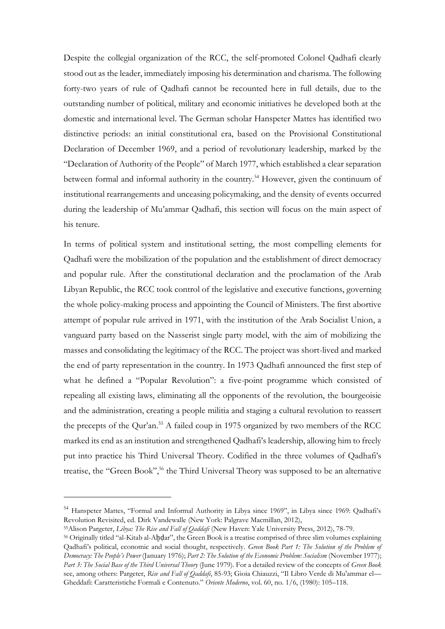Despite the collegial organization of the RCC, the self-promoted Colonel Qadhafi clearly stood out as the leader, immediately imposing his determination and charisma. The following forty-two years of rule of Qadhafi cannot be recounted here in full details, due to the outstanding number of political, military and economic initiatives he developed both at the domestic and international level. The German scholar Hanspeter Mattes has identified two distinctive periods: an initial constitutional era, based on the Provisional Constitutional Declaration of December 1969, and a period of revolutionary leadership, marked by the "Declaration of Authority of the People" of March 1977, which established a clear separation between formal and informal authority in the country.<sup>54</sup> However, given the continuum of institutional rearrangements and unceasing policymaking, and the density of events occurred during the leadership of Mu'ammar Qadhafi, this section will focus on the main aspect of his tenure.

In terms of political system and institutional setting, the most compelling elements for Qadhafi were the mobilization of the population and the establishment of direct democracy and popular rule. After the constitutional declaration and the proclamation of the Arab Libyan Republic, the RCC took control of the legislative and executive functions, governing the whole policy-making process and appointing the Council of Ministers. The first abortive attempt of popular rule arrived in 1971, with the institution of the Arab Socialist Union, a vanguard party based on the Nasserist single party model, with the aim of mobilizing the masses and consolidating the legitimacy of the RCC. The project was short-lived and marked the end of party representation in the country. In 1973 Qadhafi announced the first step of what he defined a "Popular Revolution": a five-point programme which consisted of repealing all existing laws, eliminating all the opponents of the revolution, the bourgeoisie and the administration, creating a people militia and staging a cultural revolution to reassert the precepts of the Qur'an.<sup>55</sup> A failed coup in 1975 organized by two members of the RCC marked its end as an institution and strengthened Qadhafi's leadership, allowing him to freely put into practice his Third Universal Theory. Codified in the three volumes of Qadhafi's treatise, the "Green Book",<sup>56</sup> the Third Universal Theory was supposed to be an alternative

<sup>54</sup> Hanspeter Mattes, "Formal and Informal Authority in Libya since 1969", in Libya since 1969: Qadhafi's Revolution Revisited, ed. Dirk Vandewalle (New York: Palgrave Macmillan, 2012),

<sup>55</sup>Alison Pargeter, *Libya: The Rise and Fall of Qaddafi* (New Haven: Yale University Press, 2012), 78-79.

<sup>56</sup> Originally titled "al-Kitab al-Aḫḍar", the Green Book is a treatise comprised of three slim volumes explaining Qadhafi's political, economic and social thought, respectively. *Green Book Part 1: The Solution of the Problem of Democracy: The People's Power* (January 1976); *Part 2: The Solution of the Economic Problem: Socialism* (November 1977); *Part 3: The Social Base of the Third Universal Theory* (June 1979). For a detailed review of the concepts of *Green Book* see, among others: Pargeter, *Rise and Fall of Qaddafi*, 85-93; Gioia Chiauzzi, "Il Libro Verde di Mu'ammar el— Gheddafi: Caratteristiche Formali e Contenuto." *Oriente Moderno*, vol. 60, no. 1/6, (1980): 105–118.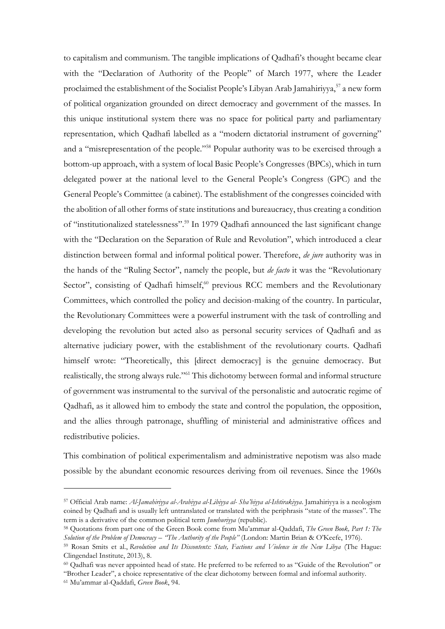to capitalism and communism. The tangible implications of Qadhafi's thought became clear with the "Declaration of Authority of the People" of March 1977, where the Leader proclaimed the establishment of the Socialist People's Libyan Arab Jamahiriyya,<sup>57</sup> a new form of political organization grounded on direct democracy and government of the masses. In this unique institutional system there was no space for political party and parliamentary representation, which Qadhafi labelled as a "modern dictatorial instrument of governing" and a "misrepresentation of the people."<sup>58</sup> Popular authority was to be exercised through a bottom-up approach, with a system of local Basic People's Congresses (BPCs), which in turn delegated power at the national level to the General People's Congress (GPC) and the General People's Committee (a cabinet). The establishment of the congresses coincided with the abolition of all other forms of state institutions and bureaucracy, thus creating a condition of "institutionalized statelessness".<sup>59</sup> In 1979 Qadhafi announced the last significant change with the "Declaration on the Separation of Rule and Revolution", which introduced a clear distinction between formal and informal political power. Therefore, *de jure* authority was in the hands of the "Ruling Sector", namely the people, but *de facto* it was the "Revolutionary Sector", consisting of Qadhafi himself,<sup>60</sup> previous RCC members and the Revolutionary Committees, which controlled the policy and decision-making of the country. In particular, the Revolutionary Committees were a powerful instrument with the task of controlling and developing the revolution but acted also as personal security services of Qadhafi and as alternative judiciary power, with the establishment of the revolutionary courts. Qadhafi himself wrote: "Theoretically, this [direct democracy] is the genuine democracy. But realistically, the strong always rule."<sup>61</sup> This dichotomy between formal and informal structure of government was instrumental to the survival of the personalistic and autocratic regime of Qadhafi, as it allowed him to embody the state and control the population, the opposition, and the allies through patronage, shuffling of ministerial and administrative offices and redistributive policies.

This combination of political experimentalism and administrative nepotism was also made possible by the abundant economic resources deriving from oil revenues. Since the 1960s

<sup>57</sup> Official Arab name: *Al-Jamahiriyya al-Arabiyya al-Libiyya al- Sha'biyya al-Ishtirakiyya*. Jamahiriyya is a neologism coined by Qadhafi and is usually left untranslated or translated with the periphrasis "state of the masses". The term is a derivative of the common political term *Jumhuriyya* (republic).

<sup>58</sup> Quotations from part one of the Green Book come from Mu'ammar al-Qaddafi, *The Green Book, Part 1: The Solution of the Problem of Democracy – "The Authority of the People"* (London: Martin Brian & O'Keefe, 1976).

<sup>59</sup> Rosan Smits et al., *Revolution and Its Discontents: State, Factions and Violence in the New Libya* (The Hague: Clingendael Institute, 2013), 8.

<sup>60</sup> Qadhafi was never appointed head of state. He preferred to be referred to as "Guide of the Revolution" or

<sup>&</sup>quot;Brother Leader", a choice representative of the clear dichotomy between formal and informal authority.

<sup>61</sup> Mu'ammar al-Qaddafi, *Green Book*, 94.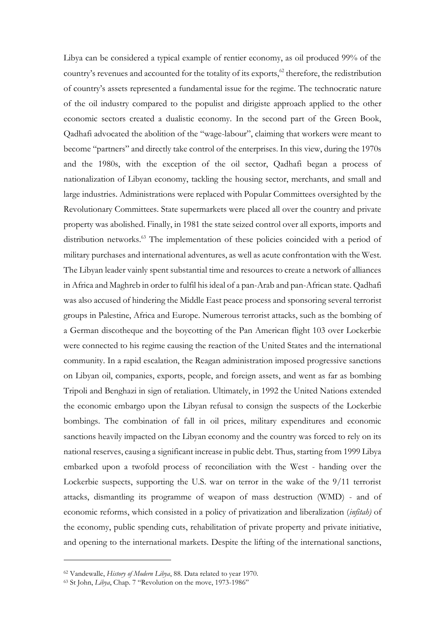Libya can be considered a typical example of rentier economy, as oil produced 99% of the country's revenues and accounted for the totality of its exports, $62$  therefore, the redistribution of country's assets represented a fundamental issue for the regime. The technocratic nature of the oil industry compared to the populist and dirigiste approach applied to the other economic sectors created a dualistic economy. In the second part of the Green Book, Qadhafi advocated the abolition of the "wage-labour", claiming that workers were meant to become "partners" and directly take control of the enterprises. In this view, during the 1970s and the 1980s, with the exception of the oil sector, Qadhafi began a process of nationalization of Libyan economy, tackling the housing sector, merchants, and small and large industries. Administrations were replaced with Popular Committees oversighted by the Revolutionary Committees. State supermarkets were placed all over the country and private property was abolished. Finally, in 1981 the state seized control over all exports, imports and distribution networks.<sup>63</sup> The implementation of these policies coincided with a period of military purchases and international adventures, as well as acute confrontation with the West. The Libyan leader vainly spent substantial time and resources to create a network of alliances in Africa and Maghreb in order to fulfil his ideal of a pan-Arab and pan-African state. Qadhafi was also accused of hindering the Middle East peace process and sponsoring several terrorist groups in Palestine, Africa and Europe. Numerous terrorist attacks, such as the bombing of a German discotheque and the boycotting of the Pan American flight 103 over Lockerbie were connected to his regime causing the reaction of the United States and the international community. In a rapid escalation, the Reagan administration imposed progressive sanctions on Libyan oil, companies, exports, people, and foreign assets, and went as far as bombing Tripoli and Benghazi in sign of retaliation. Ultimately, in 1992 the United Nations extended the economic embargo upon the Libyan refusal to consign the suspects of the Lockerbie bombings. The combination of fall in oil prices, military expenditures and economic sanctions heavily impacted on the Libyan economy and the country was forced to rely on its national reserves, causing a significant increase in public debt. Thus, starting from 1999 Libya embarked upon a twofold process of reconciliation with the West - handing over the Lockerbie suspects, supporting the U.S. war on terror in the wake of the 9/11 terrorist attacks, dismantling its programme of weapon of mass destruction (WMD) - and of economic reforms, which consisted in a policy of privatization and liberalization (*infitah)* of the economy, public spending cuts, rehabilitation of private property and private initiative, and opening to the international markets. Despite the lifting of the international sanctions,

<sup>62</sup> Vandewalle, *History of Modern Libya*, 88. Data related to year 1970.

<sup>63</sup> St John, *Libya*, Chap. 7 "Revolution on the move, 1973-1986"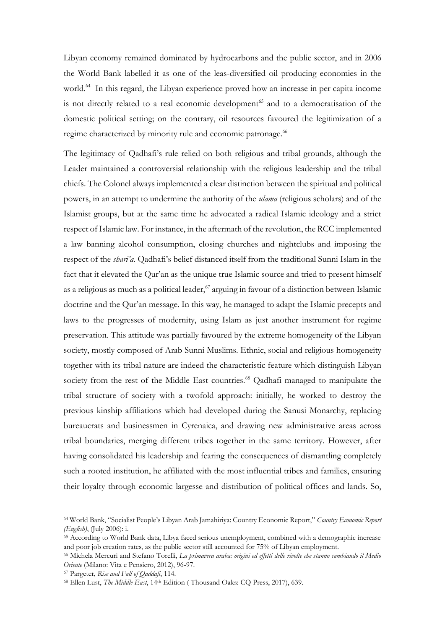Libyan economy remained dominated by hydrocarbons and the public sector, and in 2006 the World Bank labelled it as one of the leas-diversified oil producing economies in the world.<sup>64</sup> In this regard, the Libyan experience proved how an increase in per capita income is not directly related to a real economic development<sup>65</sup> and to a democratisation of the domestic political setting; on the contrary, oil resources favoured the legitimization of a regime characterized by minority rule and economic patronage.<sup>66</sup>

The legitimacy of Qadhafi's rule relied on both religious and tribal grounds, although the Leader maintained a controversial relationship with the religious leadership and the tribal chiefs. The Colonel always implemented a clear distinction between the spiritual and political powers, in an attempt to undermine the authority of the *ulama* (religious scholars) and of the Islamist groups, but at the same time he advocated a radical Islamic ideology and a strict respect of Islamic law. For instance, in the aftermath of the revolution, the RCC implemented a law banning alcohol consumption, closing churches and nightclubs and imposing the respect of the *shari'a*. Qadhafi's belief distanced itself from the traditional Sunni Islam in the fact that it elevated the Qur'an as the unique true Islamic source and tried to present himself as a religious as much as a political leader, $67$  arguing in favour of a distinction between Islamic doctrine and the Qur'an message. In this way, he managed to adapt the Islamic precepts and laws to the progresses of modernity, using Islam as just another instrument for regime preservation. This attitude was partially favoured by the extreme homogeneity of the Libyan society, mostly composed of Arab Sunni Muslims. Ethnic, social and religious homogeneity together with its tribal nature are indeed the characteristic feature which distinguish Libyan society from the rest of the Middle East countries.<sup>68</sup> Qadhafi managed to manipulate the tribal structure of society with a twofold approach: initially, he worked to destroy the previous kinship affiliations which had developed during the Sanusi Monarchy, replacing bureaucrats and businessmen in Cyrenaica, and drawing new administrative areas across tribal boundaries, merging different tribes together in the same territory. However, after having consolidated his leadership and fearing the consequences of dismantling completely such a rooted institution, he affiliated with the most influential tribes and families, ensuring their loyalty through economic largesse and distribution of political offices and lands. So,

<sup>64</sup> World Bank, "Socialist People's Libyan Arab Jamahiriya: Country Economic Report," *Country Economic Report (English)*, (July 2006): i.

<sup>65</sup> According to World Bank data, Libya faced serious unemployment, combined with a demographic increase and poor job creation rates, as the public sector still accounted for 75% of Libyan employment.

<sup>66</sup> Michela Mercuri and Stefano Torelli, *La primavera araba: origini ed effetti delle rivolte che stanno cambiando il Medio Oriente* (Milano: Vita e Pensiero, 2012), 96-97.

<sup>67</sup> Pargeter, *Rise and Fall of Qaddafi*, 114.

<sup>68</sup> Ellen Lust, *The Middle East*, 14th Edition ( Thousand Oaks: CQ Press, 2017), 639.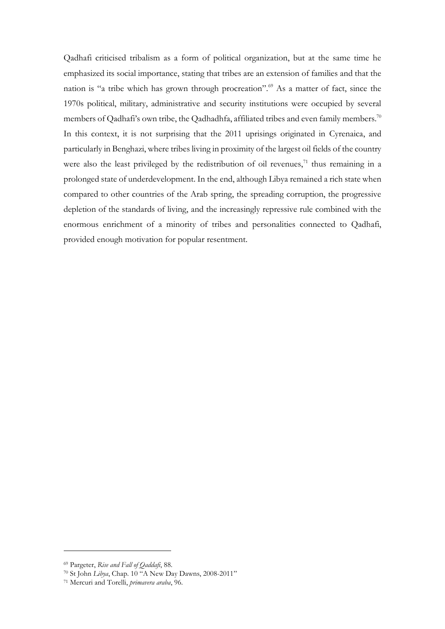Qadhafi criticised tribalism as a form of political organization, but at the same time he emphasized its social importance, stating that tribes are an extension of families and that the nation is "a tribe which has grown through procreation".<sup>69</sup> As a matter of fact, since the 1970s political, military, administrative and security institutions were occupied by several members of Qadhafi's own tribe, the Qadhadhfa, affiliated tribes and even family members.<sup>70</sup> In this context, it is not surprising that the 2011 uprisings originated in Cyrenaica, and particularly in Benghazi, where tribes living in proximity of the largest oil fields of the country were also the least privileged by the redistribution of oil revenues, $71$  thus remaining in a prolonged state of underdevelopment. In the end, although Libya remained a rich state when compared to other countries of the Arab spring, the spreading corruption, the progressive depletion of the standards of living, and the increasingly repressive rule combined with the enormous enrichment of a minority of tribes and personalities connected to Qadhafi, provided enough motivation for popular resentment.

<sup>69</sup> Pargeter, *Rise and Fall of Qaddafi*, 88.

<sup>70</sup> St John *Libya*, Chap. 10 "A New Day Dawns, 2008-2011"

<sup>71</sup> Mercuri and Torelli, *primavera araba*, 96.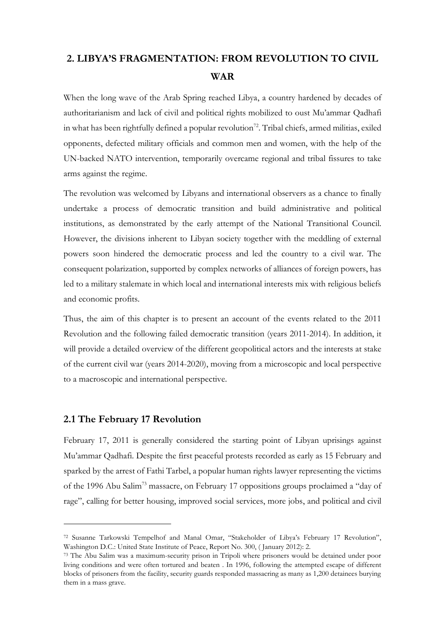# <span id="page-25-0"></span>**2. LIBYA'S FRAGMENTATION: FROM REVOLUTION TO CIVIL WAR**

When the long wave of the Arab Spring reached Libya, a country hardened by decades of authoritarianism and lack of civil and political rights mobilized to oust Mu'ammar Qadhafi in what has been rightfully defined a popular revolution<sup>72</sup>. Tribal chiefs, armed militias, exiled opponents, defected military officials and common men and women, with the help of the UN-backed NATO intervention, temporarily overcame regional and tribal fissures to take arms against the regime.

The revolution was welcomed by Libyans and international observers as a chance to finally undertake a process of democratic transition and build administrative and political institutions, as demonstrated by the early attempt of the National Transitional Council. However, the divisions inherent to Libyan society together with the meddling of external powers soon hindered the democratic process and led the country to a civil war. The consequent polarization, supported by complex networks of alliances of foreign powers, has led to a military stalemate in which local and international interests mix with religious beliefs and economic profits.

Thus, the aim of this chapter is to present an account of the events related to the 2011 Revolution and the following failed democratic transition (years 2011-2014). In addition, it will provide a detailed overview of the different geopolitical actors and the interests at stake of the current civil war (years 2014-2020), moving from a microscopic and local perspective to a macroscopic and international perspective.

# <span id="page-25-1"></span>**2.1 The February 17 Revolution**

February 17, 2011 is generally considered the starting point of Libyan uprisings against Mu'ammar Qadhafi. Despite the first peaceful protests recorded as early as 15 February and sparked by the arrest of Fathi Tarbel, a popular human rights lawyer representing the victims of the 1996 Abu Salim<sup>73</sup> massacre, on February 17 oppositions groups proclaimed a "day of rage", calling for better housing, improved social services, more jobs, and political and civil

<sup>72</sup> Susanne Tarkowski Tempelhof and Manal Omar, "Stakeholder of Libya's February 17 Revolution", Washington D.C.: United State Institute of Peace, Report No. 300, ( January 2012): 2.

<sup>73</sup> The Abu Salim was a maximum-security prison in Tripoli where prisoners would be detained under poor living conditions and were often tortured and beaten . In 1996, following the attempted escape of different blocks of prisoners from the facility, security guards responded massacring as many as 1,200 detainees burying them in a mass grave.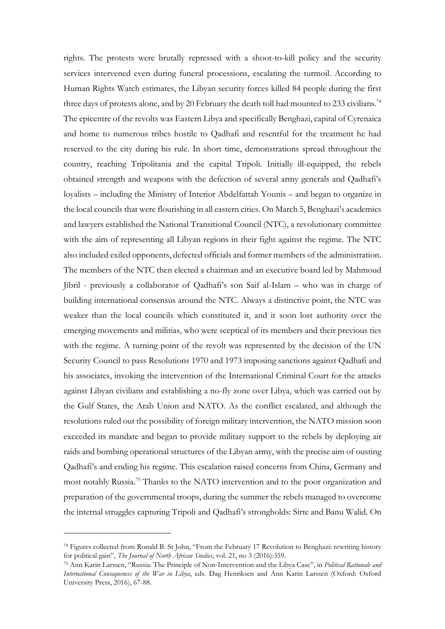rights. The protests were brutally repressed with a shoot-to-kill policy and the security services intervened even during funeral processions, escalating the turmoil. According to Human Rights Watch estimates, the Libyan security forces killed 84 people during the first three days of protests alone, and by 20 February the death toll had mounted to 233 civilians.<sup>74</sup> The epicentre of the revolts was Eastern Libya and specifically Benghazi, capital of Cyrenaica and home to numerous tribes hostile to Qadhafi and resentful for the treatment he had reserved to the city during his rule. In short time, demonstrations spread throughout the country, reaching Tripolitania and the capital Tripoli. Initially ill-equipped, the rebels obtained strength and weapons with the defection of several army generals and Qadhafi's loyalists – including the Ministry of Interior Abdelfattah Younis – and began to organize in the local councils that were flourishing in all eastern cities. On March 5, Benghazi's academics and lawyers established the National Transitional Council (NTC), a revolutionary committee with the aim of representing all Libyan regions in their fight against the regime. The NTC also included exiled opponents, defected officials and former members of the administration. The members of the NTC then elected a chairman and an executive board led by Mahmoud Jibril - previously a collaborator of Qadhafi's son Saif al-Islam – who was in charge of building international consensus around the NTC. Always a distinctive point, the NTC was weaker than the local councils which constituted it, and it soon lost authority over the emerging movements and militias, who were sceptical of its members and their previous ties with the regime. A turning point of the revolt was represented by the decision of the UN Security Council to pass Resolutions 1970 and 1973 imposing sanctions against Qadhafi and his associates, invoking the intervention of the International Criminal Court for the attacks against Libyan civilians and establishing a no-fly zone over Libya, which was carried out by the Gulf States, the Arab Union and NATO. As the conflict escalated, and although the resolutions ruled out the possibility of foreign military intervention, the NATO mission soon exceeded its mandate and began to provide military support to the rebels by deploying air raids and bombing operational structures of the Libyan army, with the precise aim of ousting Qadhafi's and ending his regime. This escalation raised concerns from China, Germany and most notably Russia.<sup>75</sup> Thanks to the NATO intervention and to the poor organization and preparation of the governmental troops, during the summer the rebels managed to overcome the internal struggles capturing Tripoli and Qadhafi's strongholds: Sirte and Banu Walid. On

<sup>74</sup> Figures collected from Ronald B. St John, "From the February 17 Revolution to Benghazi: rewriting history for political gain", *The Journal of North African Studies*, vol. 21, no 3 (2016):359.

<sup>75</sup> Ann Karin Larssen, "Russia: The Principle of Non-Intervention and the Libya Case", in *Political Rationale and International Consequences of the War in Libya*, eds. Dag Henriksen and Ann Karin Larssen (Oxford: Oxford University Press, 2016), 67-88.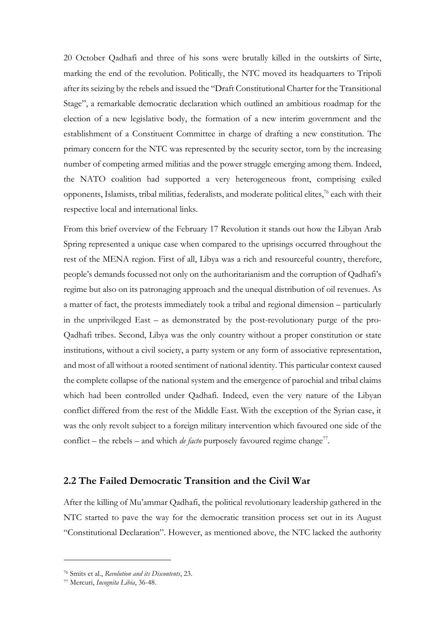20 October Qadhafi and three of his sons were brutally killed in the outskirts of Sirte, marking the end of the revolution. Politically, the NTC moved its headquarters to Tripoli after its seizing by the rebels and issued the "Draft Constitutional Charter for the Transitional Stage", a remarkable democratic declaration which outlined an ambitious roadmap for the election of a new legislative body, the formation of a new interim government and the establishment of a Constituent Committee in charge of drafting a new constitution. The primary concern for the NTC was represented by the security sector, torn by the increasing number of competing armed militias and the power struggle emerging among them. Indeed, the NATO coalition had supported a very heterogeneous front, comprising exiled opponents, Islamists, tribal militias, federalists, and moderate political elites, <sup>76</sup> each with their respective local and international links.

From this brief overview of the February 17 Revolution it stands out how the Libyan Arab Spring represented a unique case when compared to the uprisings occurred throughout the rest of the MENA region. First of all, Libya was a rich and resourceful country, therefore, people's demands focussed not only on the authoritarianism and the corruption of Qadhafi's regime but also on its patronaging approach and the unequal distribution of oil revenues. As a matter of fact, the protests immediately took a tribal and regional dimension – particularly in the unprivileged East – as demonstrated by the post-revolutionary purge of the pro-Qadhafi tribes. Second, Libya was the only country without a proper constitution or state institutions, without a civil society, a party system or any form of associative representation, and most of all without a rooted sentiment of national identity. This particular context caused the complete collapse of the national system and the emergence of parochial and tribal claims which had been controlled under Qadhafi. Indeed, even the very nature of the Libyan conflict differed from the rest of the Middle East. With the exception of the Syrian case, it was the only revolt subject to a foreign military intervention which favoured one side of the conflict – the rebels – and which *de facto* purposely favoured regime change<sup>77</sup>.

## <span id="page-27-0"></span>**2.2 The Failed Democratic Transition and the Civil War**

After the killing of Mu'ammar Qadhafi, the political revolutionary leadership gathered in the NTC started to pave the way for the democratic transition process set out in its August "Constitutional Declaration". However, as mentioned above, the NTC lacked the authority

<sup>76</sup> Smits et al., *Revolution and its Discontents*, 23.

<sup>77</sup> Mercuri, *Incognita Libia*, 36-48.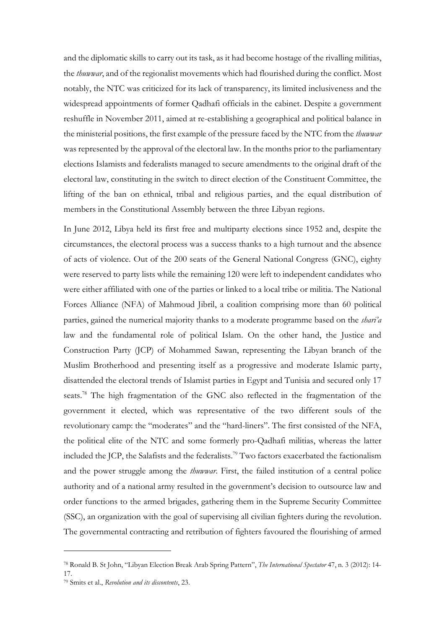and the diplomatic skills to carry out its task, as it had become hostage of the rivalling militias, the *thuwwar*, and of the regionalist movements which had flourished during the conflict. Most notably, the NTC was criticized for its lack of transparency, its limited inclusiveness and the widespread appointments of former Qadhafi officials in the cabinet. Despite a government reshuffle in November 2011, aimed at re-establishing a geographical and political balance in the ministerial positions, the first example of the pressure faced by the NTC from the *thuwwar* was represented by the approval of the electoral law. In the months prior to the parliamentary elections Islamists and federalists managed to secure amendments to the original draft of the electoral law, constituting in the switch to direct election of the Constituent Committee, the lifting of the ban on ethnical, tribal and religious parties, and the equal distribution of members in the Constitutional Assembly between the three Libyan regions.

In June 2012, Libya held its first free and multiparty elections since 1952 and, despite the circumstances, the electoral process was a success thanks to a high turnout and the absence of acts of violence. Out of the 200 seats of the General National Congress (GNC), eighty were reserved to party lists while the remaining 120 were left to independent candidates who were either affiliated with one of the parties or linked to a local tribe or militia. The National Forces Alliance (NFA) of Mahmoud Jibril, a coalition comprising more than 60 political parties, gained the numerical majority thanks to a moderate programme based on the *shari'a*  law and the fundamental role of political Islam. On the other hand, the Justice and Construction Party (JCP) of Mohammed Sawan, representing the Libyan branch of the Muslim Brotherhood and presenting itself as a progressive and moderate Islamic party, disattended the electoral trends of Islamist parties in Egypt and Tunisia and secured only 17 seats.<sup>78</sup> The high fragmentation of the GNC also reflected in the fragmentation of the government it elected, which was representative of the two different souls of the revolutionary camp: the "moderates" and the "hard-liners". The first consisted of the NFA, the political elite of the NTC and some formerly pro-Qadhafi militias, whereas the latter included the JCP, the Salafists and the federalists. <sup>79</sup> Two factors exacerbated the factionalism and the power struggle among the *thuwwar*. First, the failed institution of a central police authority and of a national army resulted in the government's decision to outsource law and order functions to the armed brigades, gathering them in the Supreme Security Committee (SSC), an organization with the goal of supervising all civilian fighters during the revolution. The governmental contracting and retribution of fighters favoured the flourishing of armed

<sup>78</sup> Ronald B. St John, "Libyan Election Break Arab Spring Pattern", *The International Spectator* 47, n. 3 (2012): 14- 17.

<sup>79</sup> Smits et al., *Revolution and its discontents*, 23.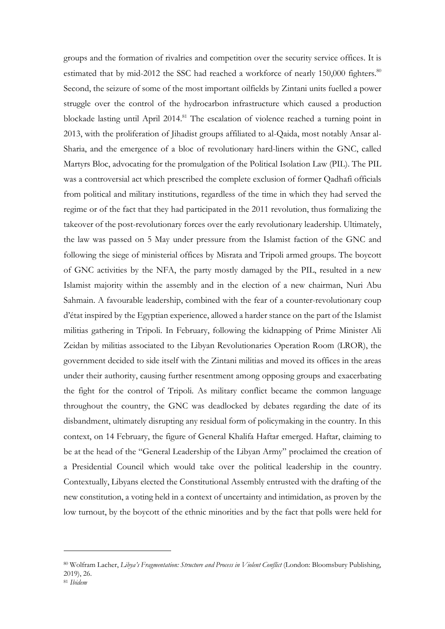groups and the formation of rivalries and competition over the security service offices. It is estimated that by mid-2012 the SSC had reached a workforce of nearly 150,000 fighters.<sup>80</sup> Second, the seizure of some of the most important oilfields by Zintani units fuelled a power struggle over the control of the hydrocarbon infrastructure which caused a production blockade lasting until April 2014.<sup>81</sup> The escalation of violence reached a turning point in 2013, with the proliferation of Jihadist groups affiliated to al-Qaida, most notably Ansar al-Sharia, and the emergence of a bloc of revolutionary hard-liners within the GNC, called Martyrs Bloc, advocating for the promulgation of the Political Isolation Law (PIL). The PIL was a controversial act which prescribed the complete exclusion of former Qadhafi officials from political and military institutions, regardless of the time in which they had served the regime or of the fact that they had participated in the 2011 revolution, thus formalizing the takeover of the post-revolutionary forces over the early revolutionary leadership. Ultimately, the law was passed on 5 May under pressure from the Islamist faction of the GNC and following the siege of ministerial offices by Misrata and Tripoli armed groups. The boycott of GNC activities by the NFA, the party mostly damaged by the PIL, resulted in a new Islamist majority within the assembly and in the election of a new chairman, Nuri Abu Sahmain. A favourable leadership, combined with the fear of a counter-revolutionary coup d'état inspired by the Egyptian experience, allowed a harder stance on the part of the Islamist militias gathering in Tripoli. In February, following the kidnapping of Prime Minister Ali Zeidan by militias associated to the Libyan Revolutionaries Operation Room (LROR), the government decided to side itself with the Zintani militias and moved its offices in the areas under their authority, causing further resentment among opposing groups and exacerbating the fight for the control of Tripoli. As military conflict became the common language throughout the country, the GNC was deadlocked by debates regarding the date of its disbandment, ultimately disrupting any residual form of policymaking in the country. In this context, on 14 February, the figure of General Khalifa Haftar emerged. Haftar, claiming to be at the head of the "General Leadership of the Libyan Army" proclaimed the creation of a Presidential Council which would take over the political leadership in the country. Contextually, Libyans elected the Constitutional Assembly entrusted with the drafting of the new constitution, a voting held in a context of uncertainty and intimidation, as proven by the low turnout, by the boycott of the ethnic minorities and by the fact that polls were held for

<sup>80</sup> Wolfram Lacher, *Libya's Fragmentation: Structure and Process in Violent Conflict* (London: Bloomsbury Publishing, 2019), 26.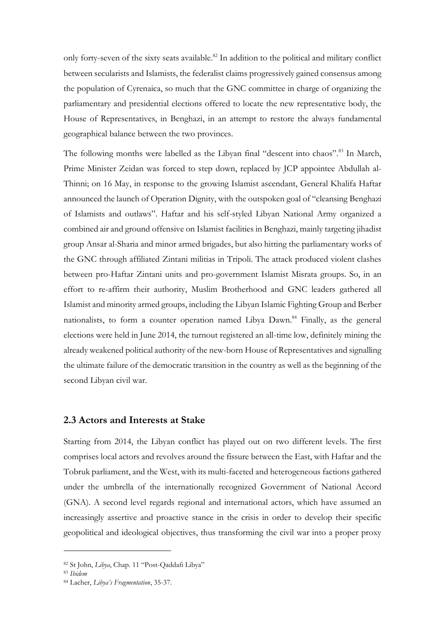only forty-seven of the sixty seats available.<sup>82</sup> In addition to the political and military conflict between secularists and Islamists, the federalist claims progressively gained consensus among the population of Cyrenaica, so much that the GNC committee in charge of organizing the parliamentary and presidential elections offered to locate the new representative body, the House of Representatives, in Benghazi, in an attempt to restore the always fundamental geographical balance between the two provinces.

The following months were labelled as the Libyan final "descent into chaos".<sup>83</sup> In March, Prime Minister Zeidan was forced to step down, replaced by JCP appointee Abdullah al-Thinni; on 16 May, in response to the growing Islamist ascendant, General Khalifa Haftar announced the launch of Operation Dignity, with the outspoken goal of "cleansing Benghazi of Islamists and outlaws". Haftar and his self-styled Libyan National Army organized a combined air and ground offensive on Islamist facilities in Benghazi, mainly targeting jihadist group Ansar al-Sharia and minor armed brigades, but also hitting the parliamentary works of the GNC through affiliated Zintani militias in Tripoli. The attack produced violent clashes between pro-Haftar Zintani units and pro-government Islamist Misrata groups. So, in an effort to re-affirm their authority, Muslim Brotherhood and GNC leaders gathered all Islamist and minority armed groups, including the Libyan Islamic Fighting Group and Berber nationalists, to form a counter operation named Libya Dawn.<sup>84</sup> Finally, as the general elections were held in June 2014, the turnout registered an all-time low, definitely mining the already weakened political authority of the new-born House of Representatives and signalling the ultimate failure of the democratic transition in the country as well as the beginning of the second Libyan civil war.

#### <span id="page-30-0"></span>**2.3 Actors and Interests at Stake**

Starting from 2014, the Libyan conflict has played out on two different levels. The first comprises local actors and revolves around the fissure between the East, with Haftar and the Tobruk parliament, and the West, with its multi-faceted and heterogeneous factions gathered under the umbrella of the internationally recognized Government of National Accord (GNA). A second level regards regional and international actors, which have assumed an increasingly assertive and proactive stance in the crisis in order to develop their specific geopolitical and ideological objectives, thus transforming the civil war into a proper proxy

<sup>82</sup> St John, *Libya*, Chap. 11 "Post-Qaddafi Libya"

<sup>83</sup> *Ibidem*

<sup>84</sup> Lacher, *Libya's Fragmentation*, 35-37.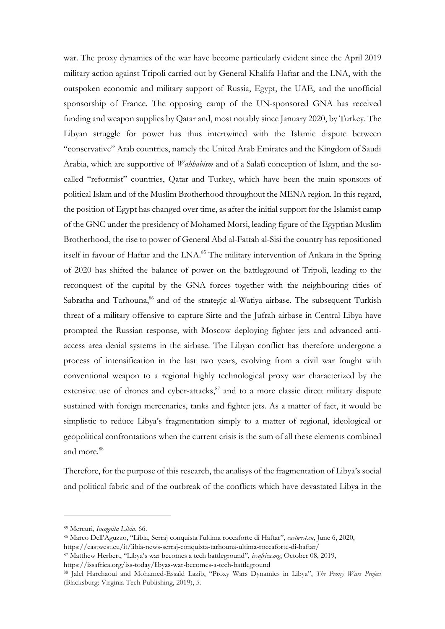war. The proxy dynamics of the war have become particularly evident since the April 2019 military action against Tripoli carried out by General Khalifa Haftar and the LNA, with the outspoken economic and military support of Russia, Egypt, the UAE, and the unofficial sponsorship of France. The opposing camp of the UN-sponsored GNA has received funding and weapon supplies by Qatar and, most notably since January 2020, by Turkey. The Libyan struggle for power has thus intertwined with the Islamic dispute between "conservative" Arab countries, namely the United Arab Emirates and the Kingdom of Saudi Arabia, which are supportive of *Wahhabism* and of a Salafi conception of Islam, and the socalled "reformist" countries, Qatar and Turkey, which have been the main sponsors of political Islam and of the Muslim Brotherhood throughout the MENA region. In this regard, the position of Egypt has changed over time, as after the initial support for the Islamist camp of the GNC under the presidency of Mohamed Morsi, leading figure of the Egyptian Muslim Brotherhood, the rise to power of General Abd al-Fattah al-Sisi the country has repositioned itself in favour of Haftar and the LNA.<sup>85</sup> The military intervention of Ankara in the Spring of 2020 has shifted the balance of power on the battleground of Tripoli, leading to the reconquest of the capital by the GNA forces together with the neighbouring cities of Sabratha and Tarhouna,<sup>86</sup> and of the strategic al-Watiya airbase. The subsequent Turkish threat of a military offensive to capture Sirte and the Jufrah airbase in Central Libya have prompted the Russian response, with Moscow deploying fighter jets and advanced antiaccess area denial systems in the airbase. The Libyan conflict has therefore undergone a process of intensification in the last two years, evolving from a civil war fought with conventional weapon to a regional highly technological proxy war characterized by the extensive use of drones and cyber-attacks,<sup>87</sup> and to a more classic direct military dispute sustained with foreign mercenaries, tanks and fighter jets. As a matter of fact, it would be simplistic to reduce Libya's fragmentation simply to a matter of regional, ideological or geopolitical confrontations when the current crisis is the sum of all these elements combined and more.<sup>88</sup>

Therefore, for the purpose of this research, the analisys of the fragmentation of Libya's social and political fabric and of the outbreak of the conflicts which have devastated Libya in the

https://issafrica.org/iss-today/libyas-war-becomes-a-tech-battleground

<sup>85</sup> Mercuri, *Incognita Libia*, 66.

<sup>86</sup> Marco Dell'Aguzzo, "Libia, Serraj conquista l'ultima roccaforte di Haftar", *eastwest.eu*, June 6, 2020, https://eastwest.eu/it/libia-news-serraj-conquista-tarhouna-ultima-roccaforte-di-haftar/

<sup>87</sup> Matthew Herbert, "Libya's war becomes a tech battleground", *issafrica.org*, October 08, 2019,

<sup>88</sup> Jalel Harchaoui and Mohamed-Essaïd Lazib, "Proxy Wars Dynamics in Libya", *The Proxy Wars Project* (Blacksburg: Virginia Tech Publishing, 2019), 5.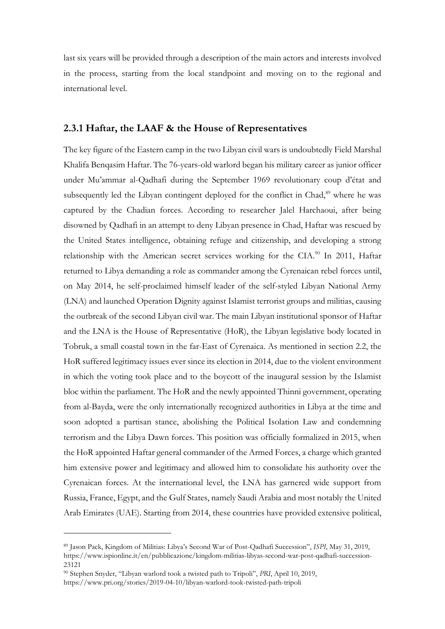last six years will be provided through a description of the main actors and interests involved in the process, starting from the local standpoint and moving on to the regional and international level.

## <span id="page-32-0"></span>**2.3.1 Haftar, the LAAF & the House of Representatives**

The key figure of the Eastern camp in the two Libyan civil wars is undoubtedly Field Marshal Khalifa Benqasim Haftar. The 76-years-old warlord began his military career as junior officer under Mu'ammar al-Qadhafi during the September 1969 revolutionary coup d'état and subsequently led the Libyan contingent deployed for the conflict in Chad,<sup>89</sup> where he was captured by the Chadian forces. According to researcher Jalel Harchaoui, after being disowned by Qadhafi in an attempt to deny Libyan presence in Chad, Haftar was rescued by the United States intelligence, obtaining refuge and citizenship, and developing a strong relationship with the American secret services working for the CIA.<sup>90</sup> In 2011, Haftar returned to Libya demanding a role as commander among the Cyrenaican rebel forces until, on May 2014, he self-proclaimed himself leader of the self-styled Libyan National Army (LNA) and launched Operation Dignity against Islamist terrorist groups and militias, causing the outbreak of the second Libyan civil war. The main Libyan institutional sponsor of Haftar and the LNA is the House of Representative (HoR), the Libyan legislative body located in Tobruk, a small coastal town in the far-East of Cyrenaica. As mentioned in section 2.2, the HoR suffered legitimacy issues ever since its election in 2014, due to the violent environment in which the voting took place and to the boycott of the inaugural session by the Islamist bloc within the parliament. The HoR and the newly appointed Thinni government, operating from al-Bayda, were the only internationally recognized authorities in Libya at the time and soon adopted a partisan stance, abolishing the Political Isolation Law and condemning terrorism and the Libya Dawn forces. This position was officially formalized in 2015, when the HoR appointed Haftar general commander of the Armed Forces, a charge which granted him extensive power and legitimacy and allowed him to consolidate his authority over the Cyrenaican forces. At the international level, the LNA has garnered wide support from Russia, France, Egypt, and the Gulf States, namely Saudi Arabia and most notably the United Arab Emirates (UAE). Starting from 2014, these countries have provided extensive political,

<sup>89</sup> Jason Pack, Kingdom of Militias: Libya's Second War of Post-Qadhafi Succession", *ISPI*, May 31, 2019, https://www.ispionline.it/en/pubblicazione/kingdom-militias-libyas-second-war-post-qadhafi-succession-23121

<sup>90</sup> Stephen Snyder, "Libyan warlord took a twisted path to Tripoli", *PRI*, April 10, 2019, https://www.pri.org/stories/2019-04-10/libyan-warlord-took-twisted-path-tripoli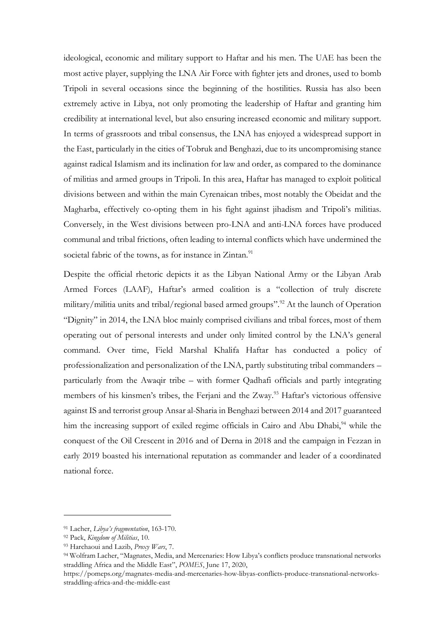ideological, economic and military support to Haftar and his men. The UAE has been the most active player, supplying the LNA Air Force with fighter jets and drones, used to bomb Tripoli in several occasions since the beginning of the hostilities. Russia has also been extremely active in Libya, not only promoting the leadership of Haftar and granting him credibility at international level, but also ensuring increased economic and military support. In terms of grassroots and tribal consensus, the LNA has enjoyed a widespread support in the East, particularly in the cities of Tobruk and Benghazi, due to its uncompromising stance against radical Islamism and its inclination for law and order, as compared to the dominance of militias and armed groups in Tripoli. In this area, Haftar has managed to exploit political divisions between and within the main Cyrenaican tribes, most notably the Obeidat and the Magharba, effectively co-opting them in his fight against jihadism and Tripoli's militias. Conversely, in the West divisions between pro-LNA and anti-LNA forces have produced communal and tribal frictions, often leading to internal conflicts which have undermined the societal fabric of the towns, as for instance in Zintan.<sup>91</sup>

Despite the official rhetoric depicts it as the Libyan National Army or the Libyan Arab Armed Forces (LAAF), Haftar's armed coalition is a "collection of truly discrete military/militia units and tribal/regional based armed groups".<sup>92</sup> At the launch of Operation "Dignity" in 2014, the LNA bloc mainly comprised civilians and tribal forces, most of them operating out of personal interests and under only limited control by the LNA's general command. Over time, Field Marshal Khalifa Haftar has conducted a policy of professionalization and personalization of the LNA, partly substituting tribal commanders – particularly from the Awaqir tribe – with former Qadhafi officials and partly integrating members of his kinsmen's tribes, the Ferjani and the Zway.<sup>93</sup> Haftar's victorious offensive against IS and terrorist group Ansar al-Sharia in Benghazi between 2014 and 2017 guaranteed him the increasing support of exiled regime officials in Cairo and Abu Dhabi,<sup>94</sup> while the conquest of the Oil Crescent in 2016 and of Derna in 2018 and the campaign in Fezzan in early 2019 boasted his international reputation as commander and leader of a coordinated national force.

<sup>91</sup> Lacher, *Libya's fragmentation*, 163-170.

<sup>92</sup> Pack, *Kingdom of Militias*, 10.

<sup>93</sup> Harchaoui and Lazib, *Proxy Wars*, 7.

<sup>94</sup> Wolfram Lacher, "Magnates, Media, and Mercenaries: How Libya's conflicts produce transnational networks straddling Africa and the Middle East", *POMES*, June 17, 2020,

https://pomeps.org/magnates-media-and-mercenaries-how-libyas-conflicts-produce-transnational-networksstraddling-africa-and-the-middle-east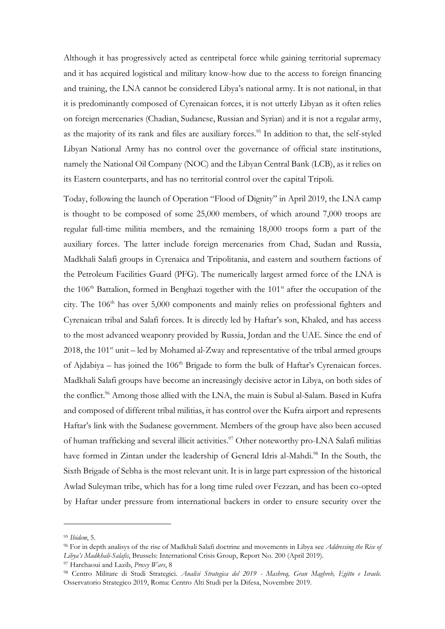Although it has progressively acted as centripetal force while gaining territorial supremacy and it has acquired logistical and military know-how due to the access to foreign financing and training, the LNA cannot be considered Libya's national army. It is not national, in that it is predominantly composed of Cyrenaican forces, it is not utterly Libyan as it often relies on foreign mercenaries (Chadian, Sudanese, Russian and Syrian) and it is not a regular army, as the majority of its rank and files are auxiliary forces.<sup>95</sup> In addition to that, the self-styled Libyan National Army has no control over the governance of official state institutions, namely the National Oil Company (NOC) and the Libyan Central Bank (LCB), as it relies on its Eastern counterparts, and has no territorial control over the capital Tripoli.

Today, following the launch of Operation "Flood of Dignity" in April 2019, the LNA camp is thought to be composed of some 25,000 members, of which around 7,000 troops are regular full-time militia members, and the remaining 18,000 troops form a part of the auxiliary forces. The latter include foreign mercenaries from Chad, Sudan and Russia, Madkhali Salafi groups in Cyrenaica and Tripolitania, and eastern and southern factions of the Petroleum Facilities Guard (PFG). The numerically largest armed force of the LNA is the 106<sup>th</sup> Battalion, formed in Benghazi together with the 101<sup>st</sup> after the occupation of the city. The  $106<sup>th</sup>$  has over  $5,000$  components and mainly relies on professional fighters and Cyrenaican tribal and Salafi forces. It is directly led by Haftar's son, Khaled, and has access to the most advanced weaponry provided by Russia, Jordan and the UAE. Since the end of  $2018$ , the  $101<sup>st</sup>$  unit – led by Mohamed al-Zway and representative of the tribal armed groups of Ajdabiya – has joined the  $106<sup>th</sup>$  Brigade to form the bulk of Haftar's Cyrenaican forces. Madkhali Salafi groups have become an increasingly decisive actor in Libya, on both sides of the conflict.<sup>96</sup> Among those allied with the LNA, the main is Subul al-Salam. Based in Kufra and composed of different tribal militias, it has control over the Kufra airport and represents Haftar's link with the Sudanese government. Members of the group have also been accused of human trafficking and several illicit activities.<sup>97</sup> Other noteworthy pro-LNA Salafi militias have formed in Zintan under the leadership of General Idris al-Mahdi.<sup>98</sup> In the South, the Sixth Brigade of Sebha is the most relevant unit. It is in large part expression of the historical Awlad Suleyman tribe, which has for a long time ruled over Fezzan, and has been co-opted by Haftar under pressure from international backers in order to ensure security over the

<sup>95</sup> *Ibidem*, 5.

<sup>96</sup> For in depth analisys of the rise of Madkhali Salafi doctrine and movements in Libya see *Addressing the Rise of Libya's Madkhali-Salafis*, Brussels: International Crisis Group, Report No. 200 (April 2019).

<sup>97</sup> Harchaoui and Lazib, *Proxy Wars*, 8

<sup>98</sup> Centro Militare di Studi Strategici. *Analisi Strategica del 2019 - Mashreq, Gran Maghreb, Egitto e Israele.* Osservatorio Strategico 2019, Roma: Centro Alti Studi per la Difesa, Novembre 2019.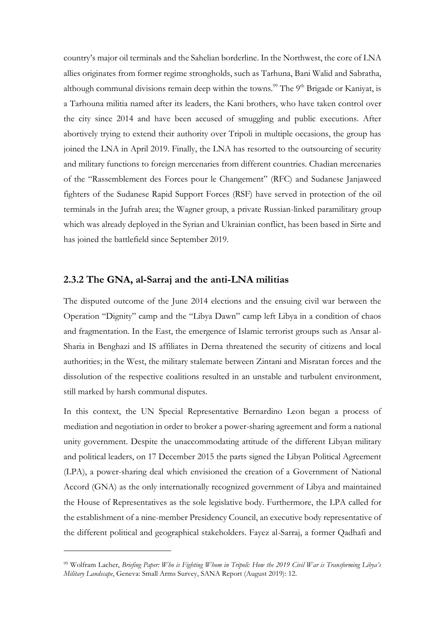country's major oil terminals and the Sahelian borderline. In the Northwest, the core of LNA allies originates from former regime strongholds, such as Tarhuna, Bani Walid and Sabratha, although communal divisions remain deep within the towns.<sup>99</sup> The  $9<sup>th</sup>$  Brigade or Kaniyat, is a Tarhouna militia named after its leaders, the Kani brothers, who have taken control over the city since 2014 and have been accused of smuggling and public executions. After abortively trying to extend their authority over Tripoli in multiple occasions, the group has joined the LNA in April 2019. Finally, the LNA has resorted to the outsourcing of security and military functions to foreign mercenaries from different countries. Chadian mercenaries of the "Rassemblement des Forces pour le Changement" (RFC) and Sudanese Janjaweed fighters of the Sudanese Rapid Support Forces (RSF) have served in protection of the oil terminals in the Jufrah area; the Wagner group, a private Russian-linked paramilitary group which was already deployed in the Syrian and Ukrainian conflict, has been based in Sirte and has joined the battlefield since September 2019.

#### <span id="page-35-0"></span>**2.3.2 The GNA, al-Sarraj and the anti-LNA militias**

The disputed outcome of the June 2014 elections and the ensuing civil war between the Operation "Dignity" camp and the "Libya Dawn" camp left Libya in a condition of chaos and fragmentation. In the East, the emergence of Islamic terrorist groups such as Ansar al-Sharia in Benghazi and IS affiliates in Derna threatened the security of citizens and local authorities; in the West, the military stalemate between Zintani and Misratan forces and the dissolution of the respective coalitions resulted in an unstable and turbulent environment, still marked by harsh communal disputes.

In this context, the UN Special Representative Bernardino Leon began a process of mediation and negotiation in order to broker a power-sharing agreement and form a national unity government. Despite the unaccommodating attitude of the different Libyan military and political leaders, on 17 December 2015 the parts signed the Libyan Political Agreement (LPA), a power-sharing deal which envisioned the creation of a Government of National Accord (GNA) as the only internationally recognized government of Libya and maintained the House of Representatives as the sole legislative body. Furthermore, the LPA called for the establishment of a nine-member Presidency Council, an executive body representative of the different political and geographical stakeholders. Fayez al-Sarraj, a former Qadhafi and

<sup>99</sup> Wolfram Lacher, *Briefing Paper: Who is Fighting Whom in Tripoli: How the 2019 Civil War is Transforming Libya's Military Landscape*, Geneva: Small Arms Survey, SANA Report (August 2019): 12.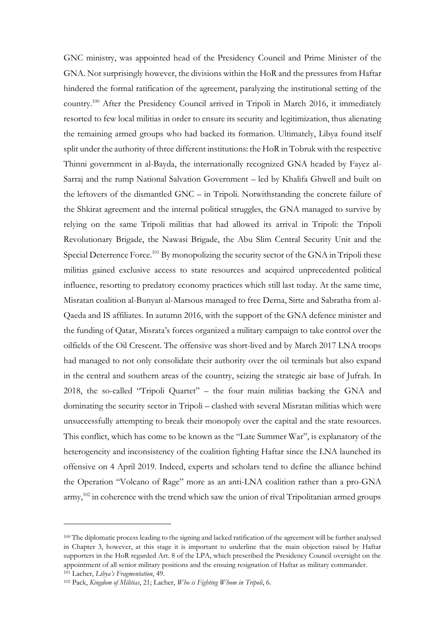GNC ministry, was appointed head of the Presidency Council and Prime Minister of the GNA. Not surprisingly however, the divisions within the HoR and the pressures from Haftar hindered the formal ratification of the agreement, paralyzing the institutional setting of the country.<sup>100</sup> After the Presidency Council arrived in Tripoli in March 2016, it immediately resorted to few local militias in order to ensure its security and legitimization, thus alienating the remaining armed groups who had backed its formation. Ultimately, Libya found itself split under the authority of three different institutions: the HoR in Tobruk with the respective Thinni government in al-Bayda, the internationally recognized GNA headed by Fayez al-Sarraj and the rump National Salvation Government – led by Khalifa Ghwell and built on the leftovers of the dismantled GNC – in Tripoli. Notwithstanding the concrete failure of the Shkirat agreement and the internal political struggles, the GNA managed to survive by relying on the same Tripoli militias that had allowed its arrival in Tripoli: the Tripoli Revolutionary Brigade, the Nawasi Brigade, the Abu Slim Central Security Unit and the Special Deterrence Force.<sup>101</sup> By monopolizing the security sector of the GNA in Tripoli these militias gained exclusive access to state resources and acquired unprecedented political influence, resorting to predatory economy practices which still last today. At the same time, Misratan coalition al-Bunyan al-Marsous managed to free Derna, Sirte and Sabratha from al-Qaeda and IS affiliates. In autumn 2016, with the support of the GNA defence minister and the funding of Qatar, Misrata's forces organized a military campaign to take control over the oilfields of the Oil Crescent. The offensive was short-lived and by March 2017 LNA troops had managed to not only consolidate their authority over the oil terminals but also expand in the central and southern areas of the country, seizing the strategic air base of Jufrah. In 2018, the so-called "Tripoli Quartet" – the four main militias backing the GNA and dominating the security sector in Tripoli – clashed with several Misratan militias which were unsuccessfully attempting to break their monopoly over the capital and the state resources. This conflict, which has come to be known as the "Late Summer War", is explanatory of the heterogeneity and inconsistency of the coalition fighting Haftar since the LNA launched its offensive on 4 April 2019. Indeed, experts and scholars tend to define the alliance behind the Operation "Volcano of Rage" more as an anti-LNA coalition rather than a pro-GNA army,<sup>102</sup> in coherence with the trend which saw the union of rival Tripolitanian armed groups

<sup>100</sup> The diplomatic process leading to the signing and lacked ratification of the agreement will be further analysed in Chapter 3, however, at this stage it is important to underline that the main objection raised by Haftar supporters in the HoR regarded Art. 8 of the LPA, which prescribed the Presidency Council oversight on the appointment of all senior military positions and the ensuing resignation of Haftar as military commander. <sup>101</sup> Lacher, *Libya's Fragmentation*, 49.

<sup>102</sup> Pack, *Kingdom of Militias*, 21; Lacher, *Who is Fighting Whom in Tripoli*, 6.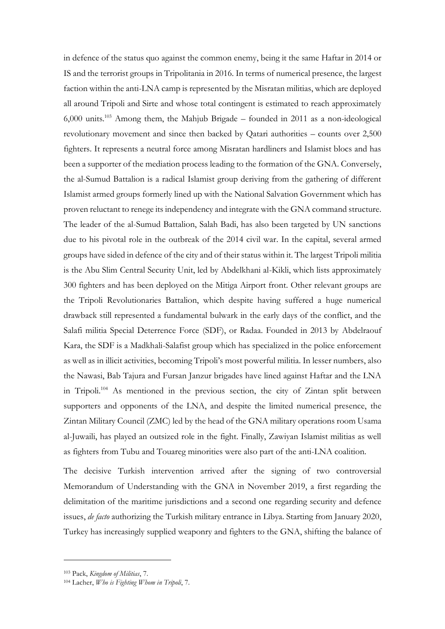in defence of the status quo against the common enemy, being it the same Haftar in 2014 or IS and the terrorist groups in Tripolitania in 2016. In terms of numerical presence, the largest faction within the anti-LNA camp is represented by the Misratan militias, which are deployed all around Tripoli and Sirte and whose total contingent is estimated to reach approximately 6,000 units.<sup>103</sup> Among them, the Mahjub Brigade – founded in 2011 as a non-ideological revolutionary movement and since then backed by Qatari authorities – counts over 2,500 fighters. It represents a neutral force among Misratan hardliners and Islamist blocs and has been a supporter of the mediation process leading to the formation of the GNA. Conversely, the al-Sumud Battalion is a radical Islamist group deriving from the gathering of different Islamist armed groups formerly lined up with the National Salvation Government which has proven reluctant to renege its independency and integrate with the GNA command structure. The leader of the al-Sumud Battalion, Salah Badi, has also been targeted by UN sanctions due to his pivotal role in the outbreak of the 2014 civil war. In the capital, several armed groups have sided in defence of the city and of their status within it. The largest Tripoli militia is the Abu Slim Central Security Unit, led by Abdelkhani al-Kikli, which lists approximately 300 fighters and has been deployed on the Mitiga Airport front. Other relevant groups are the Tripoli Revolutionaries Battalion, which despite having suffered a huge numerical drawback still represented a fundamental bulwark in the early days of the conflict, and the Salafi militia Special Deterrence Force (SDF), or Radaa. Founded in 2013 by Abdelraouf Kara, the SDF is a Madkhali-Salafist group which has specialized in the police enforcement as well as in illicit activities, becoming Tripoli's most powerful militia. In lesser numbers, also the Nawasi, Bab Tajura and Fursan Janzur brigades have lined against Haftar and the LNA in Tripoli.<sup>104</sup> As mentioned in the previous section, the city of Zintan split between supporters and opponents of the LNA, and despite the limited numerical presence, the Zintan Military Council (ZMC) led by the head of the GNA military operations room Usama al-Juwaili, has played an outsized role in the fight. Finally, Zawiyan Islamist militias as well as fighters from Tubu and Touareg minorities were also part of the anti-LNA coalition.

The decisive Turkish intervention arrived after the signing of two controversial Memorandum of Understanding with the GNA in November 2019, a first regarding the delimitation of the maritime jurisdictions and a second one regarding security and defence issues, *de facto* authorizing the Turkish military entrance in Libya. Starting from January 2020, Turkey has increasingly supplied weaponry and fighters to the GNA, shifting the balance of

<sup>103</sup> Pack, *Kingdom of Militias*, 7.

<sup>104</sup> Lacher, *Who is Fighting Whom in Tripoli*, 7.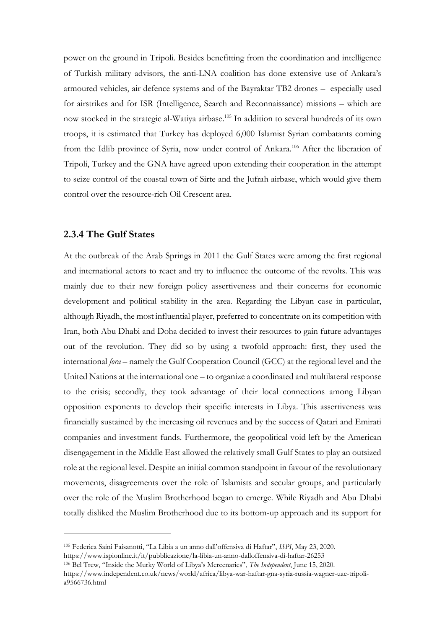power on the ground in Tripoli. Besides benefitting from the coordination and intelligence of Turkish military advisors, the anti-LNA coalition has done extensive use of Ankara's armoured vehicles, air defence systems and of the Bayraktar TB2 drones – especially used for airstrikes and for ISR (Intelligence, Search and Reconnaissance) missions – which are now stocked in the strategic al-Watiya airbase.<sup>105</sup> In addition to several hundreds of its own troops, it is estimated that Turkey has deployed 6,000 Islamist Syrian combatants coming from the Idlib province of Syria, now under control of Ankara.<sup>106</sup> After the liberation of Tripoli, Turkey and the GNA have agreed upon extending their cooperation in the attempt to seize control of the coastal town of Sirte and the Jufrah airbase, which would give them control over the resource-rich Oil Crescent area.

## **2.3.4 The Gulf States**

At the outbreak of the Arab Springs in 2011 the Gulf States were among the first regional and international actors to react and try to influence the outcome of the revolts. This was mainly due to their new foreign policy assertiveness and their concerns for economic development and political stability in the area. Regarding the Libyan case in particular, although Riyadh, the most influential player, preferred to concentrate on its competition with Iran, both Abu Dhabi and Doha decided to invest their resources to gain future advantages out of the revolution. They did so by using a twofold approach: first, they used the international *fora* – namely the Gulf Cooperation Council (GCC) at the regional level and the United Nations at the international one – to organize a coordinated and multilateral response to the crisis; secondly, they took advantage of their local connections among Libyan opposition exponents to develop their specific interests in Libya. This assertiveness was financially sustained by the increasing oil revenues and by the success of Qatari and Emirati companies and investment funds. Furthermore, the geopolitical void left by the American disengagement in the Middle East allowed the relatively small Gulf States to play an outsized role at the regional level. Despite an initial common standpoint in favour of the revolutionary movements, disagreements over the role of Islamists and secular groups, and particularly over the role of the Muslim Brotherhood began to emerge. While Riyadh and Abu Dhabi totally disliked the Muslim Brotherhood due to its bottom-up approach and its support for

<sup>106</sup> Bel Trew, "Inside the Murky World of Libya's Mercenaries", *The Independent*, June 15, 2020.

<sup>105</sup> Federica Saini Faisanotti, "La Libia a un anno dall'offensiva di Haftar", *ISPI*, May 23, 2020. https://www.ispionline.it/it/pubblicazione/la-libia-un-anno-dalloffensiva-di-haftar-26253

https://www.independent.co.uk/news/world/africa/libya-war-haftar-gna-syria-russia-wagner-uae-tripoli-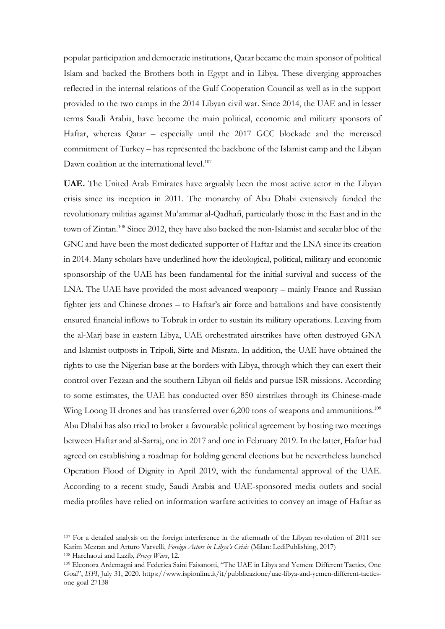popular participation and democratic institutions, Qatar became the main sponsor of political Islam and backed the Brothers both in Egypt and in Libya. These diverging approaches reflected in the internal relations of the Gulf Cooperation Council as well as in the support provided to the two camps in the 2014 Libyan civil war. Since 2014, the UAE and in lesser terms Saudi Arabia, have become the main political, economic and military sponsors of Haftar, whereas Qatar – especially until the 2017 GCC blockade and the increased commitment of Turkey – has represented the backbone of the Islamist camp and the Libyan Dawn coalition at the international level.<sup>107</sup>

**UAE.** The United Arab Emirates have arguably been the most active actor in the Libyan crisis since its inception in 2011. The monarchy of Abu Dhabi extensively funded the revolutionary militias against Mu'ammar al-Qadhafi, particularly those in the East and in the town of Zintan.<sup>108</sup> Since 2012, they have also backed the non-Islamist and secular bloc of the GNC and have been the most dedicated supporter of Haftar and the LNA since its creation in 2014. Many scholars have underlined how the ideological, political, military and economic sponsorship of the UAE has been fundamental for the initial survival and success of the LNA. The UAE have provided the most advanced weaponry – mainly France and Russian fighter jets and Chinese drones – to Haftar's air force and battalions and have consistently ensured financial inflows to Tobruk in order to sustain its military operations. Leaving from the al-Marj base in eastern Libya, UAE orchestrated airstrikes have often destroyed GNA and Islamist outposts in Tripoli, Sirte and Misrata. In addition, the UAE have obtained the rights to use the Nigerian base at the borders with Libya, through which they can exert their control over Fezzan and the southern Libyan oil fields and pursue ISR missions. According to some estimates, the UAE has conducted over 850 airstrikes through its Chinese-made Wing Loong II drones and has transferred over  $6,200$  tons of weapons and ammunitions.<sup>109</sup> Abu Dhabi has also tried to broker a favourable political agreement by hosting two meetings between Haftar and al-Sarraj, one in 2017 and one in February 2019. In the latter, Haftar had agreed on establishing a roadmap for holding general elections but he nevertheless launched Operation Flood of Dignity in April 2019, with the fundamental approval of the UAE. According to a recent study, Saudi Arabia and UAE-sponsored media outlets and social media profiles have relied on information warfare activities to convey an image of Haftar as

<sup>107</sup> For a detailed analysis on the foreign interference in the aftermath of the Libyan revolution of 2011 see Karim Mezran and Arturo Varvelli, *Foreign Actors in Libya's Crisis* (Milan: LediPublishing, 2017)

<sup>108</sup> Harchaoui and Lazib, *Proxy Wars*, 12.

<sup>109</sup> Eleonora Ardemagni and Federica Saini Faisanotti, "The UAE in Libya and Yemen: Different Tactics, One Goal", *ISPI*, July 31, 2020. https://www.ispionline.it/it/pubblicazione/uae-libya-and-yemen-different-tacticsone-goal-27138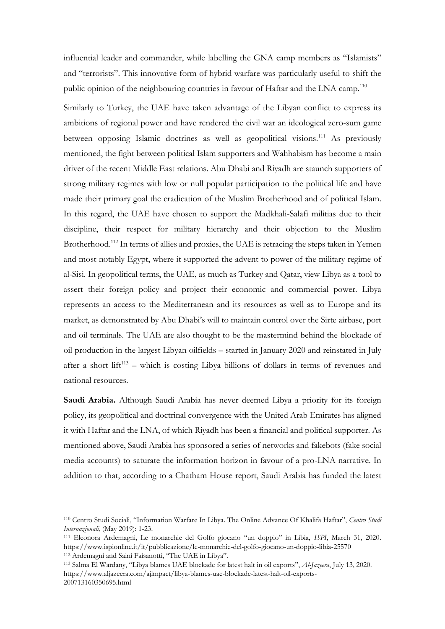influential leader and commander, while labelling the GNA camp members as "Islamists" and "terrorists". This innovative form of hybrid warfare was particularly useful to shift the public opinion of the neighbouring countries in favour of Haftar and the LNA camp.<sup>110</sup>

Similarly to Turkey, the UAE have taken advantage of the Libyan conflict to express its ambitions of regional power and have rendered the civil war an ideological zero-sum game between opposing Islamic doctrines as well as geopolitical visions.<sup>111</sup> As previously mentioned, the fight between political Islam supporters and Wahhabism has become a main driver of the recent Middle East relations. Abu Dhabi and Riyadh are staunch supporters of strong military regimes with low or null popular participation to the political life and have made their primary goal the eradication of the Muslim Brotherhood and of political Islam. In this regard, the UAE have chosen to support the Madkhali-Salafi militias due to their discipline, their respect for military hierarchy and their objection to the Muslim Brotherhood.<sup>112</sup> In terms of allies and proxies, the UAE is retracing the steps taken in Yemen and most notably Egypt, where it supported the advent to power of the military regime of al-Sisi. In geopolitical terms, the UAE, as much as Turkey and Qatar, view Libya as a tool to assert their foreign policy and project their economic and commercial power. Libya represents an access to the Mediterranean and its resources as well as to Europe and its market, as demonstrated by Abu Dhabi's will to maintain control over the Sirte airbase, port and oil terminals. The UAE are also thought to be the mastermind behind the blockade of oil production in the largest Libyan oilfields – started in January 2020 and reinstated in July after a short lift<sup>113</sup> – which is costing Libya billions of dollars in terms of revenues and national resources.

**Saudi Arabia.** Although Saudi Arabia has never deemed Libya a priority for its foreign policy, its geopolitical and doctrinal convergence with the United Arab Emirates has aligned it with Haftar and the LNA, of which Riyadh has been a financial and political supporter. As mentioned above, Saudi Arabia has sponsored a series of networks and fakebots (fake social media accounts) to saturate the information horizon in favour of a pro-LNA narrative. In addition to that, according to a Chatham House report, Saudi Arabia has funded the latest

<sup>110</sup> Centro Studi Sociali, "Information Warfare In Libya. The Online Advance Of Khalifa Haftar", *Centro Studi Internazionali*, (May 2019): 1-23.

<sup>111</sup> Eleonora Ardemagni, Le monarchie del Golfo giocano "un doppio" in Libia, *ISPI*, March 31, 2020. https://www.ispionline.it/it/pubblicazione/le-monarchie-del-golfo-giocano-un-doppio-libia-25570 <sup>112</sup> Ardemagni and Saini Faisanotti, "The UAE in Libya".

<sup>113</sup> Salma El Wardany, "Libya blames UAE blockade for latest halt in oil exports", *Al-Jazeera*, July 13, 2020. https://www.aljazeera.com/ajimpact/libya-blames-uae-blockade-latest-halt-oil-exports-200713160350695.html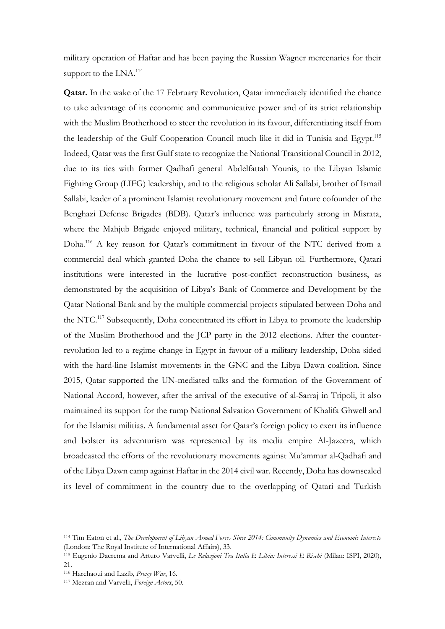military operation of Haftar and has been paying the Russian Wagner mercenaries for their support to the LNA.<sup>114</sup>

**Qatar.** In the wake of the 17 February Revolution, Qatar immediately identified the chance to take advantage of its economic and communicative power and of its strict relationship with the Muslim Brotherhood to steer the revolution in its favour, differentiating itself from the leadership of the Gulf Cooperation Council much like it did in Tunisia and Egypt.<sup>115</sup> Indeed, Qatar was the first Gulf state to recognize the National Transitional Council in 2012, due to its ties with former Qadhafi general Abdelfattah Younis, to the Libyan Islamic Fighting Group (LIFG) leadership, and to the religious scholar Ali Sallabi, brother of Ismail Sallabi, leader of a prominent Islamist revolutionary movement and future cofounder of the Benghazi Defense Brigades (BDB). Qatar's influence was particularly strong in Misrata, where the Mahjub Brigade enjoyed military, technical, financial and political support by Doha.<sup>116</sup> A key reason for Qatar's commitment in favour of the NTC derived from a commercial deal which granted Doha the chance to sell Libyan oil. Furthermore, Qatari institutions were interested in the lucrative post-conflict reconstruction business, as demonstrated by the acquisition of Libya's Bank of Commerce and Development by the Qatar National Bank and by the multiple commercial projects stipulated between Doha and the NTC.<sup>117</sup> Subsequently, Doha concentrated its effort in Libya to promote the leadership of the Muslim Brotherhood and the JCP party in the 2012 elections. After the counterrevolution led to a regime change in Egypt in favour of a military leadership, Doha sided with the hard-line Islamist movements in the GNC and the Libya Dawn coalition. Since 2015, Qatar supported the UN-mediated talks and the formation of the Government of National Accord, however, after the arrival of the executive of al-Sarraj in Tripoli, it also maintained its support for the rump National Salvation Government of Khalifa Ghwell and for the Islamist militias. A fundamental asset for Qatar's foreign policy to exert its influence and bolster its adventurism was represented by its media empire Al-Jazeera, which broadcasted the efforts of the revolutionary movements against Mu'ammar al-Qadhafi and of the Libya Dawn camp against Haftar in the 2014 civil war. Recently, Doha has downscaled its level of commitment in the country due to the overlapping of Qatari and Turkish

<sup>114</sup> Tim Eaton et al., *The Development of Libyan Armed Forces Since 2014: Community Dynamics and Economic Interests* (London: The Royal Institute of International Affairs), 33.

<sup>115</sup> Eugenio Dacrema and Arturo Varvelli, *Le Relazioni Tra Italia E Libia: Interessi E Rischi* (Milan: ISPI, 2020), 21.

<sup>116</sup> Harchaoui and Lazib, *Proxy War*, 16.

<sup>117</sup> Mezran and Varvelli, *Foreign Actors*, 50.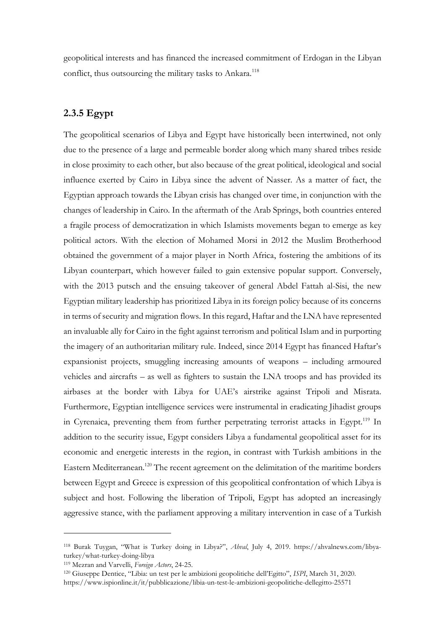geopolitical interests and has financed the increased commitment of Erdogan in the Libyan conflict, thus outsourcing the military tasks to Ankara.<sup>118</sup>

# **2.3.5 Egypt**

The geopolitical scenarios of Libya and Egypt have historically been intertwined, not only due to the presence of a large and permeable border along which many shared tribes reside in close proximity to each other, but also because of the great political, ideological and social influence exerted by Cairo in Libya since the advent of Nasser. As a matter of fact, the Egyptian approach towards the Libyan crisis has changed over time, in conjunction with the changes of leadership in Cairo. In the aftermath of the Arab Springs, both countries entered a fragile process of democratization in which Islamists movements began to emerge as key political actors. With the election of Mohamed Morsi in 2012 the Muslim Brotherhood obtained the government of a major player in North Africa, fostering the ambitions of its Libyan counterpart, which however failed to gain extensive popular support. Conversely, with the 2013 putsch and the ensuing takeover of general Abdel Fattah al-Sisi, the new Egyptian military leadership has prioritized Libya in its foreign policy because of its concerns in terms of security and migration flows. In this regard, Haftar and the LNA have represented an invaluable ally for Cairo in the fight against terrorism and political Islam and in purporting the imagery of an authoritarian military rule. Indeed, since 2014 Egypt has financed Haftar's expansionist projects, smuggling increasing amounts of weapons – including armoured vehicles and aircrafts – as well as fighters to sustain the LNA troops and has provided its airbases at the border with Libya for UAE's airstrike against Tripoli and Misrata. Furthermore, Egyptian intelligence services were instrumental in eradicating Jihadist groups in Cyrenaica, preventing them from further perpetrating terrorist attacks in Egypt.<sup>119</sup> In addition to the security issue, Egypt considers Libya a fundamental geopolitical asset for its economic and energetic interests in the region, in contrast with Turkish ambitions in the Eastern Mediterranean.<sup>120</sup> The recent agreement on the delimitation of the maritime borders between Egypt and Greece is expression of this geopolitical confrontation of which Libya is subject and host. Following the liberation of Tripoli, Egypt has adopted an increasingly aggressive stance, with the parliament approving a military intervention in case of a Turkish

<sup>118</sup> Burak Tuygan, "What is Turkey doing in Libya?", *Ahval*, July 4, 2019. https://ahvalnews.com/libyaturkey/what-turkey-doing-libya

<sup>119</sup> Mezran and Varvelli, *Foreign Actors*, 24-25.

<sup>120</sup> Giuseppe Dentice, "Libia: un test per le ambizioni geopolitiche dell'Egitto", *ISPI*, March 31, 2020.

https://www.ispionline.it/it/pubblicazione/libia-un-test-le-ambizioni-geopolitiche-dellegitto-25571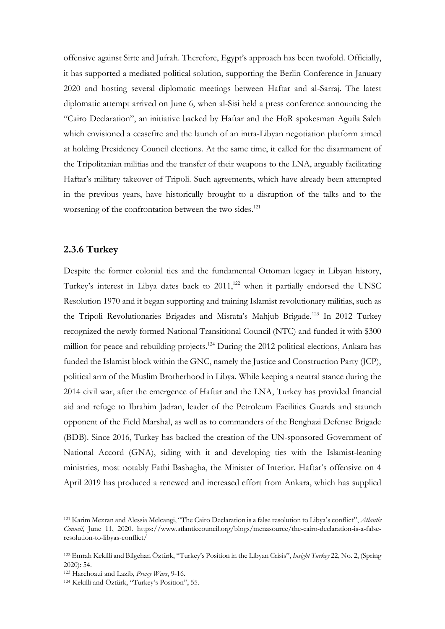offensive against Sirte and Jufrah. Therefore, Egypt's approach has been twofold. Officially, it has supported a mediated political solution, supporting the Berlin Conference in January 2020 and hosting several diplomatic meetings between Haftar and al-Sarraj. The latest diplomatic attempt arrived on June 6, when al-Sisi held a press conference announcing the "Cairo Declaration", an initiative backed by Haftar and the HoR spokesman Aguila Saleh which envisioned a ceasefire and the launch of an intra-Libyan negotiation platform aimed at holding Presidency Council elections. At the same time, it called for the disarmament of the Tripolitanian militias and the transfer of their weapons to the LNA, arguably facilitating Haftar's military takeover of Tripoli. Such agreements, which have already been attempted in the previous years, have historically brought to a disruption of the talks and to the worsening of the confrontation between the two sides.<sup>121</sup>

### **2.3.6 Turkey**

Despite the former colonial ties and the fundamental Ottoman legacy in Libyan history, Turkey's interest in Libya dates back to 2011,<sup>122</sup> when it partially endorsed the UNSC Resolution 1970 and it began supporting and training Islamist revolutionary militias, such as the Tripoli Revolutionaries Brigades and Misrata's Mahjub Brigade.<sup>123</sup> In 2012 Turkey recognized the newly formed National Transitional Council (NTC) and funded it with \$300 million for peace and rebuilding projects.<sup>124</sup> During the 2012 political elections, Ankara has funded the Islamist block within the GNC, namely the Justice and Construction Party (JCP), political arm of the Muslim Brotherhood in Libya. While keeping a neutral stance during the 2014 civil war, after the emergence of Haftar and the LNA, Turkey has provided financial aid and refuge to Ibrahim Jadran, leader of the Petroleum Facilities Guards and staunch opponent of the Field Marshal, as well as to commanders of the Benghazi Defense Brigade (BDB). Since 2016, Turkey has backed the creation of the UN-sponsored Government of National Accord (GNA), siding with it and developing ties with the Islamist-leaning ministries, most notably Fathi Bashagha, the Minister of Interior. Haftar's offensive on 4 April 2019 has produced a renewed and increased effort from Ankara, which has supplied

<sup>121</sup> Karim Mezran and Alessia Melcangi, "The Cairo Declaration is a false resolution to Libya's conflict", *Atlantic Council*, June 11, 2020. https://www.atlanticcouncil.org/blogs/menasource/the-cairo-declaration-is-a-falseresolution-to-libyas-conflict/

<sup>122</sup> Emrah Kekilli and Bilgehan Öztürk, "Turkey's Position in the Libyan Crisis", *Insight Turkey* 22, No. 2, (Spring 2020): 54.

<sup>123</sup> Harchoaui and Lazib, *Proxy Wars*, 9-16.

<sup>124</sup> Kekilli and Öztürk, "Turkey's Position", 55.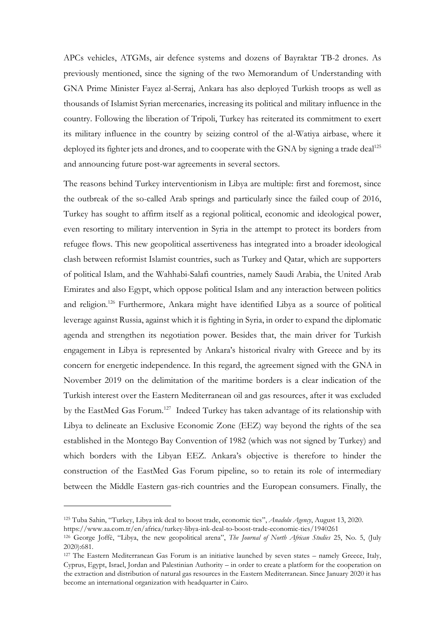APCs vehicles, ATGMs, air defence systems and dozens of Bayraktar TB-2 drones. As previously mentioned, since the signing of the two Memorandum of Understanding with GNA Prime Minister Fayez al-Serraj, Ankara has also deployed Turkish troops as well as thousands of Islamist Syrian mercenaries, increasing its political and military influence in the country. Following the liberation of Tripoli, Turkey has reiterated its commitment to exert its military influence in the country by seizing control of the al-Watiya airbase, where it deployed its fighter jets and drones, and to cooperate with the GNA by signing a trade deal<sup>125</sup> and announcing future post-war agreements in several sectors.

The reasons behind Turkey interventionism in Libya are multiple: first and foremost, since the outbreak of the so-called Arab springs and particularly since the failed coup of 2016, Turkey has sought to affirm itself as a regional political, economic and ideological power, even resorting to military intervention in Syria in the attempt to protect its borders from refugee flows. This new geopolitical assertiveness has integrated into a broader ideological clash between reformist Islamist countries, such as Turkey and Qatar, which are supporters of political Islam, and the Wahhabi-Salafi countries, namely Saudi Arabia, the United Arab Emirates and also Egypt, which oppose political Islam and any interaction between politics and religion.<sup>126</sup> Furthermore, Ankara might have identified Libya as a source of political leverage against Russia, against which it is fighting in Syria, in order to expand the diplomatic agenda and strengthen its negotiation power. Besides that, the main driver for Turkish engagement in Libya is represented by Ankara's historical rivalry with Greece and by its concern for energetic independence. In this regard, the agreement signed with the GNA in November 2019 on the delimitation of the maritime borders is a clear indication of the Turkish interest over the Eastern Mediterranean oil and gas resources, after it was excluded by the EastMed Gas Forum.<sup>127</sup> Indeed Turkey has taken advantage of its relationship with Libya to delineate an Exclusive Economic Zone (EEZ) way beyond the rights of the sea established in the Montego Bay Convention of 1982 (which was not signed by Turkey) and which borders with the Libyan EEZ. Ankara's objective is therefore to hinder the construction of the EastMed Gas Forum pipeline, so to retain its role of intermediary between the Middle Eastern gas-rich countries and the European consumers. Finally, the

<sup>125</sup> Tuba Sahin, "Turkey, Libya ink deal to boost trade, economic ties", *Anadolu Agency*, August 13, 2020.

https://www.aa.com.tr/en/africa/turkey-libya-ink-deal-to-boost-trade-economic-ties/1940261

<sup>126</sup> George Joffè, "Libya, the new geopolitical arena", *The Journal of North African Studies* 25, No. 5, (July 2020):681.

<sup>127</sup> The Eastern Mediterranean Gas Forum is an initiative launched by seven states – namely Greece, Italy, Cyprus, Egypt, Israel, Jordan and Palestinian Authority – in order to create a platform for the cooperation on the extraction and distribution of natural gas resources in the Eastern Mediterranean. Since January 2020 it has become an international organization with headquarter in Cairo.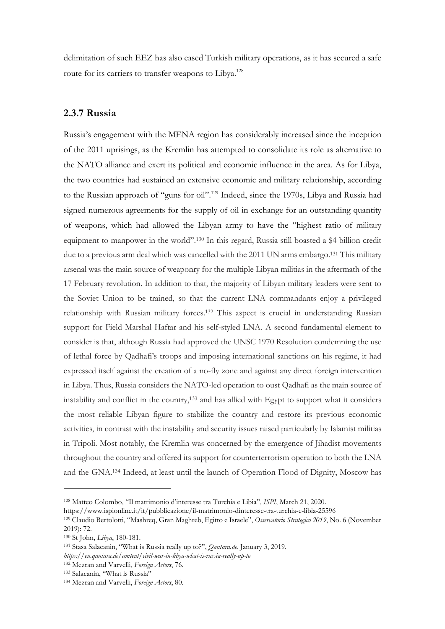delimitation of such EEZ has also eased Turkish military operations, as it has secured a safe route for its carriers to transfer weapons to Libya.<sup>128</sup>

## **2.3.7 Russia**

Russia's engagement with the MENA region has considerably increased since the inception of the 2011 uprisings, as the Kremlin has attempted to consolidate its role as alternative to the NATO alliance and exert its political and economic influence in the area. As for Libya, the two countries had sustained an extensive economic and military relationship, according to the Russian approach of "guns for oil".<sup>129</sup> Indeed, since the 1970s, Libya and Russia had signed numerous agreements for the supply of oil in exchange for an outstanding quantity of weapons, which had allowed the Libyan army to have the "highest ratio of military equipment to manpower in the world".<sup>130</sup> In this regard, Russia still boasted a \$4 billion credit due to a previous arm deal which was cancelled with the 2011 UN arms embargo.<sup>131</sup> This military arsenal was the main source of weaponry for the multiple Libyan militias in the aftermath of the 17 February revolution. In addition to that, the majority of Libyan military leaders were sent to the Soviet Union to be trained, so that the current LNA commandants enjoy a privileged relationship with Russian military forces.<sup>132</sup> This aspect is crucial in understanding Russian support for Field Marshal Haftar and his self-styled LNA. A second fundamental element to consider is that, although Russia had approved the UNSC 1970 Resolution condemning the use of lethal force by Qadhafi's troops and imposing international sanctions on his regime, it had expressed itself against the creation of a no-fly zone and against any direct foreign intervention in Libya. Thus, Russia considers the NATO-led operation to oust Qadhafi as the main source of instability and conflict in the country, <sup>133</sup> and has allied with Egypt to support what it considers the most reliable Libyan figure to stabilize the country and restore its previous economic activities, in contrast with the instability and security issues raised particularly by Islamist militias in Tripoli. Most notably, the Kremlin was concerned by the emergence of Jihadist movements throughout the country and offered its support for counterterrorism operation to both the LNA and the GNA.<sup>134</sup> Indeed, at least until the launch of Operation Flood of Dignity, Moscow has

<sup>128</sup> Matteo Colombo, "Il matrimonio d'interesse tra Turchia e Libia", *ISPI*, March 21, 2020.

https://www.ispionline.it/it/pubblicazione/il-matrimonio-dinteresse-tra-turchia-e-libia-25596

<sup>129</sup> Claudio Bertolotti, "Mashreq, Gran Maghreb, Egitto e Israele", *Osservatorio Strategico 2019*, No. 6 (November 2019): 72.

<sup>130</sup> St John, *Libya*, 180-181.

<sup>131</sup> Stasa Salacanin, "What is Russia really up to?", *Qantara.de*, January 3, 2019.

*https://en.qantara.de/content/civil-war-in-libya-what-is-russia-really-up-to*

<sup>132</sup> Mezran and Varvelli, *Foreign Actors*, 76.

<sup>133</sup> Salacanin, "What is Russia"

<sup>134</sup> Mezran and Varvelli, *Foreign Actors*, 80.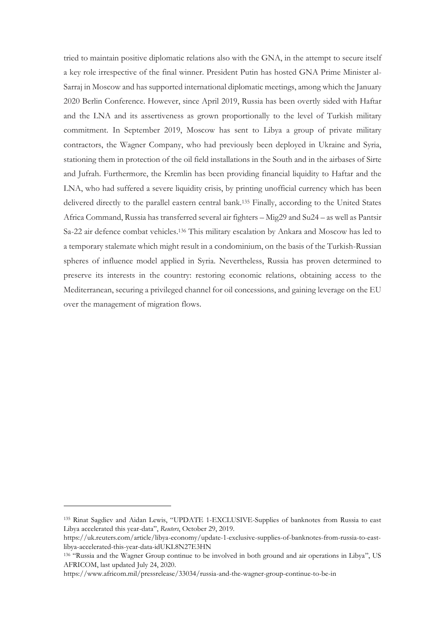tried to maintain positive diplomatic relations also with the GNA, in the attempt to secure itself a key role irrespective of the final winner. President Putin has hosted GNA Prime Minister al-Sarraj in Moscow and has supported international diplomatic meetings, among which the January 2020 Berlin Conference. However, since April 2019, Russia has been overtly sided with Haftar and the LNA and its assertiveness as grown proportionally to the level of Turkish military commitment. In September 2019, Moscow has sent to Libya a group of private military contractors, the Wagner Company, who had previously been deployed in Ukraine and Syria, stationing them in protection of the oil field installations in the South and in the airbases of Sirte and Jufrah. Furthermore, the Kremlin has been providing financial liquidity to Haftar and the LNA, who had suffered a severe liquidity crisis, by printing unofficial currency which has been delivered directly to the parallel eastern central bank.<sup>135</sup> Finally, according to the United States Africa Command, Russia has transferred several air fighters – Mig29 and Su24 – as well as Pantsir Sa-22 air defence combat vehicles.<sup>136</sup> This military escalation by Ankara and Moscow has led to a temporary stalemate which might result in a condominium, on the basis of the Turkish-Russian spheres of influence model applied in Syria. Nevertheless, Russia has proven determined to preserve its interests in the country: restoring economic relations, obtaining access to the Mediterranean, securing a privileged channel for oil concessions, and gaining leverage on the EU over the management of migration flows.

<sup>135</sup> Rinat Sagdiev and Aidan Lewis, "UPDATE 1-EXCLUSIVE-Supplies of banknotes from Russia to east Libya accelerated this year-data", *Reuters*, October 29, 2019.

https://uk.reuters.com/article/libya-economy/update-1-exclusive-supplies-of-banknotes-from-russia-to-eastlibya-accelerated-this-year-data-idUKL8N27E3HN

<sup>136</sup> "Russia and the Wagner Group continue to be involved in both ground and air operations in Libya", US AFRICOM, last updated July 24, 2020.

https://www.africom.mil/pressrelease/33034/russia-and-the-wagner-group-continue-to-be-in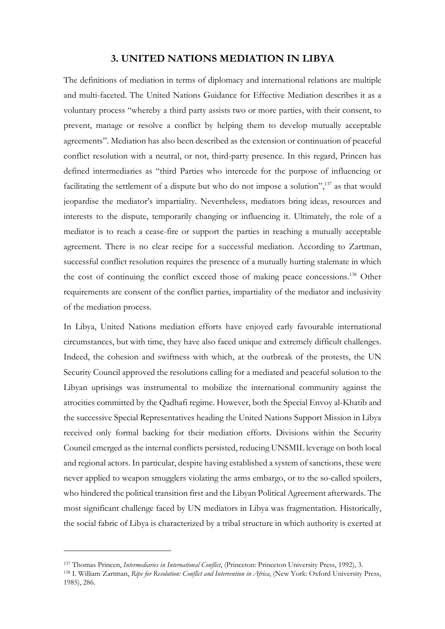## **3. UNITED NATIONS MEDIATION IN LIBYA**

The definitions of mediation in terms of diplomacy and international relations are multiple and multi-faceted. The United Nations Guidance for Effective Mediation describes it as a voluntary process "whereby a third party assists two or more parties, with their consent, to prevent, manage or resolve a conflict by helping them to develop mutually acceptable agreements". Mediation has also been described as the extension or continuation of peaceful conflict resolution with a neutral, or not, third-party presence. In this regard, Princen has defined intermediaries as "third Parties who intercede for the purpose of influencing or facilitating the settlement of a dispute but who do not impose a solution",<sup>37</sup> as that would jeopardise the mediator's impartiality. Nevertheless, mediators bring ideas, resources and interests to the dispute, temporarily changing or influencing it. Ultimately, the role of a mediator is to reach a cease-fire or support the parties in reaching a mutually acceptable agreement. There is no clear recipe for a successful mediation. According to Zartman, successful conflict resolution requires the presence of a mutually hurting stalemate in which the cost of continuing the conflict exceed those of making peace concessions.<sup>138</sup> Other requirements are consent of the conflict parties, impartiality of the mediator and inclusivity of the mediation process.

In Libya, United Nations mediation efforts have enjoyed early favourable international circumstances, but with time, they have also faced unique and extremely difficult challenges. Indeed, the cohesion and swiftness with which, at the outbreak of the protests, the UN Security Council approved the resolutions calling for a mediated and peaceful solution to the Libyan uprisings was instrumental to mobilize the international community against the atrocities committed by the Qadhafi regime. However, both the Special Envoy al-Khatib and the successive Special Representatives heading the United Nations Support Mission in Libya received only formal backing for their mediation efforts. Divisions within the Security Council emerged as the internal conflicts persisted, reducing UNSMIL leverage on both local and regional actors. In particular, despite having established a system of sanctions, these were never applied to weapon smugglers violating the arms embargo, or to the so-called spoilers, who hindered the political transition first and the Libyan Political Agreement afterwards. The most significant challenge faced by UN mediators in Libya was fragmentation. Historically, the social fabric of Libya is characterized by a tribal structure in which authority is exerted at

<sup>137</sup> Thomas Princen, *Intermediaries in International Conflict*, (Princeton: Princeton University Press, 1992), 3.

<sup>138</sup> I. William Zartman, *Ripe for Resolution: Conflict and Intervention in Africa*, (New York: Oxford University Press, 1985), 286.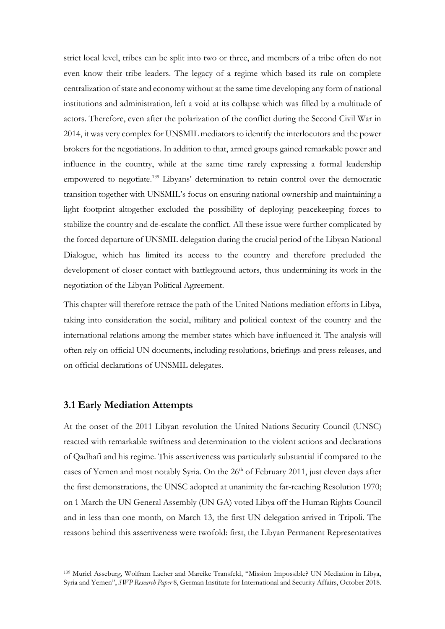strict local level, tribes can be split into two or three, and members of a tribe often do not even know their tribe leaders. The legacy of a regime which based its rule on complete centralization of state and economy without at the same time developing any form of national institutions and administration, left a void at its collapse which was filled by a multitude of actors. Therefore, even after the polarization of the conflict during the Second Civil War in 2014, it was very complex for UNSMIL mediators to identify the interlocutors and the power brokers for the negotiations. In addition to that, armed groups gained remarkable power and influence in the country, while at the same time rarely expressing a formal leadership empowered to negotiate.<sup>139</sup> Libyans' determination to retain control over the democratic transition together with UNSMIL's focus on ensuring national ownership and maintaining a light footprint altogether excluded the possibility of deploying peacekeeping forces to stabilize the country and de-escalate the conflict. All these issue were further complicated by the forced departure of UNSMIL delegation during the crucial period of the Libyan National Dialogue, which has limited its access to the country and therefore precluded the development of closer contact with battleground actors, thus undermining its work in the negotiation of the Libyan Political Agreement.

This chapter will therefore retrace the path of the United Nations mediation efforts in Libya, taking into consideration the social, military and political context of the country and the international relations among the member states which have influenced it. The analysis will often rely on official UN documents, including resolutions, briefings and press releases, and on official declarations of UNSMIL delegates.

## **3.1 Early Mediation Attempts**

At the onset of the 2011 Libyan revolution the United Nations Security Council (UNSC) reacted with remarkable swiftness and determination to the violent actions and declarations of Qadhafi and his regime. This assertiveness was particularly substantial if compared to the cases of Yemen and most notably Syria. On the  $26<sup>th</sup>$  of February 2011, just eleven days after the first demonstrations, the UNSC adopted at unanimity the far-reaching Resolution 1970; on 1 March the UN General Assembly (UN GA) voted Libya off the Human Rights Council and in less than one month, on March 13, the first UN delegation arrived in Tripoli. The reasons behind this assertiveness were twofold: first, the Libyan Permanent Representatives

<sup>139</sup> Muriel Asseburg, Wolfram Lacher and Mareike Transfeld, "Mission Impossible? UN Mediation in Libya, Syria and Yemen", *SWP Research Paper* 8, German Institute for International and Security Affairs, October 2018.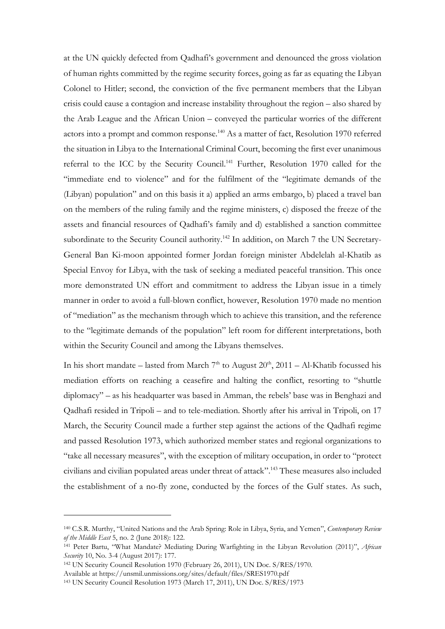at the UN quickly defected from Qadhafi's government and denounced the gross violation of human rights committed by the regime security forces, going as far as equating the Libyan Colonel to Hitler; second, the conviction of the five permanent members that the Libyan crisis could cause a contagion and increase instability throughout the region – also shared by the Arab League and the African Union – conveyed the particular worries of the different actors into a prompt and common response.<sup>140</sup> As a matter of fact, Resolution 1970 referred the situation in Libya to the International Criminal Court, becoming the first ever unanimous referral to the ICC by the Security Council.<sup>141</sup> Further, Resolution 1970 called for the "immediate end to violence" and for the fulfilment of the "legitimate demands of the (Libyan) population" and on this basis it a) applied an arms embargo, b) placed a travel ban on the members of the ruling family and the regime ministers, c) disposed the freeze of the assets and financial resources of Qadhafi's family and d) established a sanction committee subordinate to the Security Council authority.<sup>142</sup> In addition, on March 7 the UN Secretary-General Ban Ki-moon appointed former Jordan foreign minister Abdelelah al-Khatib as Special Envoy for Libya, with the task of seeking a mediated peaceful transition. This once more demonstrated UN effort and commitment to address the Libyan issue in a timely manner in order to avoid a full-blown conflict, however, Resolution 1970 made no mention of "mediation" as the mechanism through which to achieve this transition, and the reference to the "legitimate demands of the population" left room for different interpretations, both within the Security Council and among the Libyans themselves.

In his short mandate – lasted from March  $7<sup>th</sup>$  to August  $20<sup>th</sup>$ ,  $2011$  – Al-Khatib focussed his mediation efforts on reaching a ceasefire and halting the conflict, resorting to "shuttle diplomacy" – as his headquarter was based in Amman, the rebels' base was in Benghazi and Qadhafi resided in Tripoli – and to tele-mediation. Shortly after his arrival in Tripoli, on 17 March, the Security Council made a further step against the actions of the Qadhafi regime and passed Resolution 1973, which authorized member states and regional organizations to "take all necessary measures", with the exception of military occupation, in order to "protect civilians and civilian populated areas under threat of attack".<sup>143</sup> These measures also included the establishment of a no-fly zone, conducted by the forces of the Gulf states. As such,

<sup>140</sup> C.S.R. Murthy, "United Nations and the Arab Spring: Role in Libya, Syria, and Yemen", *Contemporary Review of the Middle East* 5, no. 2 (June 2018): 122.

<sup>141</sup> Peter Bartu, "What Mandate? Mediating During Warfighting in the Libyan Revolution (2011)", *African Security* 10, No. 3-4 (August 2017): 177.

<sup>142</sup> UN Security Council Resolution 1970 (February 26, 2011), UN Doc. S/RES/1970.

Available at https://unsmil.unmissions.org/sites/default/files/SRES1970.pdf

<sup>143</sup> UN Security Council Resolution 1973 (March 17, 2011), UN Doc. S/RES/1973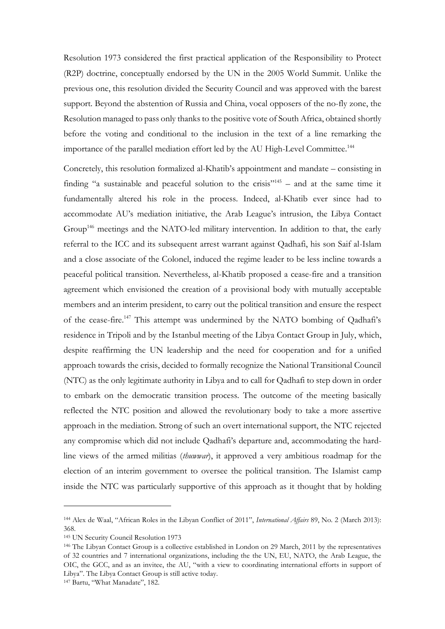Resolution 1973 considered the first practical application of the Responsibility to Protect (R2P) doctrine, conceptually endorsed by the UN in the 2005 World Summit. Unlike the previous one, this resolution divided the Security Council and was approved with the barest support. Beyond the abstention of Russia and China, vocal opposers of the no-fly zone, the Resolution managed to pass only thanks to the positive vote of South Africa, obtained shortly before the voting and conditional to the inclusion in the text of a line remarking the importance of the parallel mediation effort led by the AU High-Level Committee.<sup>144</sup>

Concretely, this resolution formalized al-Khatib's appointment and mandate – consisting in finding "a sustainable and peaceful solution to the crisis"<sup>145</sup> – and at the same time it fundamentally altered his role in the process. Indeed, al-Khatib ever since had to accommodate AU's mediation initiative, the Arab League's intrusion, the Libya Contact Group<sup>146</sup> meetings and the NATO-led military intervention. In addition to that, the early referral to the ICC and its subsequent arrest warrant against Qadhafi, his son Saif al-Islam and a close associate of the Colonel, induced the regime leader to be less incline towards a peaceful political transition. Nevertheless, al-Khatib proposed a cease-fire and a transition agreement which envisioned the creation of a provisional body with mutually acceptable members and an interim president, to carry out the political transition and ensure the respect of the cease-fire.<sup>147</sup> This attempt was undermined by the NATO bombing of Qadhafi's residence in Tripoli and by the Istanbul meeting of the Libya Contact Group in July, which, despite reaffirming the UN leadership and the need for cooperation and for a unified approach towards the crisis, decided to formally recognize the National Transitional Council (NTC) as the only legitimate authority in Libya and to call for Qadhafi to step down in order to embark on the democratic transition process. The outcome of the meeting basically reflected the NTC position and allowed the revolutionary body to take a more assertive approach in the mediation. Strong of such an overt international support, the NTC rejected any compromise which did not include Qadhafi's departure and, accommodating the hardline views of the armed militias (*thuwwar*), it approved a very ambitious roadmap for the election of an interim government to oversee the political transition. The Islamist camp inside the NTC was particularly supportive of this approach as it thought that by holding

<sup>144</sup> Alex de Waal, "African Roles in the Libyan Conflict of 2011", *International Affairs* 89, No. 2 (March 2013): 368.

<sup>145</sup> UN Security Council Resolution 1973

<sup>146</sup> The Libyan Contact Group is a collective established in London on 29 March, 2011 by the representatives of 32 countries and 7 international organizations, including the the UN, EU, NATO, the Arab League, the OIC, the GCC, and as an invitee, the AU, "with a view to coordinating international efforts in support of Libya". The Libya Contact Group is still active today.

<sup>147</sup> Bartu, "What Manadate", 182.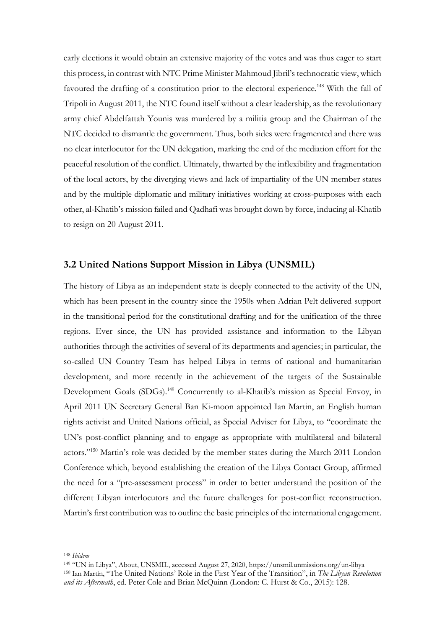early elections it would obtain an extensive majority of the votes and was thus eager to start this process, in contrast with NTC Prime Minister Mahmoud Jibril's technocratic view, which favoured the drafting of a constitution prior to the electoral experience.<sup>148</sup> With the fall of Tripoli in August 2011, the NTC found itself without a clear leadership, as the revolutionary army chief Abdelfattah Younis was murdered by a militia group and the Chairman of the NTC decided to dismantle the government. Thus, both sides were fragmented and there was no clear interlocutor for the UN delegation, marking the end of the mediation effort for the peaceful resolution of the conflict. Ultimately, thwarted by the inflexibility and fragmentation of the local actors, by the diverging views and lack of impartiality of the UN member states and by the multiple diplomatic and military initiatives working at cross-purposes with each other, al-Khatib's mission failed and Qadhafi was brought down by force, inducing al-Khatib to resign on 20 August 2011.

### **3.2 United Nations Support Mission in Libya (UNSMIL)**

The history of Libya as an independent state is deeply connected to the activity of the UN, which has been present in the country since the 1950s when Adrian Pelt delivered support in the transitional period for the constitutional drafting and for the unification of the three regions. Ever since, the UN has provided assistance and information to the Libyan authorities through the activities of several of its departments and agencies; in particular, the so-called UN Country Team has helped Libya in terms of national and humanitarian development, and more recently in the achievement of the targets of the Sustainable Development Goals (SDGs).<sup>149</sup> Concurrently to al-Khatib's mission as Special Envoy, in April 2011 UN Secretary General Ban Ki-moon appointed Ian Martin, an English human rights activist and United Nations official, as Special Adviser for Libya, to "coordinate the UN's post-conflict planning and to engage as appropriate with multilateral and bilateral actors."<sup>150</sup> Martin's role was decided by the member states during the March 2011 London Conference which, beyond establishing the creation of the Libya Contact Group, affirmed the need for a "pre-assessment process" in order to better understand the position of the different Libyan interlocutors and the future challenges for post-conflict reconstruction. Martin's first contribution was to outline the basic principles of the international engagement.

<sup>148</sup> *Ibidem*

<sup>149</sup> "UN in Libya", About, UNSMIL, accessed August 27, 2020, https://unsmil.unmissions.org/un-libya <sup>150</sup> Ian Martin, "The United Nations' Role in the First Year of the Transition", in *The Libyan Revolution and its Aftermath*, ed. Peter Cole and Brian McQuinn (London: C. Hurst & Co., 2015): 128.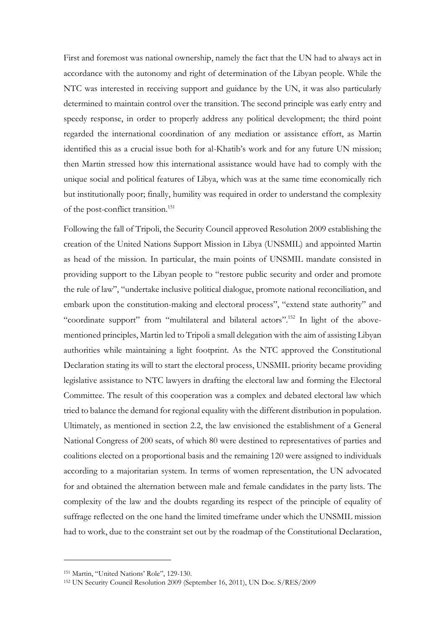First and foremost was national ownership, namely the fact that the UN had to always act in accordance with the autonomy and right of determination of the Libyan people. While the NTC was interested in receiving support and guidance by the UN, it was also particularly determined to maintain control over the transition. The second principle was early entry and speedy response, in order to properly address any political development; the third point regarded the international coordination of any mediation or assistance effort, as Martin identified this as a crucial issue both for al-Khatib's work and for any future UN mission; then Martin stressed how this international assistance would have had to comply with the unique social and political features of Libya, which was at the same time economically rich but institutionally poor; finally, humility was required in order to understand the complexity of the post-conflict transition.<sup>151</sup>

Following the fall of Tripoli, the Security Council approved Resolution 2009 establishing the creation of the United Nations Support Mission in Libya (UNSMIL) and appointed Martin as head of the mission. In particular, the main points of UNSMIL mandate consisted in providing support to the Libyan people to "restore public security and order and promote the rule of law", "undertake inclusive political dialogue, promote national reconciliation, and embark upon the constitution-making and electoral process", "extend state authority" and "coordinate support" from "multilateral and bilateral actors".<sup>152</sup> In light of the abovementioned principles, Martin led to Tripoli a small delegation with the aim of assisting Libyan authorities while maintaining a light footprint. As the NTC approved the Constitutional Declaration stating its will to start the electoral process, UNSMIL priority became providing legislative assistance to NTC lawyers in drafting the electoral law and forming the Electoral Committee. The result of this cooperation was a complex and debated electoral law which tried to balance the demand for regional equality with the different distribution in population. Ultimately, as mentioned in section 2.2, the law envisioned the establishment of a General National Congress of 200 seats, of which 80 were destined to representatives of parties and coalitions elected on a proportional basis and the remaining 120 were assigned to individuals according to a majoritarian system. In terms of women representation, the UN advocated for and obtained the alternation between male and female candidates in the party lists. The complexity of the law and the doubts regarding its respect of the principle of equality of suffrage reflected on the one hand the limited timeframe under which the UNSMIL mission had to work, due to the constraint set out by the roadmap of the Constitutional Declaration,

<sup>151</sup> Martin, "United Nations' Role", 129-130.

<sup>152</sup> UN Security Council Resolution 2009 (September 16, 2011), UN Doc. S/RES/2009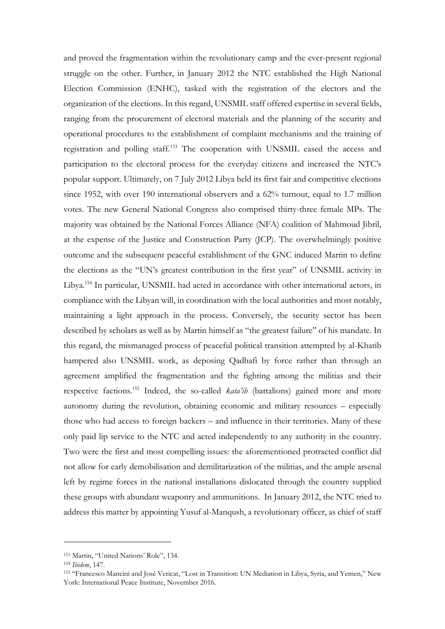and proved the fragmentation within the revolutionary camp and the ever-present regional struggle on the other. Further, in January 2012 the NTC established the High National Election Commission (ENHC), tasked with the registration of the electors and the organization of the elections. In this regard, UNSMIL staff offered expertise in several fields, ranging from the procurement of electoral materials and the planning of the security and operational procedures to the establishment of complaint mechanisms and the training of registration and polling staff.<sup>153</sup> The cooperation with UNSMIL eased the access and participation to the electoral process for the everyday citizens and increased the NTC's popular support. Ultimately, on 7 July 2012 Libya held its first fair and competitive elections since 1952, with over 190 international observers and a 62% turnout, equal to 1.7 million votes. The new General National Congress also comprised thirty-three female MPs. The majority was obtained by the National Forces Alliance (NFA) coalition of Mahmoud Jibril, at the expense of the Justice and Construction Party (JCP). The overwhelmingly positive outcome and the subsequent peaceful establishment of the GNC induced Martin to define the elections as the "UN's greatest contribution in the first year" of UNSMIL activity in Libya.<sup>154</sup> In particular, UNSMIL had acted in accordance with other international actors, in compliance with the Libyan will, in coordination with the local authorities and most notably, maintaining a light approach in the process. Conversely, the security sector has been described by scholars as well as by Martin himself as "the greatest failure" of his mandate. In this regard, the mismanaged process of peaceful political transition attempted by al-Khatib hampered also UNSMIL work, as deposing Qadhafi by force rather than through an agreement amplified the fragmentation and the fighting among the militias and their respective factions.<sup>155</sup> Indeed, the so-called *kata'ib* (battalions) gained more and more autonomy during the revolution, obtaining economic and military resources – especially those who had access to foreign backers – and influence in their territories. Many of these only paid lip service to the NTC and acted independently to any authority in the country. Two were the first and most compelling issues: the aforementioned protracted conflict did not allow for early demobilisation and demilitarization of the militias, and the ample arsenal left by regime forces in the national installations dislocated through the country supplied these groups with abundant weaponry and ammunitions. In January 2012, the NTC tried to address this matter by appointing Yusuf al-Manqush, a revolutionary officer, as chief of staff

<sup>153</sup> Martin, "United Nations' Role", 134.

<sup>154</sup> *Ibidem*, 147.

<sup>155</sup> "Francesco Mancini and José Vericat, "Lost in Transition: UN Mediation in Libya, Syria, and Yemen," New York: International Peace Institute, November 2016.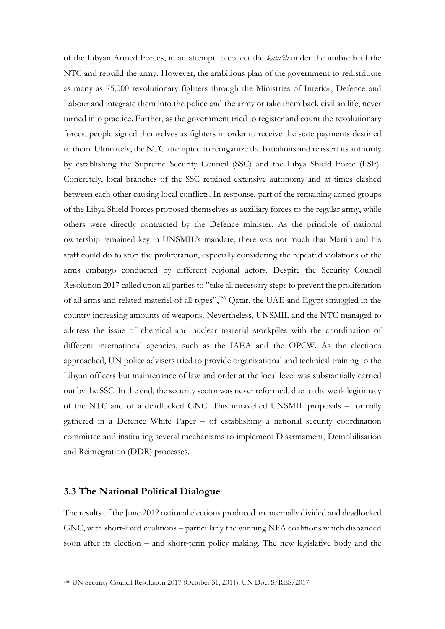of the Libyan Armed Forces, in an attempt to collect the *kata'ib* under the umbrella of the NTC and rebuild the army. However, the ambitious plan of the government to redistribute as many as 75,000 revolutionary fighters through the Ministries of Interior, Defence and Labour and integrate them into the police and the army or take them back civilian life, never turned into practice. Further, as the government tried to register and count the revolutionary forces, people signed themselves as fighters in order to receive the state payments destined to them. Ultimately, the NTC attempted to reorganize the battalions and reassert its authority by establishing the Supreme Security Council (SSC) and the Libya Shield Force (LSF). Concretely, local branches of the SSC retained extensive autonomy and at times clashed between each other causing local conflicts. In response, part of the remaining armed groups of the Libya Shield Forces proposed themselves as auxiliary forces to the regular army, while others were directly contracted by the Defence minister. As the principle of national ownership remained key in UNSMIL's mandate, there was not much that Martin and his staff could do to stop the proliferation, especially considering the repeated violations of the arms embargo conducted by different regional actors. Despite the Security Council Resolution 2017 called upon all parties to "take all necessary steps to prevent the proliferation of all arms and related materiel of all types", <sup>156</sup> Qatar, the UAE and Egypt smuggled in the country increasing amounts of weapons. Nevertheless, UNSMIL and the NTC managed to address the issue of chemical and nuclear material stockpiles with the coordination of different international agencies, such as the IAEA and the OPCW. As the elections approached, UN police advisers tried to provide organizational and technical training to the Libyan officers but maintenance of law and order at the local level was substantially carried out by the SSC. In the end, the security sector was never reformed, due to the weak legitimacy of the NTC and of a deadlocked GNC. This unravelled UNSMIL proposals – formally gathered in a Defence White Paper – of establishing a national security coordination committee and instituting several mechanisms to implement Disarmament, Demobilisation and Reintegration (DDR) processes.

### **3.3 The National Political Dialogue**

The results of the June 2012 national elections produced an internally divided and deadlocked GNC, with short-lived coalitions – particularly the winning NFA coalitions which disbanded soon after its election – and short-term policy making. The new legislative body and the

<sup>156</sup> UN Security Council Resolution 2017 (October 31, 2011), UN Doc. S/RES/2017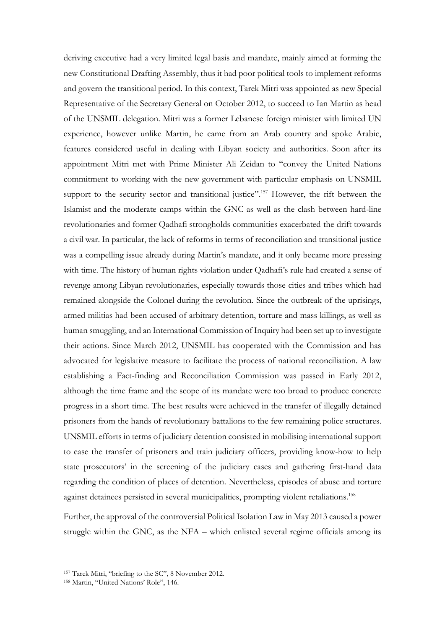deriving executive had a very limited legal basis and mandate, mainly aimed at forming the new Constitutional Drafting Assembly, thus it had poor political tools to implement reforms and govern the transitional period. In this context, Tarek Mitri was appointed as new Special Representative of the Secretary General on October 2012, to succeed to Ian Martin as head of the UNSMIL delegation. Mitri was a former Lebanese foreign minister with limited UN experience, however unlike Martin, he came from an Arab country and spoke Arabic, features considered useful in dealing with Libyan society and authorities. Soon after its appointment Mitri met with Prime Minister Ali Zeidan to "convey the United Nations commitment to working with the new government with particular emphasis on UNSMIL support to the security sector and transitional justice".<sup>157</sup> However, the rift between the Islamist and the moderate camps within the GNC as well as the clash between hard-line revolutionaries and former Qadhafi strongholds communities exacerbated the drift towards a civil war. In particular, the lack of reforms in terms of reconciliation and transitional justice was a compelling issue already during Martin's mandate, and it only became more pressing with time. The history of human rights violation under Qadhafi's rule had created a sense of revenge among Libyan revolutionaries, especially towards those cities and tribes which had remained alongside the Colonel during the revolution. Since the outbreak of the uprisings, armed militias had been accused of arbitrary detention, torture and mass killings, as well as human smuggling, and an International Commission of Inquiry had been set up to investigate their actions. Since March 2012, UNSMIL has cooperated with the Commission and has advocated for legislative measure to facilitate the process of national reconciliation. A law establishing a Fact-finding and Reconciliation Commission was passed in Early 2012, although the time frame and the scope of its mandate were too broad to produce concrete progress in a short time. The best results were achieved in the transfer of illegally detained prisoners from the hands of revolutionary battalions to the few remaining police structures. UNSMIL efforts in terms of judiciary detention consisted in mobilising international support to ease the transfer of prisoners and train judiciary officers, providing know-how to help state prosecutors' in the screening of the judiciary cases and gathering first-hand data regarding the condition of places of detention. Nevertheless, episodes of abuse and torture against detainees persisted in several municipalities, prompting violent retaliations.<sup>158</sup>

Further, the approval of the controversial Political Isolation Law in May 2013 caused a power struggle within the GNC, as the NFA – which enlisted several regime officials among its

<sup>157</sup> Tarek Mitri, "briefing to the SC", 8 November 2012.

<sup>158</sup> Martin, "United Nations' Role", 146.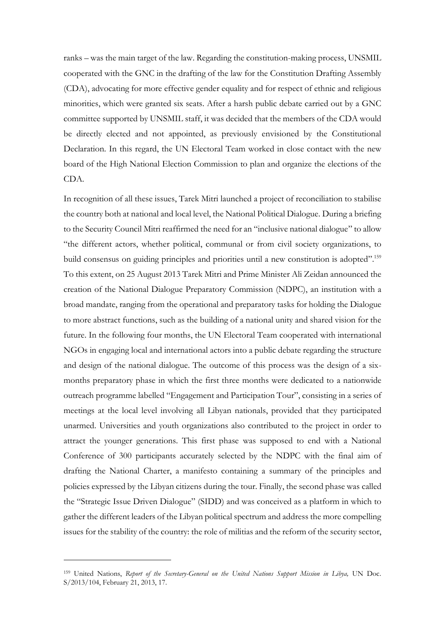ranks – was the main target of the law. Regarding the constitution-making process, UNSMIL cooperated with the GNC in the drafting of the law for the Constitution Drafting Assembly (CDA), advocating for more effective gender equality and for respect of ethnic and religious minorities, which were granted six seats. After a harsh public debate carried out by a GNC committee supported by UNSMIL staff, it was decided that the members of the CDA would be directly elected and not appointed, as previously envisioned by the Constitutional Declaration. In this regard, the UN Electoral Team worked in close contact with the new board of the High National Election Commission to plan and organize the elections of the CDA.

In recognition of all these issues, Tarek Mitri launched a project of reconciliation to stabilise the country both at national and local level, the National Political Dialogue. During a briefing to the Security Council Mitri reaffirmed the need for an "inclusive national dialogue" to allow "the different actors, whether political, communal or from civil society organizations, to build consensus on guiding principles and priorities until a new constitution is adopted".<sup>159</sup> To this extent, on 25 August 2013 Tarek Mitri and Prime Minister Ali Zeidan announced the creation of the National Dialogue Preparatory Commission (NDPC), an institution with a broad mandate, ranging from the operational and preparatory tasks for holding the Dialogue to more abstract functions, such as the building of a national unity and shared vision for the future. In the following four months, the UN Electoral Team cooperated with international NGOs in engaging local and international actors into a public debate regarding the structure and design of the national dialogue. The outcome of this process was the design of a sixmonths preparatory phase in which the first three months were dedicated to a nationwide outreach programme labelled "Engagement and Participation Tour", consisting in a series of meetings at the local level involving all Libyan nationals, provided that they participated unarmed. Universities and youth organizations also contributed to the project in order to attract the younger generations. This first phase was supposed to end with a National Conference of 300 participants accurately selected by the NDPC with the final aim of drafting the National Charter, a manifesto containing a summary of the principles and policies expressed by the Libyan citizens during the tour. Finally, the second phase was called the "Strategic Issue Driven Dialogue" (SIDD) and was conceived as a platform in which to gather the different leaders of the Libyan political spectrum and address the more compelling issues for the stability of the country: the role of militias and the reform of the security sector,

<sup>&</sup>lt;sup>159</sup> United Nations, *Report of the Secretary-General on the United Nations Support Mission in Libya*, UN Doc. S/2013/104, February 21, 2013, 17.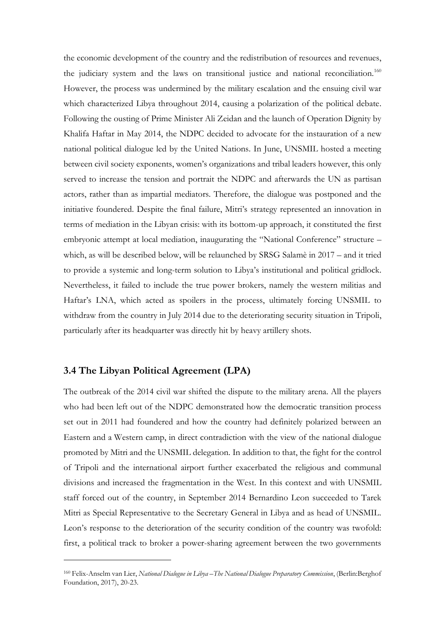the economic development of the country and the redistribution of resources and revenues, the judiciary system and the laws on transitional justice and national reconciliation.<sup>160</sup> However, the process was undermined by the military escalation and the ensuing civil war which characterized Libya throughout 2014, causing a polarization of the political debate. Following the ousting of Prime Minister Ali Zeidan and the launch of Operation Dignity by Khalifa Haftar in May 2014, the NDPC decided to advocate for the instauration of a new national political dialogue led by the United Nations. In June, UNSMIL hosted a meeting between civil society exponents, women's organizations and tribal leaders however, this only served to increase the tension and portrait the NDPC and afterwards the UN as partisan actors, rather than as impartial mediators. Therefore, the dialogue was postponed and the initiative foundered. Despite the final failure, Mitri's strategy represented an innovation in terms of mediation in the Libyan crisis: with its bottom-up approach, it constituted the first embryonic attempt at local mediation, inaugurating the "National Conference" structure – which, as will be described below, will be relaunched by SRSG Salamè in 2017 – and it tried to provide a systemic and long-term solution to Libya's institutional and political gridlock. Nevertheless, it failed to include the true power brokers, namely the western militias and Haftar's LNA, which acted as spoilers in the process, ultimately forcing UNSMIL to withdraw from the country in July 2014 due to the deteriorating security situation in Tripoli, particularly after its headquarter was directly hit by heavy artillery shots.

#### **3.4 The Libyan Political Agreement (LPA)**

The outbreak of the 2014 civil war shifted the dispute to the military arena. All the players who had been left out of the NDPC demonstrated how the democratic transition process set out in 2011 had foundered and how the country had definitely polarized between an Eastern and a Western camp, in direct contradiction with the view of the national dialogue promoted by Mitri and the UNSMIL delegation. In addition to that, the fight for the control of Tripoli and the international airport further exacerbated the religious and communal divisions and increased the fragmentation in the West. In this context and with UNSMIL staff forced out of the country, in September 2014 Bernardino Leon succeeded to Tarek Mitri as Special Representative to the Secretary General in Libya and as head of UNSMIL. Leon's response to the deterioration of the security condition of the country was twofold: first, a political track to broker a power-sharing agreement between the two governments

<sup>160</sup> Felix-Anselm van Lier, *National Dialogue in Libya –The National Dialogue Preparatory Commission*, (Berlin:Berghof Foundation, 2017), 20-23.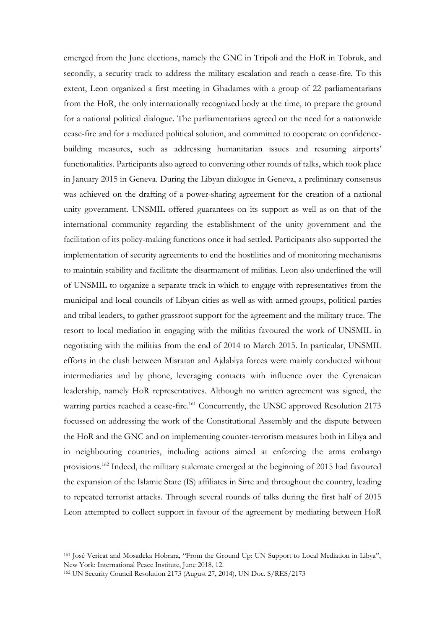emerged from the June elections, namely the GNC in Tripoli and the HoR in Tobruk, and secondly, a security track to address the military escalation and reach a cease-fire. To this extent, Leon organized a first meeting in Ghadames with a group of 22 parliamentarians from the HoR, the only internationally recognized body at the time, to prepare the ground for a national political dialogue. The parliamentarians agreed on the need for a nationwide cease-fire and for a mediated political solution, and committed to cooperate on confidencebuilding measures, such as addressing humanitarian issues and resuming airports' functionalities. Participants also agreed to convening other rounds of talks, which took place in January 2015 in Geneva. During the Libyan dialogue in Geneva, a preliminary consensus was achieved on the drafting of a power-sharing agreement for the creation of a national unity government. UNSMIL offered guarantees on its support as well as on that of the international community regarding the establishment of the unity government and the facilitation of its policy-making functions once it had settled. Participants also supported the implementation of security agreements to end the hostilities and of monitoring mechanisms to maintain stability and facilitate the disarmament of militias. Leon also underlined the will of UNSMIL to organize a separate track in which to engage with representatives from the municipal and local councils of Libyan cities as well as with armed groups, political parties and tribal leaders, to gather grassroot support for the agreement and the military truce. The resort to local mediation in engaging with the militias favoured the work of UNSMIL in negotiating with the militias from the end of 2014 to March 2015. In particular, UNSMIL efforts in the clash between Misratan and Ajdabiya forces were mainly conducted without intermediaries and by phone, leveraging contacts with influence over the Cyrenaican leadership, namely HoR representatives. Although no written agreement was signed, the warring parties reached a cease-fire.<sup>161</sup> Concurrently, the UNSC approved Resolution 2173 focussed on addressing the work of the Constitutional Assembly and the dispute between the HoR and the GNC and on implementing counter-terrorism measures both in Libya and in neighbouring countries, including actions aimed at enforcing the arms embargo provisions.<sup>162</sup> Indeed, the military stalemate emerged at the beginning of 2015 had favoured the expansion of the Islamic State (IS) affiliates in Sirte and throughout the country, leading to repeated terrorist attacks. Through several rounds of talks during the first half of 2015 Leon attempted to collect support in favour of the agreement by mediating between HoR

<sup>161</sup> José Vericat and Mosadeka Hobrara, "From the Ground Up: UN Support to Local Mediation in Libya", New York: International Peace Institute, June 2018, 12.

<sup>162</sup> UN Security Council Resolution 2173 (August 27, 2014), UN Doc. S/RES/2173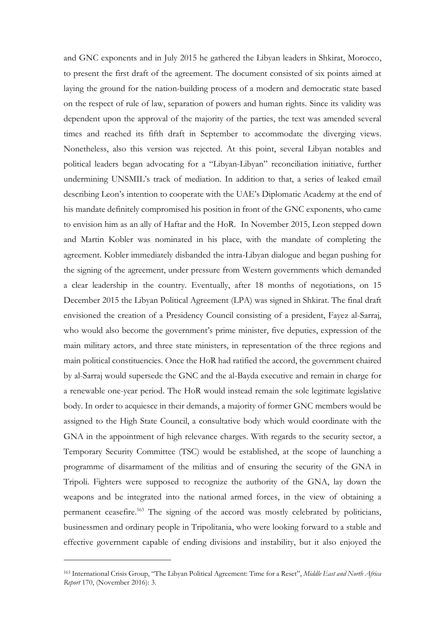and GNC exponents and in July 2015 he gathered the Libyan leaders in Shkirat, Morocco, to present the first draft of the agreement. The document consisted of six points aimed at laying the ground for the nation-building process of a modern and democratic state based on the respect of rule of law, separation of powers and human rights. Since its validity was dependent upon the approval of the majority of the parties, the text was amended several times and reached its fifth draft in September to accommodate the diverging views. Nonetheless, also this version was rejected. At this point, several Libyan notables and political leaders began advocating for a "Libyan-Libyan" reconciliation initiative, further undermining UNSMIL's track of mediation. In addition to that, a series of leaked email describing Leon's intention to cooperate with the UAE's Diplomatic Academy at the end of his mandate definitely compromised his position in front of the GNC exponents, who came to envision him as an ally of Haftar and the HoR. In November 2015, Leon stepped down and Martin Kobler was nominated in his place, with the mandate of completing the agreement. Kobler immediately disbanded the intra-Libyan dialogue and began pushing for the signing of the agreement, under pressure from Western governments which demanded a clear leadership in the country. Eventually, after 18 months of negotiations, on 15 December 2015 the Libyan Political Agreement (LPA) was signed in Shkirat. The final draft envisioned the creation of a Presidency Council consisting of a president, Fayez al-Sarraj, who would also become the government's prime minister, five deputies, expression of the main military actors, and three state ministers, in representation of the three regions and main political constituencies. Once the HoR had ratified the accord, the government chaired by al-Sarraj would supersede the GNC and the al-Bayda executive and remain in charge for a renewable one-year period. The HoR would instead remain the sole legitimate legislative body. In order to acquiesce in their demands, a majority of former GNC members would be assigned to the High State Council, a consultative body which would coordinate with the GNA in the appointment of high relevance charges. With regards to the security sector, a Temporary Security Committee (TSC) would be established, at the scope of launching a programme of disarmament of the militias and of ensuring the security of the GNA in Tripoli. Fighters were supposed to recognize the authority of the GNA, lay down the weapons and be integrated into the national armed forces, in the view of obtaining a permanent ceasefire.<sup>163</sup> The signing of the accord was mostly celebrated by politicians, businessmen and ordinary people in Tripolitania, who were looking forward to a stable and effective government capable of ending divisions and instability, but it also enjoyed the

<sup>163</sup> International Crisis Group, "The Libyan Political Agreement: Time for a Reset", *Middle East and North Africa Report* 170, (November 2016): 3.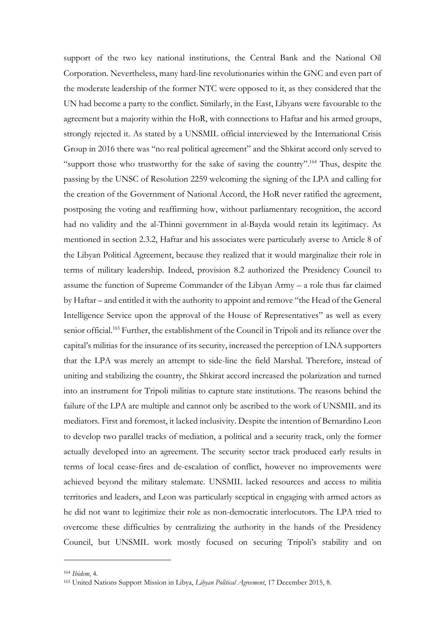support of the two key national institutions, the Central Bank and the National Oil Corporation. Nevertheless, many hard-line revolutionaries within the GNC and even part of the moderate leadership of the former NTC were opposed to it, as they considered that the UN had become a party to the conflict. Similarly, in the East, Libyans were favourable to the agreement but a majority within the HoR, with connections to Haftar and his armed groups, strongly rejected it. As stated by a UNSMIL official interviewed by the International Crisis Group in 2016 there was "no real political agreement" and the Shkirat accord only served to "support those who trustworthy for the sake of saving the country".<sup>164</sup> Thus, despite the passing by the UNSC of Resolution 2259 welcoming the signing of the LPA and calling for the creation of the Government of National Accord, the HoR never ratified the agreement, postposing the voting and reaffirming how, without parliamentary recognition, the accord had no validity and the al-Thinni government in al-Bayda would retain its legitimacy. As mentioned in section 2.3.2, Haftar and his associates were particularly averse to Article 8 of the Libyan Political Agreement, because they realized that it would marginalize their role in terms of military leadership. Indeed, provision 8.2 authorized the Presidency Council to assume the function of Supreme Commander of the Libyan Army – a role thus far claimed by Haftar – and entitled it with the authority to appoint and remove "the Head of the General Intelligence Service upon the approval of the House of Representatives" as well as every senior official.<sup>165</sup> Further, the establishment of the Council in Tripoli and its reliance over the capital's militias for the insurance of its security, increased the perception of LNA supporters that the LPA was merely an attempt to side-line the field Marshal. Therefore, instead of uniting and stabilizing the country, the Shkirat accord increased the polarization and turned into an instrument for Tripoli militias to capture state institutions. The reasons behind the failure of the LPA are multiple and cannot only be ascribed to the work of UNSMIL and its mediators. First and foremost, it lacked inclusivity. Despite the intention of Bernardino Leon to develop two parallel tracks of mediation, a political and a security track, only the former actually developed into an agreement. The security sector track produced early results in terms of local cease-fires and de-escalation of conflict, however no improvements were achieved beyond the military stalemate. UNSMIL lacked resources and access to militia territories and leaders, and Leon was particularly sceptical in engaging with armed actors as he did not want to legitimize their role as non-democratic interlocutors. The LPA tried to overcome these difficulties by centralizing the authority in the hands of the Presidency Council, but UNSMIL work mostly focused on securing Tripoli's stability and on

<sup>164</sup> *Ibidem*, 4.

<sup>165</sup> United Nations Support Mission in Libya, *Libyan Political Agreement*, 17 December 2015, 8.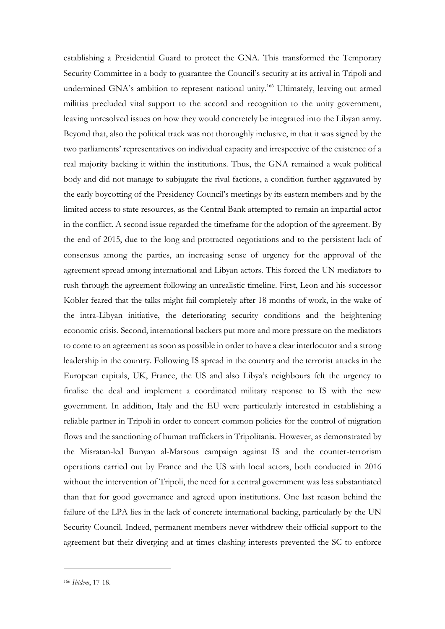establishing a Presidential Guard to protect the GNA. This transformed the Temporary Security Committee in a body to guarantee the Council's security at its arrival in Tripoli and undermined GNA's ambition to represent national unity. <sup>166</sup> Ultimately, leaving out armed militias precluded vital support to the accord and recognition to the unity government, leaving unresolved issues on how they would concretely be integrated into the Libyan army. Beyond that, also the political track was not thoroughly inclusive, in that it was signed by the two parliaments' representatives on individual capacity and irrespective of the existence of a real majority backing it within the institutions. Thus, the GNA remained a weak political body and did not manage to subjugate the rival factions, a condition further aggravated by the early boycotting of the Presidency Council's meetings by its eastern members and by the limited access to state resources, as the Central Bank attempted to remain an impartial actor in the conflict. A second issue regarded the timeframe for the adoption of the agreement. By the end of 2015, due to the long and protracted negotiations and to the persistent lack of consensus among the parties, an increasing sense of urgency for the approval of the agreement spread among international and Libyan actors. This forced the UN mediators to rush through the agreement following an unrealistic timeline. First, Leon and his successor Kobler feared that the talks might fail completely after 18 months of work, in the wake of the intra-Libyan initiative, the deteriorating security conditions and the heightening economic crisis. Second, international backers put more and more pressure on the mediators to come to an agreement as soon as possible in order to have a clear interlocutor and a strong leadership in the country. Following IS spread in the country and the terrorist attacks in the European capitals, UK, France, the US and also Libya's neighbours felt the urgency to finalise the deal and implement a coordinated military response to IS with the new government. In addition, Italy and the EU were particularly interested in establishing a reliable partner in Tripoli in order to concert common policies for the control of migration flows and the sanctioning of human traffickers in Tripolitania. However, as demonstrated by the Misratan-led Bunyan al-Marsous campaign against IS and the counter-terrorism operations carried out by France and the US with local actors, both conducted in 2016 without the intervention of Tripoli, the need for a central government was less substantiated than that for good governance and agreed upon institutions. One last reason behind the failure of the LPA lies in the lack of concrete international backing, particularly by the UN Security Council. Indeed, permanent members never withdrew their official support to the agreement but their diverging and at times clashing interests prevented the SC to enforce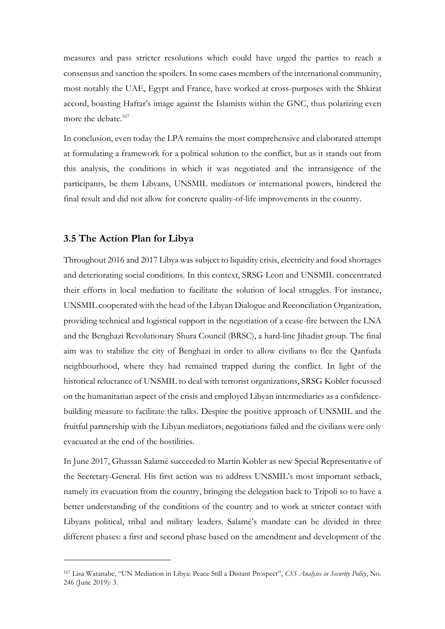measures and pass stricter resolutions which could have urged the parties to reach a consensus and sanction the spoilers. In some cases members of the international community, most notably the UAE, Egypt and France, have worked at cross-purposes with the Shkirat accord, boasting Haftar's image against the Islamists within the GNC, thus polarizing even more the debate.<sup>167</sup>

In conclusion, even today the LPA remains the most comprehensive and elaborated attempt at formulating a framework for a political solution to the conflict, but as it stands out from this analysis, the conditions in which it was negotiated and the intransigence of the participants, be them Libyans, UNSMIL mediators or international powers, hindered the final result and did not allow for concrete quality-of-life improvements in the country.

#### **3.5 The Action Plan for Libya**

Throughout 2016 and 2017 Libya was subject to liquidity crisis, electricity and food shortages and deteriorating social conditions. In this context, SRSG Leon and UNSMIL concentrated their efforts in local mediation to facilitate the solution of local struggles. For instance, UNSMIL cooperated with the head of the Libyan Dialogue and Reconciliation Organization, providing technical and logistical support in the negotiation of a cease-fire between the LNA and the Benghazi Revolutionary Shura Council (BRSC), a hard-line Jihadist group. The final aim was to stabilize the city of Benghazi in order to allow civilians to flee the Qanfuda neighbourhood, where they had remained trapped during the conflict. In light of the historical reluctance of UNSMIL to deal with terrorist organizations, SRSG Kobler focussed on the humanitarian aspect of the crisis and employed Libyan intermediaries as a confidencebuilding measure to facilitate the talks. Despite the positive approach of UNSMIL and the fruitful partnership with the Libyan mediators, negotiations failed and the civilians were only evacuated at the end of the hostilities.

In June 2017, Ghassan Salamé succeeded to Martin Kobler as new Special Representative of the Secretary-General. His first action was to address UNSMIL's most important setback, namely its evacuation from the country, bringing the delegation back to Tripoli so to have a better understanding of the conditions of the country and to work at stricter contact with Libyans political, tribal and military leaders. Salamé's mandate can be divided in three different phases: a first and second phase based on the amendment and development of the

<sup>167</sup> Lisa Watanabe, "UN Mediation in Libya: Peace Still a Distant Prospect", *CSS Analyses in Security Policy*, No. 246 (June 2019): 3.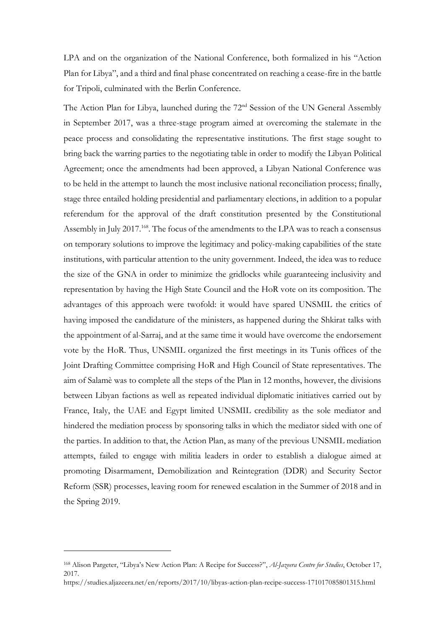LPA and on the organization of the National Conference, both formalized in his "Action Plan for Libya", and a third and final phase concentrated on reaching a cease-fire in the battle for Tripoli, culminated with the Berlin Conference.

The Action Plan for Libya, launched during the 72<sup>nd</sup> Session of the UN General Assembly in September 2017, was a three-stage program aimed at overcoming the stalemate in the peace process and consolidating the representative institutions. The first stage sought to bring back the warring parties to the negotiating table in order to modify the Libyan Political Agreement; once the amendments had been approved, a Libyan National Conference was to be held in the attempt to launch the most inclusive national reconciliation process; finally, stage three entailed holding presidential and parliamentary elections, in addition to a popular referendum for the approval of the draft constitution presented by the Constitutional Assembly in July 2017.<sup>168</sup>. The focus of the amendments to the LPA was to reach a consensus on temporary solutions to improve the legitimacy and policy-making capabilities of the state institutions, with particular attention to the unity government. Indeed, the idea was to reduce the size of the GNA in order to minimize the gridlocks while guaranteeing inclusivity and representation by having the High State Council and the HoR vote on its composition. The advantages of this approach were twofold: it would have spared UNSMIL the critics of having imposed the candidature of the ministers, as happened during the Shkirat talks with the appointment of al-Sarraj, and at the same time it would have overcome the endorsement vote by the HoR. Thus, UNSMIL organized the first meetings in its Tunis offices of the Joint Drafting Committee comprising HoR and High Council of State representatives. The aim of Salamè was to complete all the steps of the Plan in 12 months, however, the divisions between Libyan factions as well as repeated individual diplomatic initiatives carried out by France, Italy, the UAE and Egypt limited UNSMIL credibility as the sole mediator and hindered the mediation process by sponsoring talks in which the mediator sided with one of the parties. In addition to that, the Action Plan, as many of the previous UNSMIL mediation attempts, failed to engage with militia leaders in order to establish a dialogue aimed at promoting Disarmament, Demobilization and Reintegration (DDR) and Security Sector Reform (SSR) processes, leaving room for renewed escalation in the Summer of 2018 and in the Spring 2019.

<sup>168</sup> Alison Pargeter, "Libya's New Action Plan: A Recipe for Success?", *Al-Jazeera Centre for Studies*, October 17, 2017.

https://studies.aljazeera.net/en/reports/2017/10/libyas-action-plan-recipe-success-171017085801315.html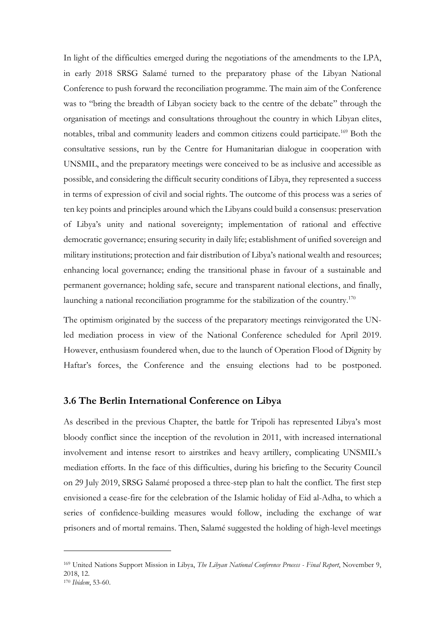In light of the difficulties emerged during the negotiations of the amendments to the LPA, in early 2018 SRSG Salamé turned to the preparatory phase of the Libyan National Conference to push forward the reconciliation programme. The main aim of the Conference was to "bring the breadth of Libyan society back to the centre of the debate" through the organisation of meetings and consultations throughout the country in which Libyan elites, notables, tribal and community leaders and common citizens could participate.<sup>169</sup> Both the consultative sessions, run by the Centre for Humanitarian dialogue in cooperation with UNSMIL, and the preparatory meetings were conceived to be as inclusive and accessible as possible, and considering the difficult security conditions of Libya, they represented a success in terms of expression of civil and social rights. The outcome of this process was a series of ten key points and principles around which the Libyans could build a consensus: preservation of Libya's unity and national sovereignty; implementation of rational and effective democratic governance; ensuring security in daily life; establishment of unified sovereign and military institutions; protection and fair distribution of Libya's national wealth and resources; enhancing local governance; ending the transitional phase in favour of a sustainable and permanent governance; holding safe, secure and transparent national elections, and finally, launching a national reconciliation programme for the stabilization of the country.<sup>170</sup>

The optimism originated by the success of the preparatory meetings reinvigorated the UNled mediation process in view of the National Conference scheduled for April 2019. However, enthusiasm foundered when, due to the launch of Operation Flood of Dignity by Haftar's forces, the Conference and the ensuing elections had to be postponed.

#### **3.6 The Berlin International Conference on Libya**

As described in the previous Chapter, the battle for Tripoli has represented Libya's most bloody conflict since the inception of the revolution in 2011, with increased international involvement and intense resort to airstrikes and heavy artillery, complicating UNSMIL's mediation efforts. In the face of this difficulties, during his briefing to the Security Council on 29 July 2019, SRSG Salamé proposed a three-step plan to halt the conflict. The first step envisioned a cease-fire for the celebration of the Islamic holiday of Eid al-Adha, to which a series of confidence-building measures would follow, including the exchange of war prisoners and of mortal remains. Then, Salamé suggested the holding of high-level meetings

<sup>169</sup> United Nations Support Mission in Libya, *The Libyan National Conference Process - Final Report*, November 9, 2018, 12.

<sup>170</sup> *Ibidem*, 53-60.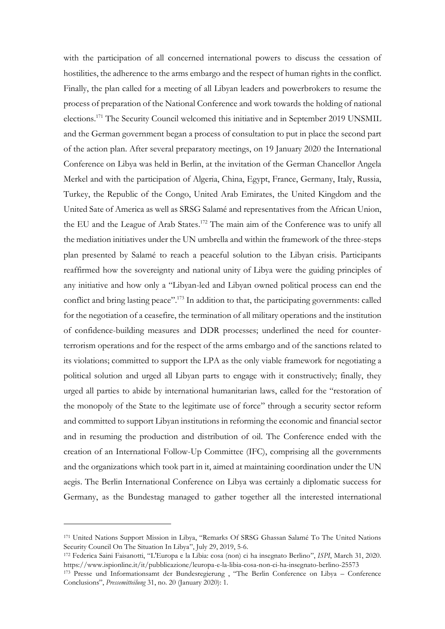with the participation of all concerned international powers to discuss the cessation of hostilities, the adherence to the arms embargo and the respect of human rights in the conflict. Finally, the plan called for a meeting of all Libyan leaders and powerbrokers to resume the process of preparation of the National Conference and work towards the holding of national elections.<sup>171</sup> The Security Council welcomed this initiative and in September 2019 UNSMIL and the German government began a process of consultation to put in place the second part of the action plan. After several preparatory meetings, on 19 January 2020 the International Conference on Libya was held in Berlin, at the invitation of the German Chancellor Angela Merkel and with the participation of Algeria, China, Egypt, France, Germany, Italy, Russia, Turkey, the Republic of the Congo, United Arab Emirates, the United Kingdom and the United Sate of America as well as SRSG Salamé and representatives from the African Union, the EU and the League of Arab States.<sup>172</sup> The main aim of the Conference was to unify all the mediation initiatives under the UN umbrella and within the framework of the three-steps plan presented by Salamé to reach a peaceful solution to the Libyan crisis. Participants reaffirmed how the sovereignty and national unity of Libya were the guiding principles of any initiative and how only a "Libyan-led and Libyan owned political process can end the conflict and bring lasting peace".<sup>173</sup> In addition to that, the participating governments: called for the negotiation of a ceasefire, the termination of all military operations and the institution of confidence-building measures and DDR processes; underlined the need for counterterrorism operations and for the respect of the arms embargo and of the sanctions related to its violations; committed to support the LPA as the only viable framework for negotiating a political solution and urged all Libyan parts to engage with it constructively; finally, they urged all parties to abide by international humanitarian laws, called for the "restoration of the monopoly of the State to the legitimate use of force" through a security sector reform and committed to support Libyan institutions in reforming the economic and financial sector and in resuming the production and distribution of oil. The Conference ended with the creation of an International Follow-Up Committee (IFC), comprising all the governments and the organizations which took part in it, aimed at maintaining coordination under the UN aegis. The Berlin International Conference on Libya was certainly a diplomatic success for Germany, as the Bundestag managed to gather together all the interested international

<sup>171</sup> United Nations Support Mission in Libya, "Remarks Of SRSG Ghassan Salamé To The United Nations Security Council On The Situation In Libya", July 29, 2019, 5-6.

<sup>172</sup> Federica Saini Faisanotti, "L'Europa e la Libia: cosa (non) ci ha insegnato Berlino", *ISPI*, March 31, 2020. https://www.ispionline.it/it/pubblicazione/leuropa-e-la-libia-cosa-non-ci-ha-insegnato-berlino-25573

<sup>173</sup> Presse und Informationsamt der Bundesregierung , "The Berlin Conference on Libya – Conference Conclusions", *Pressemitteilung* 31, no. 20 (January 2020): 1.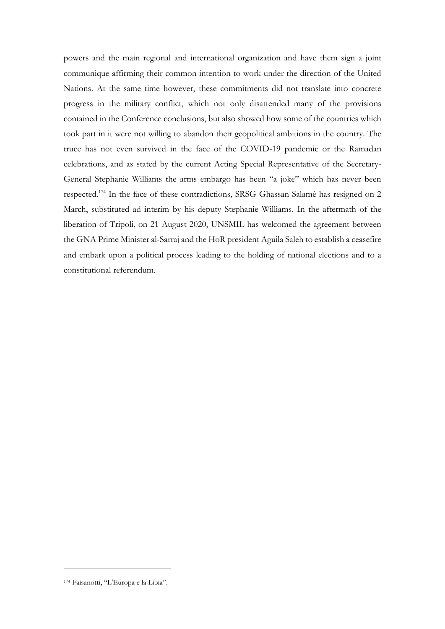powers and the main regional and international organization and have them sign a joint communique affirming their common intention to work under the direction of the United Nations. At the same time however, these commitments did not translate into concrete progress in the military conflict, which not only disattended many of the provisions contained in the Conference conclusions, but also showed how some of the countries which took part in it were not willing to abandon their geopolitical ambitions in the country. The truce has not even survived in the face of the COVID-19 pandemic or the Ramadan celebrations, and as stated by the current Acting Special Representative of the Secretary-General Stephanie Williams the arms embargo has been "a joke" which has never been respected.<sup>174</sup> In the face of these contradictions, SRSG Ghassan Salamè has resigned on 2 March, substituted ad interim by his deputy Stephanie Williams. In the aftermath of the liberation of Tripoli, on 21 August 2020, UNSMIL has welcomed the agreement between the GNA Prime Minister al-Sarraj and the HoR president Aguila Saleh to establish a ceasefire and embark upon a political process leading to the holding of national elections and to a constitutional referendum.

<sup>174</sup> Faisanotti, "L'Europa e la Libia".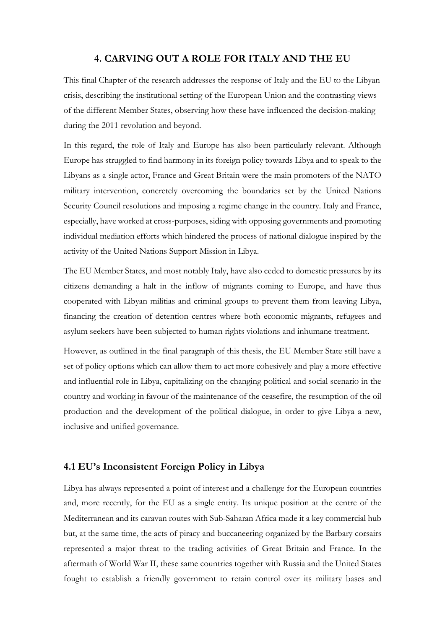## **4. CARVING OUT A ROLE FOR ITALY AND THE EU**

This final Chapter of the research addresses the response of Italy and the EU to the Libyan crisis, describing the institutional setting of the European Union and the contrasting views of the different Member States, observing how these have influenced the decision-making during the 2011 revolution and beyond.

In this regard, the role of Italy and Europe has also been particularly relevant. Although Europe has struggled to find harmony in its foreign policy towards Libya and to speak to the Libyans as a single actor, France and Great Britain were the main promoters of the NATO military intervention, concretely overcoming the boundaries set by the United Nations Security Council resolutions and imposing a regime change in the country. Italy and France, especially, have worked at cross-purposes, siding with opposing governments and promoting individual mediation efforts which hindered the process of national dialogue inspired by the activity of the United Nations Support Mission in Libya.

The EU Member States, and most notably Italy, have also ceded to domestic pressures by its citizens demanding a halt in the inflow of migrants coming to Europe, and have thus cooperated with Libyan militias and criminal groups to prevent them from leaving Libya, financing the creation of detention centres where both economic migrants, refugees and asylum seekers have been subjected to human rights violations and inhumane treatment.

However, as outlined in the final paragraph of this thesis, the EU Member State still have a set of policy options which can allow them to act more cohesively and play a more effective and influential role in Libya, capitalizing on the changing political and social scenario in the country and working in favour of the maintenance of the ceasefire, the resumption of the oil production and the development of the political dialogue, in order to give Libya a new, inclusive and unified governance.

## **4.1 EU's Inconsistent Foreign Policy in Libya**

Libya has always represented a point of interest and a challenge for the European countries and, more recently, for the EU as a single entity. Its unique position at the centre of the Mediterranean and its caravan routes with Sub-Saharan Africa made it a key commercial hub but, at the same time, the acts of piracy and buccaneering organized by the Barbary corsairs represented a major threat to the trading activities of Great Britain and France. In the aftermath of World War II, these same countries together with Russia and the United States fought to establish a friendly government to retain control over its military bases and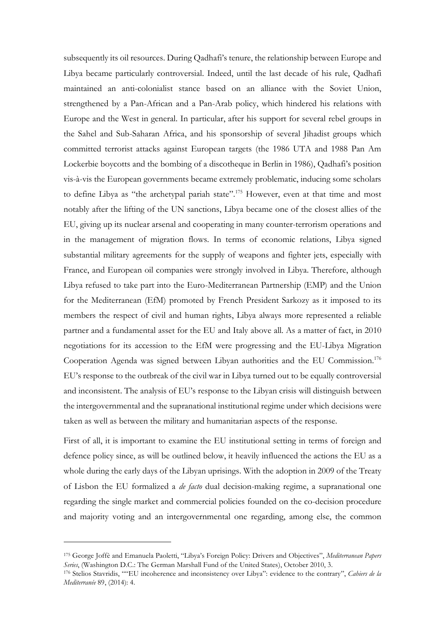subsequently its oil resources. During Qadhafi's tenure, the relationship between Europe and Libya became particularly controversial. Indeed, until the last decade of his rule, Qadhafi maintained an anti-colonialist stance based on an alliance with the Soviet Union, strengthened by a Pan-African and a Pan-Arab policy, which hindered his relations with Europe and the West in general. In particular, after his support for several rebel groups in the Sahel and Sub-Saharan Africa, and his sponsorship of several Jihadist groups which committed terrorist attacks against European targets (the 1986 UTA and 1988 Pan Am Lockerbie boycotts and the bombing of a discotheque in Berlin in 1986), Qadhafi's position vis-à-vis the European governments became extremely problematic, inducing some scholars to define Libya as "the archetypal pariah state".<sup>175</sup> However, even at that time and most notably after the lifting of the UN sanctions, Libya became one of the closest allies of the EU, giving up its nuclear arsenal and cooperating in many counter-terrorism operations and in the management of migration flows. In terms of economic relations, Libya signed substantial military agreements for the supply of weapons and fighter jets, especially with France, and European oil companies were strongly involved in Libya. Therefore, although Libya refused to take part into the Euro-Mediterranean Partnership (EMP) and the Union for the Mediterranean (EfM) promoted by French President Sarkozy as it imposed to its members the respect of civil and human rights, Libya always more represented a reliable partner and a fundamental asset for the EU and Italy above all. As a matter of fact, in 2010 negotiations for its accession to the EfM were progressing and the EU-Libya Migration Cooperation Agenda was signed between Libyan authorities and the EU Commission.<sup>176</sup> EU's response to the outbreak of the civil war in Libya turned out to be equally controversial and inconsistent. The analysis of EU's response to the Libyan crisis will distinguish between the intergovernmental and the supranational institutional regime under which decisions were taken as well as between the military and humanitarian aspects of the response.

First of all, it is important to examine the EU institutional setting in terms of foreign and defence policy since, as will be outlined below, it heavily influenced the actions the EU as a whole during the early days of the Libyan uprisings. With the adoption in 2009 of the Treaty of Lisbon the EU formalized a *de facto* dual decision-making regime, a supranational one regarding the single market and commercial policies founded on the co-decision procedure and majority voting and an intergovernmental one regarding, among else, the common

<sup>175</sup> George Joffè and Emanuela Paoletti, "Libya's Foreign Policy: Drivers and Objectives", *Mediterranean Papers Series*, (Washington D.C.: The German Marshall Fund of the United States), October 2010, 3.

<sup>176</sup> Stelios Stavridis, ""EU incoherence and inconsistency over Libya": evidence to the contrary", *Cahiers de la Mediterranée* 89, (2014): 4.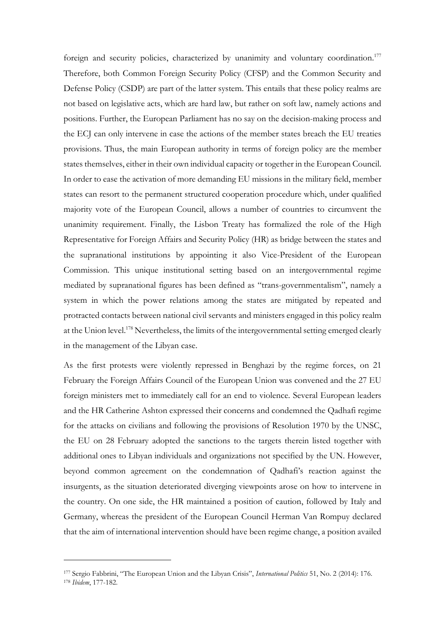foreign and security policies, characterized by unanimity and voluntary coordination.<sup>177</sup> Therefore, both Common Foreign Security Policy (CFSP) and the Common Security and Defense Policy (CSDP) are part of the latter system. This entails that these policy realms are not based on legislative acts, which are hard law, but rather on soft law, namely actions and positions. Further, the European Parliament has no say on the decision-making process and the ECJ can only intervene in case the actions of the member states breach the EU treaties provisions. Thus, the main European authority in terms of foreign policy are the member states themselves, either in their own individual capacity or together in the European Council. In order to ease the activation of more demanding EU missions in the military field, member states can resort to the permanent structured cooperation procedure which, under qualified majority vote of the European Council, allows a number of countries to circumvent the unanimity requirement. Finally, the Lisbon Treaty has formalized the role of the High Representative for Foreign Affairs and Security Policy (HR) as bridge between the states and the supranational institutions by appointing it also Vice-President of the European Commission. This unique institutional setting based on an intergovernmental regime mediated by supranational figures has been defined as "trans-governmentalism", namely a system in which the power relations among the states are mitigated by repeated and protracted contacts between national civil servants and ministers engaged in this policy realm at the Union level.<sup>178</sup> Nevertheless, the limits of the intergovernmental setting emerged clearly in the management of the Libyan case.

As the first protests were violently repressed in Benghazi by the regime forces, on 21 February the Foreign Affairs Council of the European Union was convened and the 27 EU foreign ministers met to immediately call for an end to violence. Several European leaders and the HR Catherine Ashton expressed their concerns and condemned the Qadhafi regime for the attacks on civilians and following the provisions of Resolution 1970 by the UNSC, the EU on 28 February adopted the sanctions to the targets therein listed together with additional ones to Libyan individuals and organizations not specified by the UN. However, beyond common agreement on the condemnation of Qadhafi's reaction against the insurgents, as the situation deteriorated diverging viewpoints arose on how to intervene in the country. On one side, the HR maintained a position of caution, followed by Italy and Germany, whereas the president of the European Council Herman Van Rompuy declared that the aim of international intervention should have been regime change, a position availed

<sup>177</sup> Sergio Fabbrini, "The European Union and the Libyan Crisis", *International Politics* 51, No. 2 (2014): 176. <sup>178</sup> *Ibidem*, 177-182.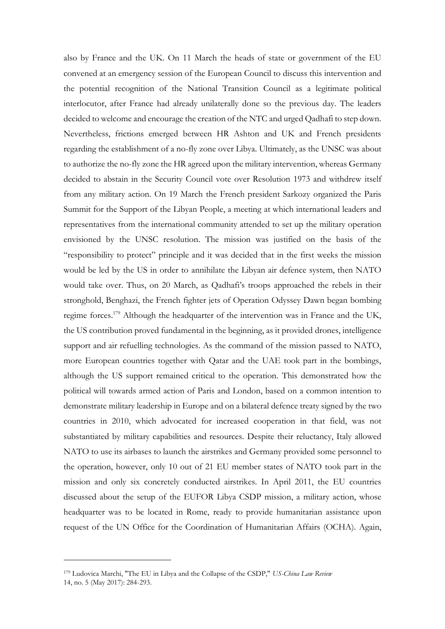also by France and the UK. On 11 March the heads of state or government of the EU convened at an emergency session of the European Council to discuss this intervention and the potential recognition of the National Transition Council as a legitimate political interlocutor, after France had already unilaterally done so the previous day. The leaders decided to welcome and encourage the creation of the NTC and urged Qadhafi to step down. Nevertheless, frictions emerged between HR Ashton and UK and French presidents regarding the establishment of a no-fly zone over Libya. Ultimately, as the UNSC was about to authorize the no-fly zone the HR agreed upon the military intervention, whereas Germany decided to abstain in the Security Council vote over Resolution 1973 and withdrew itself from any military action. On 19 March the French president Sarkozy organized the Paris Summit for the Support of the Libyan People, a meeting at which international leaders and representatives from the international community attended to set up the military operation envisioned by the UNSC resolution. The mission was justified on the basis of the "responsibility to protect" principle and it was decided that in the first weeks the mission would be led by the US in order to annihilate the Libyan air defence system, then NATO would take over. Thus, on 20 March, as Qadhafi's troops approached the rebels in their stronghold, Benghazi, the French fighter jets of Operation Odyssey Dawn began bombing regime forces.<sup>179</sup> Although the headquarter of the intervention was in France and the UK, the US contribution proved fundamental in the beginning, as it provided drones, intelligence support and air refuelling technologies. As the command of the mission passed to NATO, more European countries together with Qatar and the UAE took part in the bombings, although the US support remained critical to the operation. This demonstrated how the political will towards armed action of Paris and London, based on a common intention to demonstrate military leadership in Europe and on a bilateral defence treaty signed by the two countries in 2010, which advocated for increased cooperation in that field, was not substantiated by military capabilities and resources. Despite their reluctancy, Italy allowed NATO to use its airbases to launch the airstrikes and Germany provided some personnel to the operation, however, only 10 out of 21 EU member states of NATO took part in the mission and only six concretely conducted airstrikes. In April 2011, the EU countries discussed about the setup of the EUFOR Libya CSDP mission, a military action, whose headquarter was to be located in Rome, ready to provide humanitarian assistance upon request of the UN Office for the Coordination of Humanitarian Affairs (OCHA). Again,

<sup>179</sup> Ludovica Marchi, "The EU in Libya and the Collapse of the CSDP," *US-China Law Review* 14, no. 5 (May 2017): 284-293.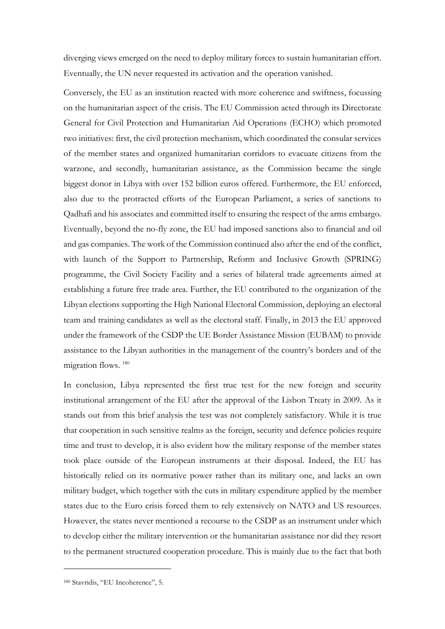diverging views emerged on the need to deploy military forces to sustain humanitarian effort. Eventually, the UN never requested its activation and the operation vanished.

Conversely, the EU as an institution reacted with more coherence and swiftness, focussing on the humanitarian aspect of the crisis. The EU Commission acted through its Directorate General for Civil Protection and Humanitarian Aid Operations (ECHO) which promoted two initiatives: first, the civil protection mechanism, which coordinated the consular services of the member states and organized humanitarian corridors to evacuate citizens from the warzone, and secondly, humanitarian assistance, as the Commission became the single biggest donor in Libya with over 152 billion euros offered. Furthermore, the EU enforced, also due to the protracted efforts of the European Parliament, a series of sanctions to Qadhafi and his associates and committed itself to ensuring the respect of the arms embargo. Eventually, beyond the no-fly zone, the EU had imposed sanctions also to financial and oil and gas companies. The work of the Commission continued also after the end of the conflict, with launch of the Support to Partnership, Reform and Inclusive Growth (SPRING) programme, the Civil Society Facility and a series of bilateral trade agreements aimed at establishing a future free trade area. Further, the EU contributed to the organization of the Libyan elections supporting the High National Electoral Commission, deploying an electoral team and training candidates as well as the electoral staff. Finally, in 2013 the EU approved under the framework of the CSDP the UE Border Assistance Mission (EUBAM) to provide assistance to the Libyan authorities in the management of the country's borders and of the migration flows. <sup>180</sup>

In conclusion, Libya represented the first true test for the new foreign and security institutional arrangement of the EU after the approval of the Lisbon Treaty in 2009. As it stands out from this brief analysis the test was not completely satisfactory. While it is true that cooperation in such sensitive realms as the foreign, security and defence policies require time and trust to develop, it is also evident how the military response of the member states took place outside of the European instruments at their disposal. Indeed, the EU has historically relied on its normative power rather than its military one, and lacks an own military budget, which together with the cuts in military expenditure applied by the member states due to the Euro crisis forced them to rely extensively on NATO and US resources. However, the states never mentioned a recourse to the CSDP as an instrument under which to develop either the military intervention or the humanitarian assistance nor did they resort to the permanent structured cooperation procedure. This is mainly due to the fact that both

<sup>180</sup> Stavridis, "EU Incoherence", 5.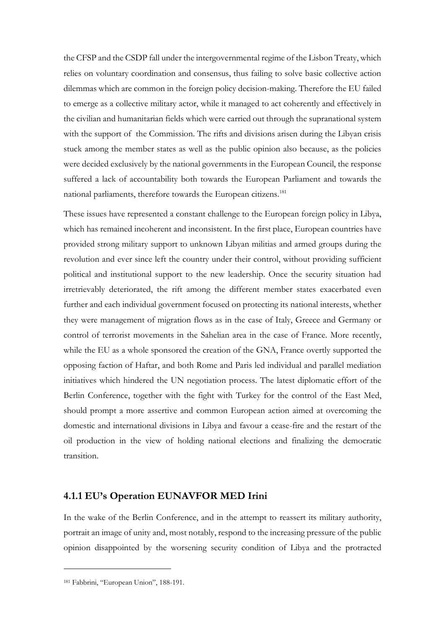the CFSP and the CSDP fall under the intergovernmental regime of the Lisbon Treaty, which relies on voluntary coordination and consensus, thus failing to solve basic collective action dilemmas which are common in the foreign policy decision-making. Therefore the EU failed to emerge as a collective military actor, while it managed to act coherently and effectively in the civilian and humanitarian fields which were carried out through the supranational system with the support of the Commission. The rifts and divisions arisen during the Libyan crisis stuck among the member states as well as the public opinion also because, as the policies were decided exclusively by the national governments in the European Council, the response suffered a lack of accountability both towards the European Parliament and towards the national parliaments, therefore towards the European citizens.<sup>181</sup>

These issues have represented a constant challenge to the European foreign policy in Libya, which has remained incoherent and inconsistent. In the first place, European countries have provided strong military support to unknown Libyan militias and armed groups during the revolution and ever since left the country under their control, without providing sufficient political and institutional support to the new leadership. Once the security situation had irretrievably deteriorated, the rift among the different member states exacerbated even further and each individual government focused on protecting its national interests, whether they were management of migration flows as in the case of Italy, Greece and Germany or control of terrorist movements in the Sahelian area in the case of France. More recently, while the EU as a whole sponsored the creation of the GNA, France overtly supported the opposing faction of Haftar, and both Rome and Paris led individual and parallel mediation initiatives which hindered the UN negotiation process. The latest diplomatic effort of the Berlin Conference, together with the fight with Turkey for the control of the East Med, should prompt a more assertive and common European action aimed at overcoming the domestic and international divisions in Libya and favour a cease-fire and the restart of the oil production in the view of holding national elections and finalizing the democratic transition.

# **4.1.1 EU's Operation EUNAVFOR MED Irini**

In the wake of the Berlin Conference, and in the attempt to reassert its military authority, portrait an image of unity and, most notably, respond to the increasing pressure of the public opinion disappointed by the worsening security condition of Libya and the protracted

<sup>181</sup> Fabbrini, "European Union", 188-191.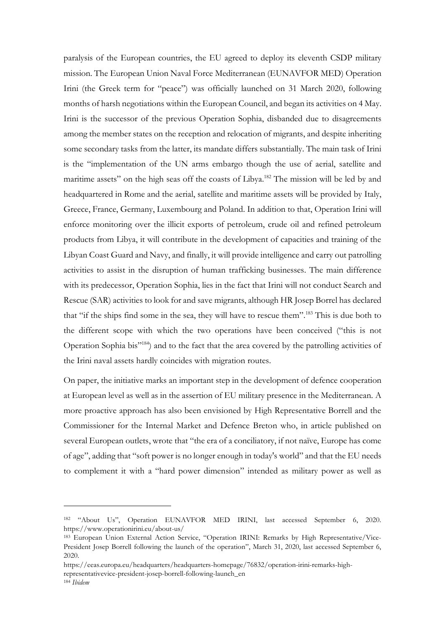paralysis of the European countries, the EU agreed to deploy its eleventh CSDP military mission. The European Union Naval Force Mediterranean (EUNAVFOR MED) Operation Irini (the Greek term for "peace") was officially launched on 31 March 2020, following months of harsh negotiations within the European Council, and began its activities on 4 May. Irini is the successor of the previous Operation Sophia, disbanded due to disagreements among the member states on the reception and relocation of migrants, and despite inheriting some secondary tasks from the latter, its mandate differs substantially. The main task of Irini is the "implementation of the UN arms embargo though the use of aerial, satellite and maritime assets" on the high seas off the coasts of Libya.<sup>182</sup> The mission will be led by and headquartered in Rome and the aerial, satellite and maritime assets will be provided by Italy, Greece, France, Germany, Luxembourg and Poland. In addition to that, Operation Irini will enforce monitoring over the illicit exports of petroleum, crude oil and refined petroleum products from Libya, it will contribute in the development of capacities and training of the Libyan Coast Guard and Navy, and finally, it will provide intelligence and carry out patrolling activities to assist in the disruption of human trafficking businesses. The main difference with its predecessor, Operation Sophia, lies in the fact that Irini will not conduct Search and Rescue (SAR) activities to look for and save migrants, although HR Josep Borrel has declared that "if the ships find some in the sea, they will have to rescue them".<sup>183</sup> This is due both to the different scope with which the two operations have been conceived ("this is not Operation Sophia bis"<sup>184</sup>) and to the fact that the area covered by the patrolling activities of the Irini naval assets hardly coincides with migration routes.

On paper, the initiative marks an important step in the development of defence cooperation at European level as well as in the assertion of EU military presence in the Mediterranean. A more proactive approach has also been envisioned by High Representative Borrell and the Commissioner for the Internal Market and Defence Breton who, in article published on several European outlets, wrote that "the era of a conciliatory, if not naïve, Europe has come of age", adding that "soft power is no longer enough in today's world" and that the EU needs to complement it with a "hard power dimension" intended as military power as well as

<sup>182</sup> "About Us", Operation EUNAVFOR MED IRINI, last accessed September 6, 2020. https://www.operationirini.eu/about-us/

<sup>183</sup> European Union External Action Service, "Operation IRINI: Remarks by High Representative/Vice-President Josep Borrell following the launch of the operation", March 31, 2020, last accessed September 6, 2020.

https://eeas.europa.eu/headquarters/headquarters-homepage/76832/operation-irini-remarks-high-

representativevice-president-josep-borrell-following-launch\_en

<sup>184</sup> *Ibidem*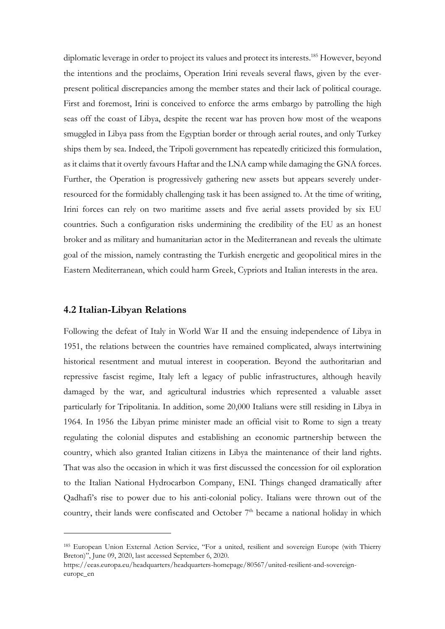diplomatic leverage in order to project its values and protect its interests.<sup>185</sup> However, beyond the intentions and the proclaims, Operation Irini reveals several flaws, given by the everpresent political discrepancies among the member states and their lack of political courage. First and foremost, Irini is conceived to enforce the arms embargo by patrolling the high seas off the coast of Libya, despite the recent war has proven how most of the weapons smuggled in Libya pass from the Egyptian border or through aerial routes, and only Turkey ships them by sea. Indeed, the Tripoli government has repeatedly criticized this formulation, as it claims that it overtly favours Haftar and the LNA camp while damaging the GNA forces. Further, the Operation is progressively gathering new assets but appears severely underresourced for the formidably challenging task it has been assigned to. At the time of writing, Irini forces can rely on two maritime assets and five aerial assets provided by six EU countries. Such a configuration risks undermining the credibility of the EU as an honest broker and as military and humanitarian actor in the Mediterranean and reveals the ultimate goal of the mission, namely contrasting the Turkish energetic and geopolitical mires in the Eastern Mediterranean, which could harm Greek, Cypriots and Italian interests in the area.

#### **4.2 Italian-Libyan Relations**

Following the defeat of Italy in World War II and the ensuing independence of Libya in 1951, the relations between the countries have remained complicated, always intertwining historical resentment and mutual interest in cooperation. Beyond the authoritarian and repressive fascist regime, Italy left a legacy of public infrastructures, although heavily damaged by the war, and agricultural industries which represented a valuable asset particularly for Tripolitania. In addition, some 20,000 Italians were still residing in Libya in 1964. In 1956 the Libyan prime minister made an official visit to Rome to sign a treaty regulating the colonial disputes and establishing an economic partnership between the country, which also granted Italian citizens in Libya the maintenance of their land rights. That was also the occasion in which it was first discussed the concession for oil exploration to the Italian National Hydrocarbon Company, ENI. Things changed dramatically after Qadhafi's rise to power due to his anti-colonial policy. Italians were thrown out of the country, their lands were confiscated and October  $7<sup>th</sup>$  became a national holiday in which

<sup>185</sup> European Union External Action Service, "For a united, resilient and sovereign Europe (with Thierry Breton)", June 09, 2020, last accessed September 6, 2020.

https://eeas.europa.eu/headquarters/headquarters-homepage/80567/united-resilient-and-sovereigneurope\_en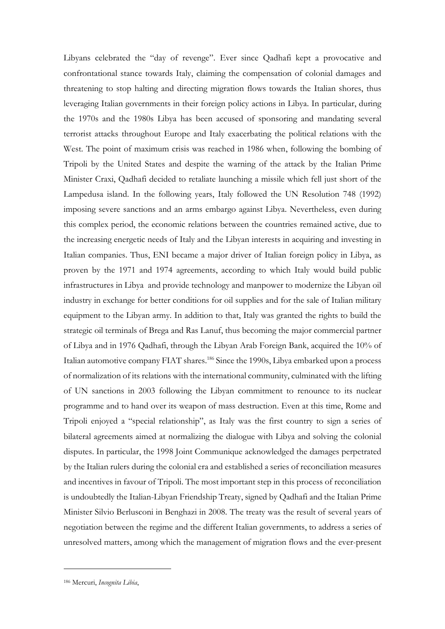Libyans celebrated the "day of revenge". Ever since Qadhafi kept a provocative and confrontational stance towards Italy, claiming the compensation of colonial damages and threatening to stop halting and directing migration flows towards the Italian shores, thus leveraging Italian governments in their foreign policy actions in Libya. In particular, during the 1970s and the 1980s Libya has been accused of sponsoring and mandating several terrorist attacks throughout Europe and Italy exacerbating the political relations with the West. The point of maximum crisis was reached in 1986 when, following the bombing of Tripoli by the United States and despite the warning of the attack by the Italian Prime Minister Craxi, Qadhafi decided to retaliate launching a missile which fell just short of the Lampedusa island. In the following years, Italy followed the UN Resolution 748 (1992) imposing severe sanctions and an arms embargo against Libya. Nevertheless, even during this complex period, the economic relations between the countries remained active, due to the increasing energetic needs of Italy and the Libyan interests in acquiring and investing in Italian companies. Thus, ENI became a major driver of Italian foreign policy in Libya, as proven by the 1971 and 1974 agreements, according to which Italy would build public infrastructures in Libya and provide technology and manpower to modernize the Libyan oil industry in exchange for better conditions for oil supplies and for the sale of Italian military equipment to the Libyan army. In addition to that, Italy was granted the rights to build the strategic oil terminals of Brega and Ras Lanuf, thus becoming the major commercial partner of Libya and in 1976 Qadhafi, through the Libyan Arab Foreign Bank, acquired the 10% of Italian automotive company FIAT shares.<sup>186</sup> Since the 1990s, Libya embarked upon a process of normalization of its relations with the international community, culminated with the lifting of UN sanctions in 2003 following the Libyan commitment to renounce to its nuclear programme and to hand over its weapon of mass destruction. Even at this time, Rome and Tripoli enjoyed a "special relationship", as Italy was the first country to sign a series of bilateral agreements aimed at normalizing the dialogue with Libya and solving the colonial disputes. In particular, the 1998 Joint Communique acknowledged the damages perpetrated by the Italian rulers during the colonial era and established a series of reconciliation measures and incentives in favour of Tripoli. The most important step in this process of reconciliation is undoubtedly the Italian-Libyan Friendship Treaty, signed by Qadhafi and the Italian Prime Minister Silvio Berlusconi in Benghazi in 2008. The treaty was the result of several years of negotiation between the regime and the different Italian governments, to address a series of unresolved matters, among which the management of migration flows and the ever-present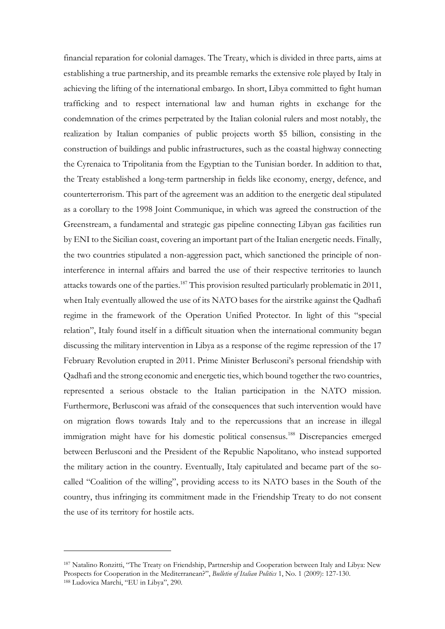financial reparation for colonial damages. The Treaty, which is divided in three parts, aims at establishing a true partnership, and its preamble remarks the extensive role played by Italy in achieving the lifting of the international embargo. In short, Libya committed to fight human trafficking and to respect international law and human rights in exchange for the condemnation of the crimes perpetrated by the Italian colonial rulers and most notably, the realization by Italian companies of public projects worth \$5 billion, consisting in the construction of buildings and public infrastructures, such as the coastal highway connecting the Cyrenaica to Tripolitania from the Egyptian to the Tunisian border. In addition to that, the Treaty established a long-term partnership in fields like economy, energy, defence, and counterterrorism. This part of the agreement was an addition to the energetic deal stipulated as a corollary to the 1998 Joint Communique, in which was agreed the construction of the Greenstream, a fundamental and strategic gas pipeline connecting Libyan gas facilities run by ENI to the Sicilian coast, covering an important part of the Italian energetic needs. Finally, the two countries stipulated a non-aggression pact, which sanctioned the principle of noninterference in internal affairs and barred the use of their respective territories to launch attacks towards one of the parties. <sup>187</sup> This provision resulted particularly problematic in 2011, when Italy eventually allowed the use of its NATO bases for the airstrike against the Qadhafi regime in the framework of the Operation Unified Protector. In light of this "special relation", Italy found itself in a difficult situation when the international community began discussing the military intervention in Libya as a response of the regime repression of the 17 February Revolution erupted in 2011. Prime Minister Berlusconi's personal friendship with Qadhafi and the strong economic and energetic ties, which bound together the two countries, represented a serious obstacle to the Italian participation in the NATO mission. Furthermore, Berlusconi was afraid of the consequences that such intervention would have on migration flows towards Italy and to the repercussions that an increase in illegal immigration might have for his domestic political consensus.<sup>188</sup> Discrepancies emerged between Berlusconi and the President of the Republic Napolitano, who instead supported the military action in the country. Eventually, Italy capitulated and became part of the socalled "Coalition of the willing", providing access to its NATO bases in the South of the country, thus infringing its commitment made in the Friendship Treaty to do not consent the use of its territory for hostile acts.

<sup>187</sup> Natalino Ronzitti, "The Treaty on Friendship, Partnership and Cooperation between Italy and Libya: New Prospects for Cooperation in the Mediterranean?", *Bulletin of Italian Politics* 1, No. 1 (2009): 127-130. <sup>188</sup> Ludovica Marchi, "EU in Libya", 290.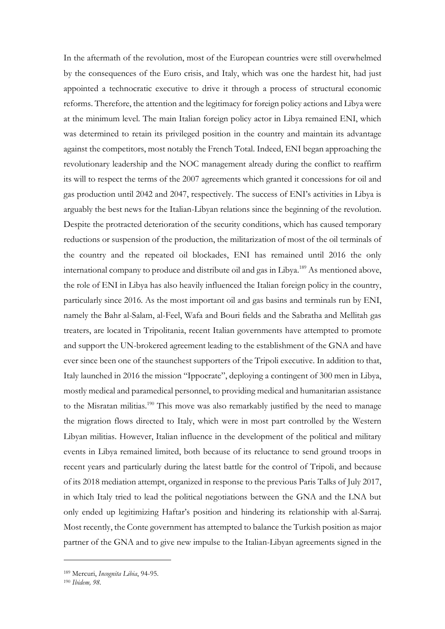In the aftermath of the revolution, most of the European countries were still overwhelmed by the consequences of the Euro crisis, and Italy, which was one the hardest hit, had just appointed a technocratic executive to drive it through a process of structural economic reforms. Therefore, the attention and the legitimacy for foreign policy actions and Libya were at the minimum level. The main Italian foreign policy actor in Libya remained ENI, which was determined to retain its privileged position in the country and maintain its advantage against the competitors, most notably the French Total. Indeed, ENI began approaching the revolutionary leadership and the NOC management already during the conflict to reaffirm its will to respect the terms of the 2007 agreements which granted it concessions for oil and gas production until 2042 and 2047, respectively. The success of ENI's activities in Libya is arguably the best news for the Italian-Libyan relations since the beginning of the revolution. Despite the protracted deterioration of the security conditions, which has caused temporary reductions or suspension of the production, the militarization of most of the oil terminals of the country and the repeated oil blockades, ENI has remained until 2016 the only international company to produce and distribute oil and gas in Libya.<sup>189</sup> As mentioned above, the role of ENI in Libya has also heavily influenced the Italian foreign policy in the country, particularly since 2016. As the most important oil and gas basins and terminals run by ENI, namely the Bahr al-Salam, al-Feel, Wafa and Bouri fields and the Sabratha and Mellitah gas treaters, are located in Tripolitania, recent Italian governments have attempted to promote and support the UN-brokered agreement leading to the establishment of the GNA and have ever since been one of the staunchest supporters of the Tripoli executive. In addition to that, Italy launched in 2016 the mission "Ippocrate", deploying a contingent of 300 men in Libya, mostly medical and paramedical personnel, to providing medical and humanitarian assistance to the Misratan militias.<sup>190</sup> This move was also remarkably justified by the need to manage the migration flows directed to Italy, which were in most part controlled by the Western Libyan militias. However, Italian influence in the development of the political and military events in Libya remained limited, both because of its reluctance to send ground troops in recent years and particularly during the latest battle for the control of Tripoli, and because of its 2018 mediation attempt, organized in response to the previous Paris Talks of July 2017, in which Italy tried to lead the political negotiations between the GNA and the LNA but only ended up legitimizing Haftar's position and hindering its relationship with al-Sarraj. Most recently, the Conte government has attempted to balance the Turkish position as major partner of the GNA and to give new impulse to the Italian-Libyan agreements signed in the

<sup>189</sup> Mercuri, *Incognita Libia*, 94-95.

<sup>190</sup> *Ibidem, 98.*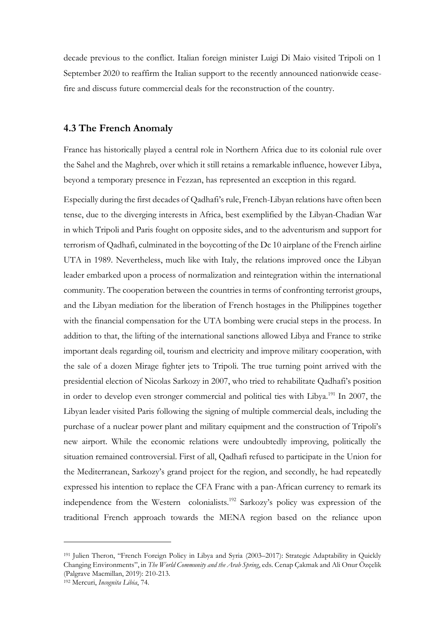decade previous to the conflict. Italian foreign minister Luigi Di Maio visited Tripoli on 1 September 2020 to reaffirm the Italian support to the recently announced nationwide ceasefire and discuss future commercial deals for the reconstruction of the country.

#### **4.3 The French Anomaly**

France has historically played a central role in Northern Africa due to its colonial rule over the Sahel and the Maghreb, over which it still retains a remarkable influence, however Libya, beyond a temporary presence in Fezzan, has represented an exception in this regard.

Especially during the first decades of Qadhafi's rule, French-Libyan relations have often been tense, due to the diverging interests in Africa, best exemplified by the Libyan-Chadian War in which Tripoli and Paris fought on opposite sides, and to the adventurism and support for terrorism of Qadhafi, culminated in the boycotting of the Dc 10 airplane of the French airline UTA in 1989. Nevertheless, much like with Italy, the relations improved once the Libyan leader embarked upon a process of normalization and reintegration within the international community. The cooperation between the countries in terms of confronting terrorist groups, and the Libyan mediation for the liberation of French hostages in the Philippines together with the financial compensation for the UTA bombing were crucial steps in the process. In addition to that, the lifting of the international sanctions allowed Libya and France to strike important deals regarding oil, tourism and electricity and improve military cooperation, with the sale of a dozen Mirage fighter jets to Tripoli. The true turning point arrived with the presidential election of Nicolas Sarkozy in 2007, who tried to rehabilitate Qadhafi's position in order to develop even stronger commercial and political ties with Libya.<sup>191</sup> In 2007, the Libyan leader visited Paris following the signing of multiple commercial deals, including the purchase of a nuclear power plant and military equipment and the construction of Tripoli's new airport. While the economic relations were undoubtedly improving, politically the situation remained controversial. First of all, Qadhafi refused to participate in the Union for the Mediterranean, Sarkozy's grand project for the region, and secondly, he had repeatedly expressed his intention to replace the CFA Franc with a pan-African currency to remark its independence from the Western colonialists.<sup>192</sup> Sarkozy's policy was expression of the traditional French approach towards the MENA region based on the reliance upon

<sup>191</sup> Julien Theron, "French Foreign Policy in Libya and Syria (2003–2017): Strategic Adaptability in Quickly Changing Environments", in *The World Community and the Arab Spring*, eds. Cenap Çakmak and Ali Onur Özçelik (Palgrave Macmillan, 2019): 210-213.

<sup>192</sup> Mercuri, *Incognita Libia*, 74.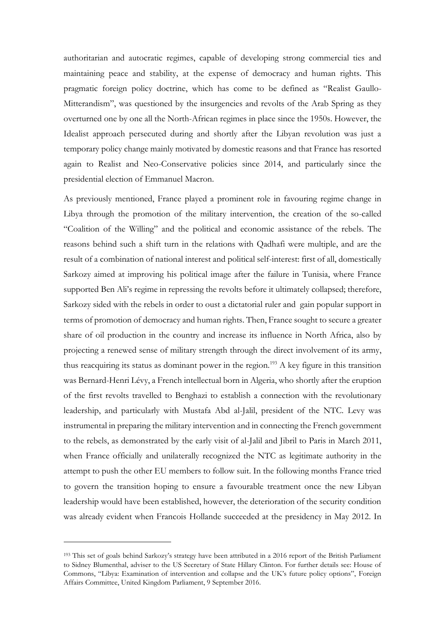authoritarian and autocratic regimes, capable of developing strong commercial ties and maintaining peace and stability, at the expense of democracy and human rights. This pragmatic foreign policy doctrine, which has come to be defined as "Realist Gaullo-Mitterandism", was questioned by the insurgencies and revolts of the Arab Spring as they overturned one by one all the North-African regimes in place since the 1950s. However, the Idealist approach persecuted during and shortly after the Libyan revolution was just a temporary policy change mainly motivated by domestic reasons and that France has resorted again to Realist and Neo-Conservative policies since 2014, and particularly since the presidential election of Emmanuel Macron.

As previously mentioned, France played a prominent role in favouring regime change in Libya through the promotion of the military intervention, the creation of the so-called "Coalition of the Willing" and the political and economic assistance of the rebels. The reasons behind such a shift turn in the relations with Qadhafi were multiple, and are the result of a combination of national interest and political self-interest: first of all, domestically Sarkozy aimed at improving his political image after the failure in Tunisia, where France supported Ben Ali's regime in repressing the revolts before it ultimately collapsed; therefore, Sarkozy sided with the rebels in order to oust a dictatorial ruler and gain popular support in terms of promotion of democracy and human rights. Then, France sought to secure a greater share of oil production in the country and increase its influence in North Africa, also by projecting a renewed sense of military strength through the direct involvement of its army, thus reacquiring its status as dominant power in the region.<sup>193</sup> A key figure in this transition was Bernard-Henri Lévy, a French intellectual born in Algeria, who shortly after the eruption of the first revolts travelled to Benghazi to establish a connection with the revolutionary leadership, and particularly with Mustafa Abd al-Jalil, president of the NTC. Levy was instrumental in preparing the military intervention and in connecting the French government to the rebels, as demonstrated by the early visit of al-Jalil and Jibril to Paris in March 2011, when France officially and unilaterally recognized the NTC as legitimate authority in the attempt to push the other EU members to follow suit. In the following months France tried to govern the transition hoping to ensure a favourable treatment once the new Libyan leadership would have been established, however, the deterioration of the security condition was already evident when Francois Hollande succeeded at the presidency in May 2012. In

<sup>193</sup> This set of goals behind Sarkozy's strategy have been attributed in a 2016 report of the British Parliament to Sidney Blumenthal, adviser to the US Secretary of State Hillary Clinton. For further details see: House of Commons, "Libya: Examination of intervention and collapse and the UK's future policy options", Foreign Affairs Committee, United Kingdom Parliament, 9 September 2016.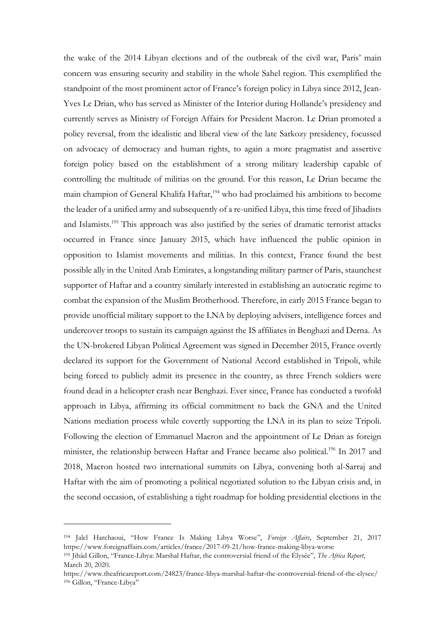the wake of the 2014 Libyan elections and of the outbreak of the civil war, Paris' main concern was ensuring security and stability in the whole Sahel region. This exemplified the standpoint of the most prominent actor of France's foreign policy in Libya since 2012, Jean-Yves Le Drian, who has served as Minister of the Interior during Hollande's presidency and currently serves as Ministry of Foreign Affairs for President Macron. Le Drian promoted a policy reversal, from the idealistic and liberal view of the late Sarkozy presidency, focussed on advocacy of democracy and human rights, to again a more pragmatist and assertive foreign policy based on the establishment of a strong military leadership capable of controlling the multitude of militias on the ground. For this reason, Le Drian became the main champion of General Khalifa Haftar,<sup>194</sup> who had proclaimed his ambitions to become the leader of a unified army and subsequently of a re-unified Libya, this time freed of Jihadists and Islamists.<sup>195</sup> This approach was also justified by the series of dramatic terrorist attacks occurred in France since January 2015, which have influenced the public opinion in opposition to Islamist movements and militias. In this context, France found the best possible ally in the United Arab Emirates, a longstanding military partner of Paris, staunchest supporter of Haftar and a country similarly interested in establishing an autocratic regime to combat the expansion of the Muslim Brotherhood. Therefore, in early 2015 France began to provide unofficial military support to the LNA by deploying advisers, intelligence forces and undercover troops to sustain its campaign against the IS affiliates in Benghazi and Derna. As the UN-brokered Libyan Political Agreement was signed in December 2015, France overtly declared its support for the Government of National Accord established in Tripoli, while being forced to publicly admit its presence in the country, as three French soldiers were found dead in a helicopter crash near Benghazi. Ever since, France has conducted a twofold approach in Libya, affirming its official commitment to back the GNA and the United Nations mediation process while covertly supporting the LNA in its plan to seize Tripoli. Following the election of Emmanuel Macron and the appointment of Le Drian as foreign minister, the relationship between Haftar and France became also political.<sup>196</sup> In 2017 and 2018, Macron hosted two international summits on Libya, convening both al-Sarraj and Haftar with the aim of promoting a political negotiated solution to the Libyan crisis and, in the second occasion, of establishing a tight roadmap for holding presidential elections in the

<sup>194</sup> Jalel Harchaoui, "How France Is Making Libya Worse", *Foreign Affairs*, September 21, 2017 https://www.foreignaffairs.com/articles/france/2017-09-21/how-france-making-libya-worse

<sup>195</sup> Jihâd Gillon, "France-Libya: Marshal Haftar, the controversial friend of the Élysée", *The Africa Report*, March 20, 2020.

https://www.theafricareport.com/24823/france-libya-marshal-haftar-the-controversial-friend-of-the-elysee/ <sup>196</sup> Gillon, "France-Libya"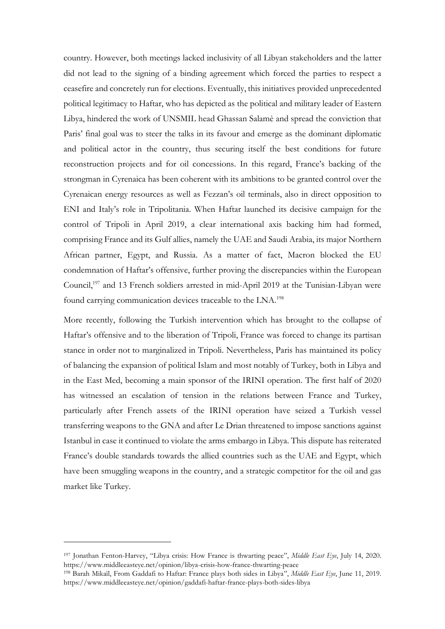country. However, both meetings lacked inclusivity of all Libyan stakeholders and the latter did not lead to the signing of a binding agreement which forced the parties to respect a ceasefire and concretely run for elections. Eventually, this initiatives provided unprecedented political legitimacy to Haftar, who has depicted as the political and military leader of Eastern Libya, hindered the work of UNSMIL head Ghassan Salamè and spread the conviction that Paris' final goal was to steer the talks in its favour and emerge as the dominant diplomatic and political actor in the country, thus securing itself the best conditions for future reconstruction projects and for oil concessions. In this regard, France's backing of the strongman in Cyrenaica has been coherent with its ambitions to be granted control over the Cyrenaican energy resources as well as Fezzan's oil terminals, also in direct opposition to ENI and Italy's role in Tripolitania. When Haftar launched its decisive campaign for the control of Tripoli in April 2019, a clear international axis backing him had formed, comprising France and its Gulf allies, namely the UAE and Saudi Arabia, its major Northern African partner, Egypt, and Russia. As a matter of fact, Macron blocked the EU condemnation of Haftar's offensive, further proving the discrepancies within the European Council, <sup>197</sup> and 13 French soldiers arrested in mid-April 2019 at the Tunisian-Libyan were found carrying communication devices traceable to the LNA.<sup>198</sup>

More recently, following the Turkish intervention which has brought to the collapse of Haftar's offensive and to the liberation of Tripoli, France was forced to change its partisan stance in order not to marginalized in Tripoli. Nevertheless, Paris has maintained its policy of balancing the expansion of political Islam and most notably of Turkey, both in Libya and in the East Med, becoming a main sponsor of the IRINI operation. The first half of 2020 has witnessed an escalation of tension in the relations between France and Turkey, particularly after French assets of the IRINI operation have seized a Turkish vessel transferring weapons to the GNA and after Le Drian threatened to impose sanctions against Istanbul in case it continued to violate the arms embargo in Libya. This dispute has reiterated France's double standards towards the allied countries such as the UAE and Egypt, which have been smuggling weapons in the country, and a strategic competitor for the oil and gas market like Turkey.

<sup>197</sup> Jonathan Fenton-Harvey, "Libya crisis: How France is thwarting peace", *Middle East Eye*, July 14, 2020. https://www.middleeasteye.net/opinion/libya-crisis-how-france-thwarting-peace

<sup>198</sup> Barah Mikaïl, From Gaddafi to Haftar: France plays both sides in Libya", *Middle East Eye*, June 11, 2019. https://www.middleeasteye.net/opinion/gaddafi-haftar-france-plays-both-sides-libya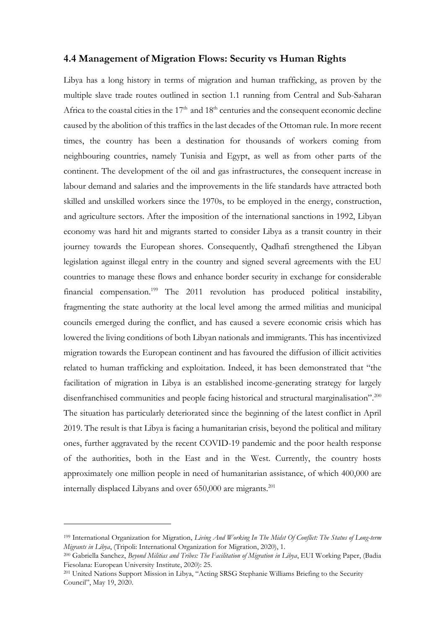#### **4.4 Management of Migration Flows: Security vs Human Rights**

Libya has a long history in terms of migration and human trafficking, as proven by the multiple slave trade routes outlined in section 1.1 running from Central and Sub-Saharan Africa to the coastal cities in the  $17<sup>th</sup>$  and  $18<sup>th</sup>$  centuries and the consequent economic decline caused by the abolition of this traffics in the last decades of the Ottoman rule. In more recent times, the country has been a destination for thousands of workers coming from neighbouring countries, namely Tunisia and Egypt, as well as from other parts of the continent. The development of the oil and gas infrastructures, the consequent increase in labour demand and salaries and the improvements in the life standards have attracted both skilled and unskilled workers since the 1970s, to be employed in the energy, construction, and agriculture sectors. After the imposition of the international sanctions in 1992, Libyan economy was hard hit and migrants started to consider Libya as a transit country in their journey towards the European shores. Consequently, Qadhafi strengthened the Libyan legislation against illegal entry in the country and signed several agreements with the EU countries to manage these flows and enhance border security in exchange for considerable financial compensation.<sup>199</sup> The 2011 revolution has produced political instability, fragmenting the state authority at the local level among the armed militias and municipal councils emerged during the conflict, and has caused a severe economic crisis which has lowered the living conditions of both Libyan nationals and immigrants. This has incentivized migration towards the European continent and has favoured the diffusion of illicit activities related to human trafficking and exploitation. Indeed, it has been demonstrated that "the facilitation of migration in Libya is an established income-generating strategy for largely disenfranchised communities and people facing historical and structural marginalisation".<sup>200</sup> The situation has particularly deteriorated since the beginning of the latest conflict in April 2019. The result is that Libya is facing a humanitarian crisis, beyond the political and military ones, further aggravated by the recent COVID-19 pandemic and the poor health response of the authorities, both in the East and in the West. Currently, the country hosts approximately one million people in need of humanitarian assistance, of which 400,000 are internally displaced Libyans and over 650,000 are migrants.<sup>201</sup>

<sup>199</sup> International Organization for Migration, *Living And Working In The Midst Of Conflict: The Status of Long-term Migrants in Libya*, (Tripoli: International Organization for Migration, 2020), 1.

<sup>200</sup> Gabriella Sanchez, *Beyond Militias and Tribes: The Facilitation of Migration in Libya*, EUI Working Paper, (Badia Fiesolana: European University Institute, 2020): 25.

<sup>201</sup> United Nations Support Mission in Libya, "Acting SRSG Stephanie Williams Briefing to the Security Council", May 19, 2020.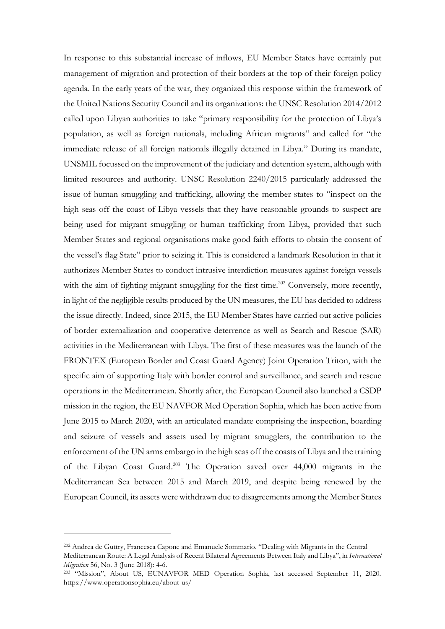In response to this substantial increase of inflows, EU Member States have certainly put management of migration and protection of their borders at the top of their foreign policy agenda. In the early years of the war, they organized this response within the framework of the United Nations Security Council and its organizations: the UNSC Resolution 2014/2012 called upon Libyan authorities to take "primary responsibility for the protection of Libya's population, as well as foreign nationals, including African migrants" and called for "the immediate release of all foreign nationals illegally detained in Libya." During its mandate, UNSMIL focussed on the improvement of the judiciary and detention system, although with limited resources and authority. UNSC Resolution 2240/2015 particularly addressed the issue of human smuggling and trafficking, allowing the member states to "inspect on the high seas off the coast of Libya vessels that they have reasonable grounds to suspect are being used for migrant smuggling or human trafficking from Libya, provided that such Member States and regional organisations make good faith efforts to obtain the consent of the vessel's flag State" prior to seizing it. This is considered a landmark Resolution in that it authorizes Member States to conduct intrusive interdiction measures against foreign vessels with the aim of fighting migrant smuggling for the first time.<sup>202</sup> Conversely, more recently, in light of the negligible results produced by the UN measures, the EU has decided to address the issue directly. Indeed, since 2015, the EU Member States have carried out active policies of border externalization and cooperative deterrence as well as Search and Rescue (SAR) activities in the Mediterranean with Libya. The first of these measures was the launch of the FRONTEX (European Border and Coast Guard Agency) Joint Operation Triton, with the specific aim of supporting Italy with border control and surveillance, and search and rescue operations in the Mediterranean. Shortly after, the European Council also launched a CSDP mission in the region, the EU NAVFOR Med Operation Sophia, which has been active from June 2015 to March 2020, with an articulated mandate comprising the inspection, boarding and seizure of vessels and assets used by migrant smugglers, the contribution to the enforcement of the UN arms embargo in the high seas off the coasts of Libya and the training of the Libyan Coast Guard. <sup>203</sup> The Operation saved over 44,000 migrants in the Mediterranean Sea between 2015 and March 2019, and despite being renewed by the European Council, its assets were withdrawn due to disagreements among the Member States

<sup>202</sup> Andrea de Guttry, Francesca Capone and Emanuele Sommario, "Dealing with Migrants in the Central Mediterranean Route: A Legal Analysis of Recent Bilateral Agreements Between Italy and Libya", in *International Migration* 56, No. 3 (June 2018): 4-6.

<sup>&</sup>lt;sup>203</sup> "Mission", About US, EUNAVFOR MED Operation Sophia, last accessed September 11, 2020. https://www.operationsophia.eu/about-us/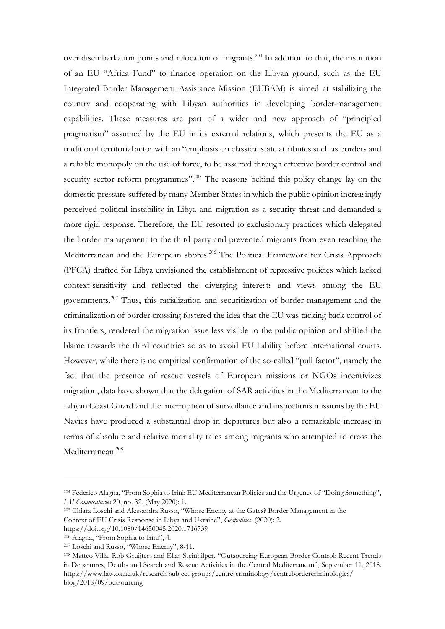over disembarkation points and relocation of migrants.<sup>204</sup> In addition to that, the institution of an EU "Africa Fund" to finance operation on the Libyan ground, such as the EU Integrated Border Management Assistance Mission (EUBAM) is aimed at stabilizing the country and cooperating with Libyan authorities in developing border-management capabilities. These measures are part of a wider and new approach of "principled pragmatism" assumed by the EU in its external relations, which presents the EU as a traditional territorial actor with an "emphasis on classical state attributes such as borders and a reliable monopoly on the use of force, to be asserted through effective border control and security sector reform programmes".<sup>205</sup> The reasons behind this policy change lay on the domestic pressure suffered by many Member States in which the public opinion increasingly perceived political instability in Libya and migration as a security threat and demanded a more rigid response. Therefore, the EU resorted to exclusionary practices which delegated the border management to the third party and prevented migrants from even reaching the Mediterranean and the European shores.<sup>206</sup> The Political Framework for Crisis Approach (PFCA) drafted for Libya envisioned the establishment of repressive policies which lacked context-sensitivity and reflected the diverging interests and views among the EU governments.<sup>207</sup> Thus, this racialization and securitization of border management and the criminalization of border crossing fostered the idea that the EU was tacking back control of its frontiers, rendered the migration issue less visible to the public opinion and shifted the blame towards the third countries so as to avoid EU liability before international courts. However, while there is no empirical confirmation of the so-called "pull factor", namely the fact that the presence of rescue vessels of European missions or NGOs incentivizes migration, data have shown that the delegation of SAR activities in the Mediterranean to the Libyan Coast Guard and the interruption of surveillance and inspections missions by the EU Navies have produced a substantial drop in departures but also a remarkable increase in terms of absolute and relative mortality rates among migrants who attempted to cross the Mediterranean.<sup>208</sup>

<sup>204</sup> Federico Alagna, "From Sophia to Irini: EU Mediterranean Policies and the Urgency of "Doing Something", *IAI Commentaries* 20, no. 32, (May 2020): 1.

<sup>205</sup> Chiara Loschi and Alessandra Russo, "Whose Enemy at the Gates? Border Management in the

Context of EU Crisis Response in Libya and Ukraine", *Geopolitics*, (2020): 2.

https://doi.org/10.1080/14650045.2020.1716739

<sup>206</sup> Alagna, "From Sophia to Irini", 4.

<sup>207</sup> Loschi and Russo, "Whose Enemy", 8-11.

<sup>208</sup> Matteo Villa, Rob Gruijters and Elias Steinhilper, "Outsourcing European Border Control: Recent Trends in Departures, Deaths and Search and Rescue Activities in the Central Mediterranean", September 11, 2018. https://www.law.ox.ac.uk/research-subject-groups/centre-criminology/centrebordercriminologies/ blog/2018/09/outsourcing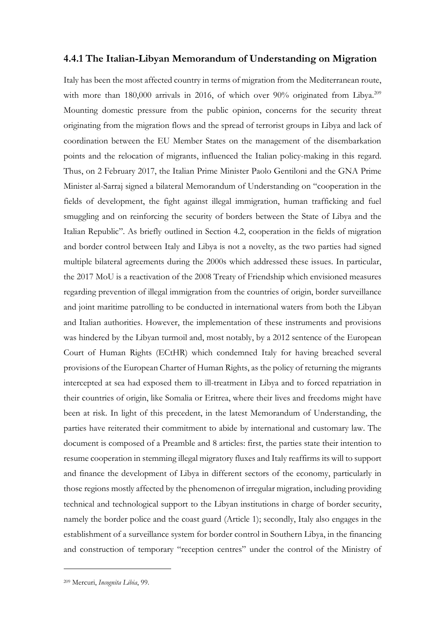### **4.4.1 The Italian-Libyan Memorandum of Understanding on Migration**

Italy has been the most affected country in terms of migration from the Mediterranean route, with more than 180,000 arrivals in 2016, of which over 90% originated from Libya.<sup>209</sup> Mounting domestic pressure from the public opinion, concerns for the security threat originating from the migration flows and the spread of terrorist groups in Libya and lack of coordination between the EU Member States on the management of the disembarkation points and the relocation of migrants, influenced the Italian policy-making in this regard. Thus, on 2 February 2017, the Italian Prime Minister Paolo Gentiloni and the GNA Prime Minister al-Sarraj signed a bilateral Memorandum of Understanding on "cooperation in the fields of development, the fight against illegal immigration, human trafficking and fuel smuggling and on reinforcing the security of borders between the State of Libya and the Italian Republic". As briefly outlined in Section 4.2, cooperation in the fields of migration and border control between Italy and Libya is not a novelty, as the two parties had signed multiple bilateral agreements during the 2000s which addressed these issues. In particular, the 2017 MoU is a reactivation of the 2008 Treaty of Friendship which envisioned measures regarding prevention of illegal immigration from the countries of origin, border surveillance and joint maritime patrolling to be conducted in international waters from both the Libyan and Italian authorities. However, the implementation of these instruments and provisions was hindered by the Libyan turmoil and, most notably, by a 2012 sentence of the European Court of Human Rights (ECtHR) which condemned Italy for having breached several provisions of the European Charter of Human Rights, as the policy of returning the migrants intercepted at sea had exposed them to ill-treatment in Libya and to forced repatriation in their countries of origin, like Somalia or Eritrea, where their lives and freedoms might have been at risk. In light of this precedent, in the latest Memorandum of Understanding, the parties have reiterated their commitment to abide by international and customary law. The document is composed of a Preamble and 8 articles: first, the parties state their intention to resume cooperation in stemming illegal migratory fluxes and Italy reaffirms its will to support and finance the development of Libya in different sectors of the economy, particularly in those regions mostly affected by the phenomenon of irregular migration, including providing technical and technological support to the Libyan institutions in charge of border security, namely the border police and the coast guard (Article 1); secondly, Italy also engages in the establishment of a surveillance system for border control in Southern Libya, in the financing and construction of temporary "reception centres" under the control of the Ministry of

<sup>209</sup> Mercuri, *Incognita Libia*, 99.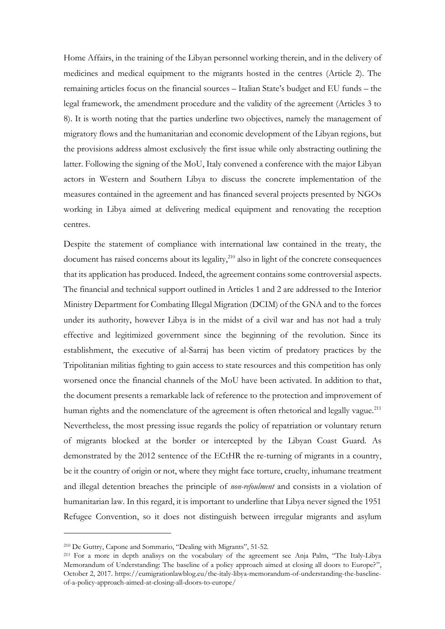Home Affairs, in the training of the Libyan personnel working therein, and in the delivery of medicines and medical equipment to the migrants hosted in the centres (Article 2). The remaining articles focus on the financial sources – Italian State's budget and EU funds – the legal framework, the amendment procedure and the validity of the agreement (Articles 3 to 8). It is worth noting that the parties underline two objectives, namely the management of migratory flows and the humanitarian and economic development of the Libyan regions, but the provisions address almost exclusively the first issue while only abstracting outlining the latter. Following the signing of the MoU, Italy convened a conference with the major Libyan actors in Western and Southern Libya to discuss the concrete implementation of the measures contained in the agreement and has financed several projects presented by NGOs working in Libya aimed at delivering medical equipment and renovating the reception centres.

Despite the statement of compliance with international law contained in the treaty, the document has raised concerns about its legality, $210$  also in light of the concrete consequences that its application has produced. Indeed, the agreement contains some controversial aspects. The financial and technical support outlined in Articles 1 and 2 are addressed to the Interior Ministry Department for Combating Illegal Migration (DCIM) of the GNA and to the forces under its authority, however Libya is in the midst of a civil war and has not had a truly effective and legitimized government since the beginning of the revolution. Since its establishment, the executive of al-Sarraj has been victim of predatory practices by the Tripolitanian militias fighting to gain access to state resources and this competition has only worsened once the financial channels of the MoU have been activated. In addition to that, the document presents a remarkable lack of reference to the protection and improvement of human rights and the nomenclature of the agreement is often rhetorical and legally vague.<sup>211</sup> Nevertheless, the most pressing issue regards the policy of repatriation or voluntary return of migrants blocked at the border or intercepted by the Libyan Coast Guard. As demonstrated by the 2012 sentence of the ECtHR the re-turning of migrants in a country, be it the country of origin or not, where they might face torture, cruelty, inhumane treatment and illegal detention breaches the principle of *non-refoulment* and consists in a violation of humanitarian law. In this regard, it is important to underline that Libya never signed the 1951 Refugee Convention, so it does not distinguish between irregular migrants and asylum

<sup>210</sup> De Guttry, Capone and Sommario, "Dealing with Migrants", 51-52.

<sup>211</sup> For a more in depth analisys on the vocabulary of the agreement see Anja Palm, "The Italy-Libya Memorandum of Understanding: The baseline of a policy approach aimed at closing all doors to Europe?", October 2, 2017. https://eumigrationlawblog.eu/the-italy-libya-memorandum-of-understanding-the-baselineof-a-policy-approach-aimed-at-closing-all-doors-to-europe/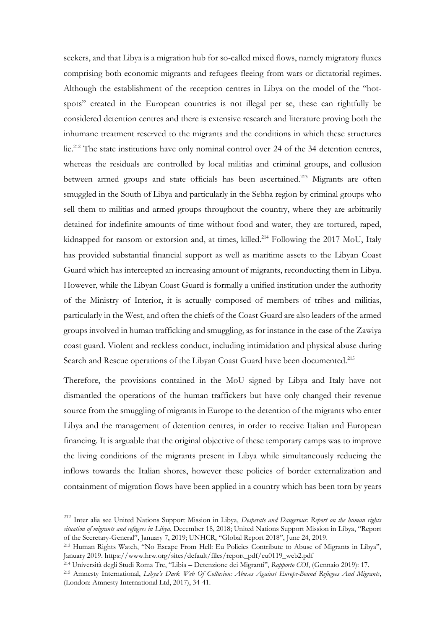seekers, and that Libya is a migration hub for so-called mixed flows, namely migratory fluxes comprising both economic migrants and refugees fleeing from wars or dictatorial regimes. Although the establishment of the reception centres in Libya on the model of the "hotspots" created in the European countries is not illegal per se, these can rightfully be considered detention centres and there is extensive research and literature proving both the inhumane treatment reserved to the migrants and the conditions in which these structures lie.<sup>212</sup> The state institutions have only nominal control over 24 of the 34 detention centres, whereas the residuals are controlled by local militias and criminal groups, and collusion between armed groups and state officials has been ascertained.<sup>213</sup> Migrants are often smuggled in the South of Libya and particularly in the Sebha region by criminal groups who sell them to militias and armed groups throughout the country, where they are arbitrarily detained for indefinite amounts of time without food and water, they are tortured, raped, kidnapped for ransom or extorsion and, at times, killed.<sup>214</sup> Following the 2017 MoU, Italy has provided substantial financial support as well as maritime assets to the Libyan Coast Guard which has intercepted an increasing amount of migrants, reconducting them in Libya. However, while the Libyan Coast Guard is formally a unified institution under the authority of the Ministry of Interior, it is actually composed of members of tribes and militias, particularly in the West, and often the chiefs of the Coast Guard are also leaders of the armed groups involved in human trafficking and smuggling, as for instance in the case of the Zawiya coast guard. Violent and reckless conduct, including intimidation and physical abuse during Search and Rescue operations of the Libyan Coast Guard have been documented.<sup>215</sup>

Therefore, the provisions contained in the MoU signed by Libya and Italy have not dismantled the operations of the human traffickers but have only changed their revenue source from the smuggling of migrants in Europe to the detention of the migrants who enter Libya and the management of detention centres, in order to receive Italian and European financing. It is arguable that the original objective of these temporary camps was to improve the living conditions of the migrants present in Libya while simultaneously reducing the inflows towards the Italian shores, however these policies of border externalization and containment of migration flows have been applied in a country which has been torn by years

<sup>212</sup> Inter alia see United Nations Support Mission in Libya, *Desperate and Dangerous: Report on the human rights situation of migrants and refugees in Libya*, December 18, 2018; United Nations Support Mission in Libya, "Report of the Secretary-General", January 7, 2019; UNHCR, "Global Report 2018", June 24, 2019.

<sup>213</sup> Human Rights Watch, "No Escape From Hell: Eu Policies Contribute to Abuse of Migrants in Libya", January 2019. https://www.hrw.org/sites/default/files/report\_pdf/eu0119\_web2.pdf

<sup>214</sup> Università degli Studi Roma Tre, "Libia – Detenzione dei Migranti", *Rapporto COI*, (Gennaio 2019): 17.

<sup>215</sup> Amnesty International, *Libya's Dark Web Of Collusion: Abuses Against Europe-Bound Refugees And Migrants*, (London: Amnesty International Ltd, 2017), 34-41.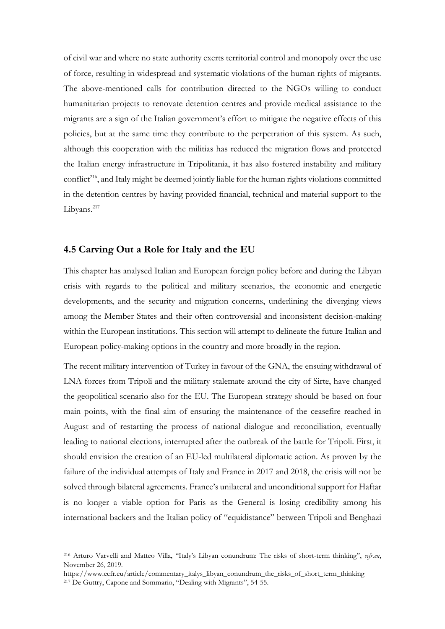of civil war and where no state authority exerts territorial control and monopoly over the use of force, resulting in widespread and systematic violations of the human rights of migrants. The above-mentioned calls for contribution directed to the NGOs willing to conduct humanitarian projects to renovate detention centres and provide medical assistance to the migrants are a sign of the Italian government's effort to mitigate the negative effects of this policies, but at the same time they contribute to the perpetration of this system. As such, although this cooperation with the militias has reduced the migration flows and protected the Italian energy infrastructure in Tripolitania, it has also fostered instability and military conflict<sup>216</sup>, and Italy might be deemed jointly liable for the human rights violations committed in the detention centres by having provided financial, technical and material support to the Libyans.<sup>217</sup>

# **4.5 Carving Out a Role for Italy and the EU**

This chapter has analysed Italian and European foreign policy before and during the Libyan crisis with regards to the political and military scenarios, the economic and energetic developments, and the security and migration concerns, underlining the diverging views among the Member States and their often controversial and inconsistent decision-making within the European institutions. This section will attempt to delineate the future Italian and European policy-making options in the country and more broadly in the region.

The recent military intervention of Turkey in favour of the GNA, the ensuing withdrawal of LNA forces from Tripoli and the military stalemate around the city of Sirte, have changed the geopolitical scenario also for the EU. The European strategy should be based on four main points, with the final aim of ensuring the maintenance of the ceasefire reached in August and of restarting the process of national dialogue and reconciliation, eventually leading to national elections, interrupted after the outbreak of the battle for Tripoli. First, it should envision the creation of an EU-led multilateral diplomatic action. As proven by the failure of the individual attempts of Italy and France in 2017 and 2018, the crisis will not be solved through bilateral agreements. France's unilateral and unconditional support for Haftar is no longer a viable option for Paris as the General is losing credibility among his international backers and the Italian policy of "equidistance" between Tripoli and Benghazi

<sup>216</sup> Arturo Varvelli and Matteo Villa, "Italy's Libyan conundrum: The risks of short-term thinking", *ecfr.eu*, November 26, 2019.

https://www.ecfr.eu/article/commentary\_italys\_libyan\_conundrum\_the\_risks\_of\_short\_term\_thinking <sup>217</sup> De Guttry, Capone and Sommario, "Dealing with Migrants", 54-55.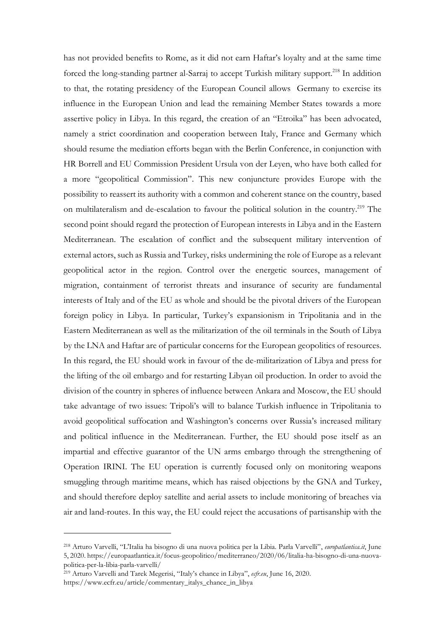has not provided benefits to Rome, as it did not earn Haftar's loyalty and at the same time forced the long-standing partner al-Sarraj to accept Turkish military support.<sup>218</sup> In addition to that, the rotating presidency of the European Council allows Germany to exercise its influence in the European Union and lead the remaining Member States towards a more assertive policy in Libya. In this regard, the creation of an "Etroika" has been advocated, namely a strict coordination and cooperation between Italy, France and Germany which should resume the mediation efforts began with the Berlin Conference, in conjunction with HR Borrell and EU Commission President Ursula von der Leyen, who have both called for a more "geopolitical Commission". This new conjuncture provides Europe with the possibility to reassert its authority with a common and coherent stance on the country, based on multilateralism and de-escalation to favour the political solution in the country.<sup>219</sup> The second point should regard the protection of European interests in Libya and in the Eastern Mediterranean. The escalation of conflict and the subsequent military intervention of external actors, such as Russia and Turkey, risks undermining the role of Europe as a relevant geopolitical actor in the region. Control over the energetic sources, management of migration, containment of terrorist threats and insurance of security are fundamental interests of Italy and of the EU as whole and should be the pivotal drivers of the European foreign policy in Libya. In particular, Turkey's expansionism in Tripolitania and in the Eastern Mediterranean as well as the militarization of the oil terminals in the South of Libya by the LNA and Haftar are of particular concerns for the European geopolitics of resources. In this regard, the EU should work in favour of the de-militarization of Libya and press for the lifting of the oil embargo and for restarting Libyan oil production. In order to avoid the division of the country in spheres of influence between Ankara and Moscow, the EU should take advantage of two issues: Tripoli's will to balance Turkish influence in Tripolitania to avoid geopolitical suffocation and Washington's concerns over Russia's increased military and political influence in the Mediterranean. Further, the EU should pose itself as an impartial and effective guarantor of the UN arms embargo through the strengthening of Operation IRINI. The EU operation is currently focused only on monitoring weapons smuggling through maritime means, which has raised objections by the GNA and Turkey, and should therefore deploy satellite and aerial assets to include monitoring of breaches via air and land-routes. In this way, the EU could reject the accusations of partisanship with the

<sup>218</sup> Arturo Varvelli, "L'Italia ha bisogno di una nuova politica per la Libia. Parla Varvelli", *europatlantica.it*, June 5, 2020. https://europaatlantica.it/focus-geopolitico/mediterraneo/2020/06/litalia-ha-bisogno-di-una-nuovapolitica-per-la-libia-parla-varvelli/

<sup>219</sup> Arturo Varvelli and Tarek Megerisi, "Italy's chance in Libya", *ecfr.eu*, June 16, 2020. https://www.ecfr.eu/article/commentary\_italys\_chance\_in\_libya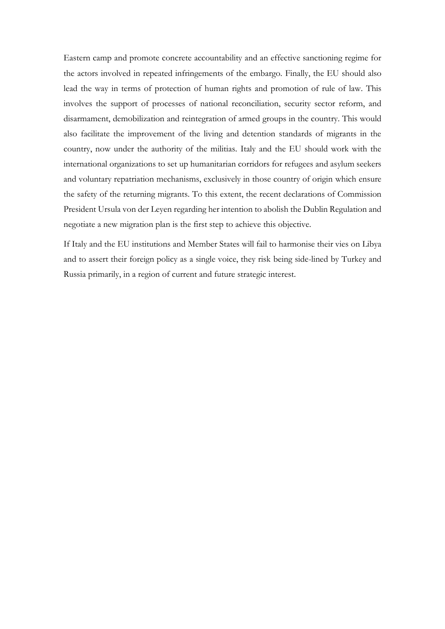Eastern camp and promote concrete accountability and an effective sanctioning regime for the actors involved in repeated infringements of the embargo. Finally, the EU should also lead the way in terms of protection of human rights and promotion of rule of law. This involves the support of processes of national reconciliation, security sector reform, and disarmament, demobilization and reintegration of armed groups in the country. This would also facilitate the improvement of the living and detention standards of migrants in the country, now under the authority of the militias. Italy and the EU should work with the international organizations to set up humanitarian corridors for refugees and asylum seekers and voluntary repatriation mechanisms, exclusively in those country of origin which ensure the safety of the returning migrants. To this extent, the recent declarations of Commission President Ursula von der Leyen regarding her intention to abolish the Dublin Regulation and negotiate a new migration plan is the first step to achieve this objective.

If Italy and the EU institutions and Member States will fail to harmonise their vies on Libya and to assert their foreign policy as a single voice, they risk being side-lined by Turkey and Russia primarily, in a region of current and future strategic interest.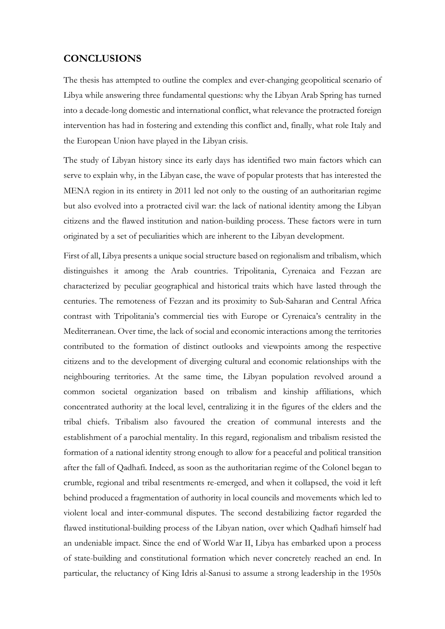# **CONCLUSIONS**

The thesis has attempted to outline the complex and ever-changing geopolitical scenario of Libya while answering three fundamental questions: why the Libyan Arab Spring has turned into a decade-long domestic and international conflict, what relevance the protracted foreign intervention has had in fostering and extending this conflict and, finally, what role Italy and the European Union have played in the Libyan crisis.

The study of Libyan history since its early days has identified two main factors which can serve to explain why, in the Libyan case, the wave of popular protests that has interested the MENA region in its entirety in 2011 led not only to the ousting of an authoritarian regime but also evolved into a protracted civil war: the lack of national identity among the Libyan citizens and the flawed institution and nation-building process. These factors were in turn originated by a set of peculiarities which are inherent to the Libyan development.

First of all, Libya presents a unique social structure based on regionalism and tribalism, which distinguishes it among the Arab countries. Tripolitania, Cyrenaica and Fezzan are characterized by peculiar geographical and historical traits which have lasted through the centuries. The remoteness of Fezzan and its proximity to Sub-Saharan and Central Africa contrast with Tripolitania's commercial ties with Europe or Cyrenaica's centrality in the Mediterranean. Over time, the lack of social and economic interactions among the territories contributed to the formation of distinct outlooks and viewpoints among the respective citizens and to the development of diverging cultural and economic relationships with the neighbouring territories. At the same time, the Libyan population revolved around a common societal organization based on tribalism and kinship affiliations, which concentrated authority at the local level, centralizing it in the figures of the elders and the tribal chiefs. Tribalism also favoured the creation of communal interests and the establishment of a parochial mentality. In this regard, regionalism and tribalism resisted the formation of a national identity strong enough to allow for a peaceful and political transition after the fall of Qadhafi. Indeed, as soon as the authoritarian regime of the Colonel began to crumble, regional and tribal resentments re-emerged, and when it collapsed, the void it left behind produced a fragmentation of authority in local councils and movements which led to violent local and inter-communal disputes. The second destabilizing factor regarded the flawed institutional-building process of the Libyan nation, over which Qadhafi himself had an undeniable impact. Since the end of World War II, Libya has embarked upon a process of state-building and constitutional formation which never concretely reached an end. In particular, the reluctancy of King Idris al-Sanusi to assume a strong leadership in the 1950s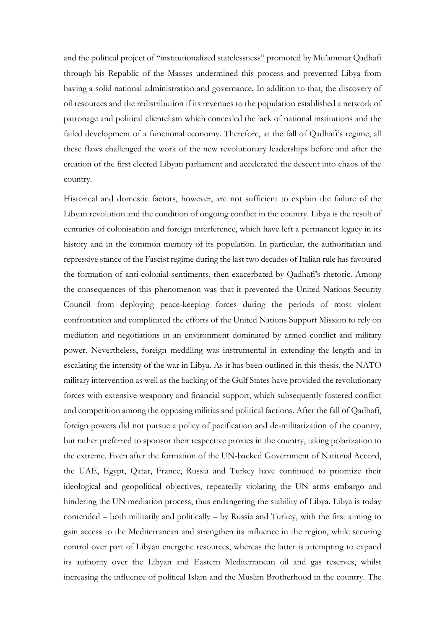and the political project of "institutionalized statelessness" promoted by Mu'ammar Qadhafi through his Republic of the Masses undermined this process and prevented Libya from having a solid national administration and governance. In addition to that, the discovery of oil resources and the redistribution if its revenues to the population established a network of patronage and political clientelism which concealed the lack of national institutions and the failed development of a functional economy. Therefore, at the fall of Qadhafi's regime, all these flaws challenged the work of the new revolutionary leaderships before and after the creation of the first elected Libyan parliament and accelerated the descent into chaos of the country.

Historical and domestic factors, however, are not sufficient to explain the failure of the Libyan revolution and the condition of ongoing conflict in the country. Libya is the result of centuries of colonisation and foreign interference, which have left a permanent legacy in its history and in the common memory of its population. In particular, the authoritarian and repressive stance of the Fascist regime during the last two decades of Italian rule has favoured the formation of anti-colonial sentiments, then exacerbated by Qadhafi's rhetoric. Among the consequences of this phenomenon was that it prevented the United Nations Security Council from deploying peace-keeping forces during the periods of most violent confrontation and complicated the efforts of the United Nations Support Mission to rely on mediation and negotiations in an environment dominated by armed conflict and military power. Nevertheless, foreign meddling was instrumental in extending the length and in escalating the intensity of the war in Libya. As it has been outlined in this thesis, the NATO military intervention as well as the backing of the Gulf States have provided the revolutionary forces with extensive weaponry and financial support, which subsequently fostered conflict and competition among the opposing militias and political factions. After the fall of Qadhafi, foreign powers did not pursue a policy of pacification and de-militarization of the country, but rather preferred to sponsor their respective proxies in the country, taking polarization to the extreme. Even after the formation of the UN-backed Government of National Accord, the UAE, Egypt, Qatar, France, Russia and Turkey have continued to prioritize their ideological and geopolitical objectives, repeatedly violating the UN arms embargo and hindering the UN mediation process, thus endangering the stability of Libya. Libya is today contended – both militarily and politically – by Russia and Turkey, with the first aiming to gain access to the Mediterranean and strengthen its influence in the region, while securing control over part of Libyan energetic resources, whereas the latter is attempting to expand its authority over the Libyan and Eastern Mediterranean oil and gas reserves, whilst increasing the influence of political Islam and the Muslim Brotherhood in the country. The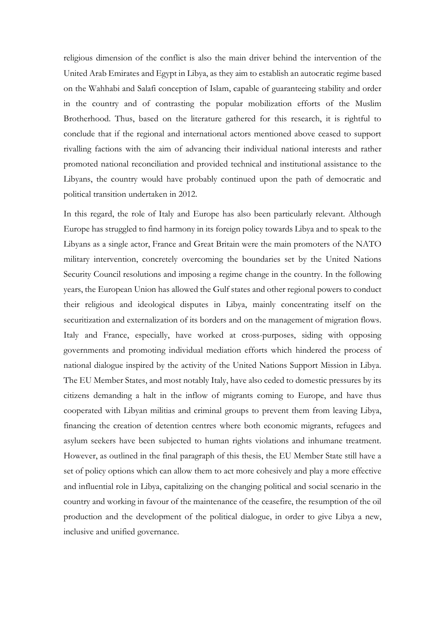religious dimension of the conflict is also the main driver behind the intervention of the United Arab Emirates and Egypt in Libya, as they aim to establish an autocratic regime based on the Wahhabi and Salafi conception of Islam, capable of guaranteeing stability and order in the country and of contrasting the popular mobilization efforts of the Muslim Brotherhood. Thus, based on the literature gathered for this research, it is rightful to conclude that if the regional and international actors mentioned above ceased to support rivalling factions with the aim of advancing their individual national interests and rather promoted national reconciliation and provided technical and institutional assistance to the Libyans, the country would have probably continued upon the path of democratic and political transition undertaken in 2012.

In this regard, the role of Italy and Europe has also been particularly relevant. Although Europe has struggled to find harmony in its foreign policy towards Libya and to speak to the Libyans as a single actor, France and Great Britain were the main promoters of the NATO military intervention, concretely overcoming the boundaries set by the United Nations Security Council resolutions and imposing a regime change in the country. In the following years, the European Union has allowed the Gulf states and other regional powers to conduct their religious and ideological disputes in Libya, mainly concentrating itself on the securitization and externalization of its borders and on the management of migration flows. Italy and France, especially, have worked at cross-purposes, siding with opposing governments and promoting individual mediation efforts which hindered the process of national dialogue inspired by the activity of the United Nations Support Mission in Libya. The EU Member States, and most notably Italy, have also ceded to domestic pressures by its citizens demanding a halt in the inflow of migrants coming to Europe, and have thus cooperated with Libyan militias and criminal groups to prevent them from leaving Libya, financing the creation of detention centres where both economic migrants, refugees and asylum seekers have been subjected to human rights violations and inhumane treatment. However, as outlined in the final paragraph of this thesis, the EU Member State still have a set of policy options which can allow them to act more cohesively and play a more effective and influential role in Libya, capitalizing on the changing political and social scenario in the country and working in favour of the maintenance of the ceasefire, the resumption of the oil production and the development of the political dialogue, in order to give Libya a new, inclusive and unified governance.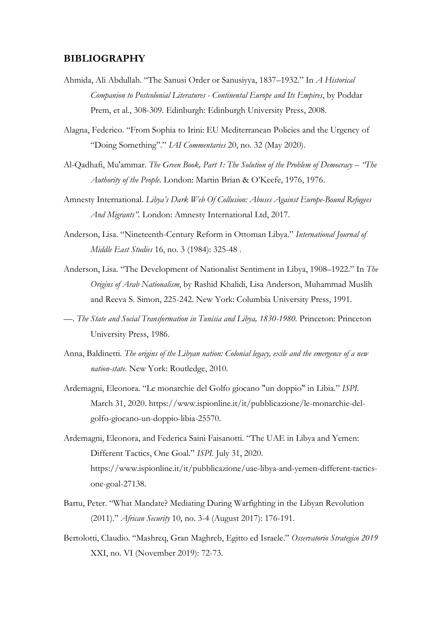### **BIBLIOGRAPHY**

- Ahmida, Ali Abdullah. "The Sanusi Order or Sanusiyya, 1837–1932." In *A Historical Companion to Postcolonial Literatures - Continental Europe and Its Empires*, by Poddar Prem, et al., 308-309. Edinburgh: Edinburgh University Press, 2008.
- Alagna, Federico. "From Sophia to Irini: EU Mediterranean Policies and the Urgency of "Doing Something"." *IAI Commentaries* 20, no. 32 (May 2020).
- Al-Qadhafi, Mu'ammar. *The Green Book, Part 1: The Solution of the Problem of Democracy – "The Authority of the People.* London: Martin Brian & O'Keefe, 1976, 1976.
- Amnesty International. *Libya's Dark Web Of Collusion: Abuses Against Europe-Bound Refugees And Migrants".* London: Amnesty International Ltd, 2017.
- Anderson, Lisa. "Nineteenth-Century Reform in Ottoman Libya." *International Journal of Middle East Studies* 16, no. 3 (1984): 325-48 .
- Anderson, Lisa. "The Development of Nationalist Sentiment in Libya, 1908–1922." In *The Origins of Arab Nationalism*, by Rashid Khalidi, Lisa Anderson, Muhammad Muslih and Reeva S. Simon, 225-242. New York: Columbia University Press, 1991.
- —. *The State and Social Transformation in Tunisia and Libya, 1830-1980.* Princeton: Princeton University Press, 1986.
- Anna, Baldinetti. *The origins of the Libyan nation: Colonial legacy, exile and the emergence of a new nation-state.* New York: Routledge, 2010.
- Ardemagni, Eleonora. "Le monarchie del Golfo giocano "un doppio" in Libia." *ISPI.* March 31, 2020. https://www.ispionline.it/it/pubblicazione/le-monarchie-delgolfo-giocano-un-doppio-libia-25570.
- Ardemagni, Eleonora, and Federica Saini Faisanotti. "The UAE in Libya and Yemen: Different Tactics, One Goal." *ISPI.* July 31, 2020. https://www.ispionline.it/it/pubblicazione/uae-libya-and-yemen-different-tacticsone-goal-27138.
- Bartu, Peter. "What Mandate? Mediating During Warfighting in the Libyan Revolution (2011)." *African Security* 10, no. 3-4 (August 2017): 176-191.
- Bertolotti, Claudio. "Mashreq, Gran Maghreb, Egitto ed Israele." *Osservatorio Strategico 2019* XXI, no. VI (November 2019): 72-73.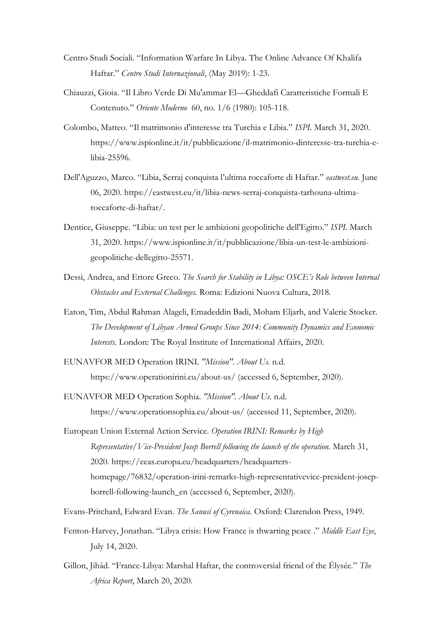- Centro Studi Sociali. "Information Warfare In Libya. The Online Advance Of Khalifa Haftar." *Centro Studi Internazionali*, (May 2019): 1-23.
- Chiauzzi, Gioia. "Il Libro Verde Di Mu'ammar El—Gheddafi Caratteristiche Formali E Contenuto." *Oriente Moderno* 60, no. 1/6 (1980): 105-118.
- Colombo, Matteo. "Il matrimonio d'interesse tra Turchia e Libia." *ISPI.* March 31, 2020. https://www.ispionline.it/it/pubblicazione/il-matrimonio-dinteresse-tra-turchia-elibia-25596.
- Dell'Aguzzo, Marco. "Libia, Serraj conquista l'ultima roccaforte di Haftar." *eastwest.eu.* June 06, 2020. https://eastwest.eu/it/libia-news-serraj-conquista-tarhouna-ultimaroccaforte-di-haftar/.
- Dentice, Giuseppe. "Libia: un test per le ambizioni geopolitiche dell'Egitto." *ISPI.* March 31, 2020. https://www.ispionline.it/it/pubblicazione/libia-un-test-le-ambizionigeopolitiche-dellegitto-25571.
- Dessì, Andrea, and Ettore Greco. *The Search for Stability in Libya: OSCE's Role between Internal Obstacles and External Challenges.* Roma: Edizioni Nuova Cultura, 2018.
- Eaton, Tim, Abdul Rahman Alageli, Emadeddin Badi, Moham Eljarh, and Valerie Stocker. *The Development of Libyan Armed Groups Since 2014: Community Dynamics and Economic Interests.* London: The Royal Institute of International Affairs, 2020.
- EUNAVFOR MED Operation IRINI. *"Mission". About Us.* n.d. https://www.operationirini.eu/about-us/ (accessed 6, September, 2020).
- EUNAVFOR MED Operation Sophia. *"Mission". About Us.* n.d. https://www.operationsophia.eu/about-us/ (accessed 11, September, 2020).
- European Union External Action Service. *Operation IRINI: Remarks by High Representative/Vice-President Josep Borrell following the launch of the operation.* March 31, 2020. https://eeas.europa.eu/headquarters/headquartershomepage/76832/operation-irini-remarks-high-representativevice-president-josepborrell-following-launch\_en (accessed 6, September, 2020).
- Evans-Pritchard, Edward Evan. *The Sanusi of Cyrenaica.* Oxford: Clarendon Press, 1949.
- Fenton-Harvey, Jonathan. "Libya crisis: How France is thwarting peace ." *Middle East Eye*, July 14, 2020.
- Gillon, Jihâd. "France-Libya: Marshal Haftar, the controversial friend of the Élysée." *The Africa Report*, March 20, 2020.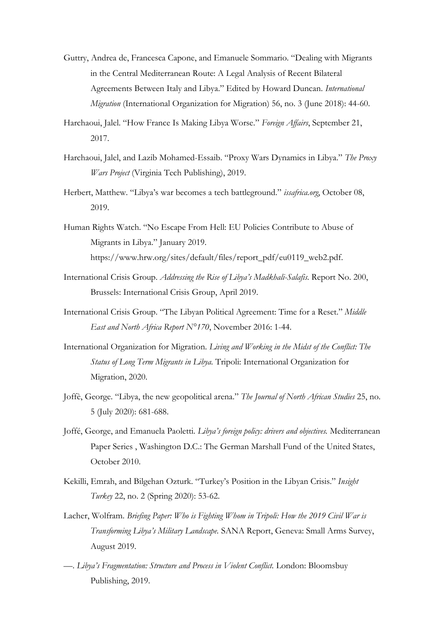- Guttry, Andrea de, Francesca Capone, and Emanuele Sommario. "Dealing with Migrants in the Central Mediterranean Route: A Legal Analysis of Recent Bilateral Agreements Between Italy and Libya." Edited by Howard Duncan. *International Migration* (International Organization for Migration) 56, no. 3 (June 2018): 44-60.
- Harchaoui, Jalel. "How France Is Making Libya Worse." *Foreign Affairs*, September 21, 2017.
- Harchaoui, Jalel, and Lazib Mohamed-Essaib. "Proxy Wars Dynamics in Libya." *The Proxy Wars Project* (Virginia Tech Publishing), 2019.
- Herbert, Matthew. "Libya's war becomes a tech battleground." *issafrica.org*, October 08, 2019.
- Human Rights Watch. "No Escape From Hell: EU Policies Contribute to Abuse of Migrants in Libya." January 2019. https://www.hrw.org/sites/default/files/report\_pdf/eu0119\_web2.pdf.
- International Crisis Group. *Addressing the Rise of Libya's Madkhali-Salafis.* Report No. 200, Brussels: International Crisis Group, April 2019.
- International Crisis Group. "The Libyan Political Agreement: Time for a Reset." *Middle East and North Africa Report N°170*, November 2016: 1-44.
- International Organization for Migration. *Living and Working in the Midst of the Conflict: The Status of Long Term Migrants in Libya.* Tripoli: International Organization for Migration, 2020.
- Joffè, George. "Libya, the new geopolitical arena." *The Journal of North African Studies* 25, no. 5 (July 2020): 681-688.
- Joffé, George, and Emanuela Paoletti. *Libya's foreign policy: drivers and objectives.* Mediterranean Paper Series , Washington D.C.: The German Marshall Fund of the United States, October 2010.
- Kekilli, Emrah, and Bilgehan Ozturk. "Turkey's Position in the Libyan Crisis." *Insight Turkey* 22, no. 2 (Spring 2020): 53-62.
- Lacher, Wolfram. *Briefing Paper: Who is Fighting Whom in Tripoli: How the 2019 Civil War is Transforming Libya's Military Landscape.* SANA Report, Geneva: Small Arms Survey, August 2019.
- —. *Libya's Fragmentation: Structure and Process in Violent Conflict.* London: Bloomsbuy Publishing, 2019.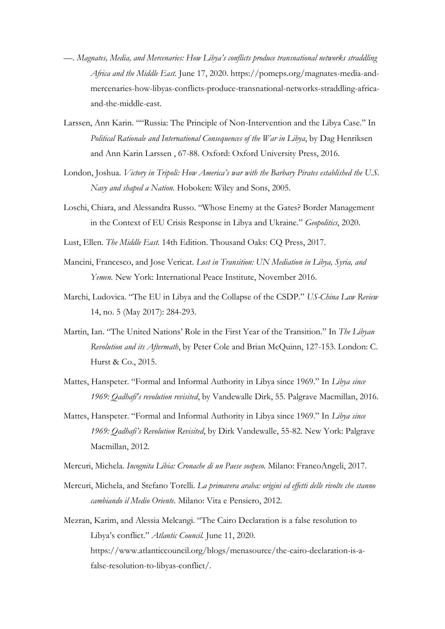- —. *Magnates, Media, and Mercenaries: How Libya's conflicts produce transnational networks straddling Africa and the Middle East.* June 17, 2020. https://pomeps.org/magnates-media-andmercenaries-how-libyas-conflicts-produce-transnational-networks-straddling-africaand-the-middle-east.
- Larssen, Ann Karin. ""Russia: The Principle of Non-Intervention and the Libya Case." In *Political Rationale and International Consequences of the War in Libya*, by Dag Henriksen and Ann Karin Larssen , 67-88. Oxford: Oxford University Press, 2016.
- London, Joshua. *Victory in Tripoli: How America's war with the Barbary Pirates established the U.S. Navy and shaped a Nation.* Hoboken: Wiley and Sons, 2005.
- Loschi, Chiara, and Alessandra Russo. "Whose Enemy at the Gates? Border Management in the Context of EU Crisis Response in Libya and Ukraine." *Geopolitics*, 2020.
- Lust, Ellen. *The Middle East.* 14th Edition. Thousand Oaks: CQ Press, 2017.
- Mancini, Francesco, and Jose Vericat. *Lost in Transition: UN Mediation in Libya, Syria, and Yemen.* New York: International Peace Institute, November 2016.
- Marchi, Ludovica. "The EU in Libya and the Collapse of the CSDP." *US-China Law Review* 14, no. 5 (May 2017): 284-293.
- Martin, Ian. "The United Nations' Role in the First Year of the Transition." In *The Libyan Revolution and its Aftermath*, by Peter Cole and Brian McQuinn, 127-153. London: C. Hurst & Co., 2015.
- Mattes, Hanspeter. "Formal and Informal Authority in Libya since 1969." In *Libya since 1969: Qadhafi's revolution revisited*, by Vandewalle Dirk, 55. Palgrave Macmillan, 2016.
- Mattes, Hanspeter. "Formal and Informal Authority in Libya since 1969." In *Libya since 1969: Qadhafi's Revolution Revisited*, by Dirk Vandewalle, 55-82. New York: Palgrave Macmillan, 2012.
- Mercuri, Michela. *Incognita Libia: Cronache di un Paese sospeso.* Milano: FrancoAngeli, 2017.
- Mercuri, Michela, and Stefano Torelli. *La primavera araba: origini ed effetti delle rivolte che stanno cambiando il Medio Oriente.* Milano: Vita e Pensiero, 2012.
- Mezran, Karim, and Alessia Melcangi. "The Cairo Declaration is a false resolution to Libya's conflict." *Atlantic Council.* June 11, 2020. https://www.atlanticcouncil.org/blogs/menasource/the-cairo-declaration-is-afalse-resolution-to-libyas-conflict/.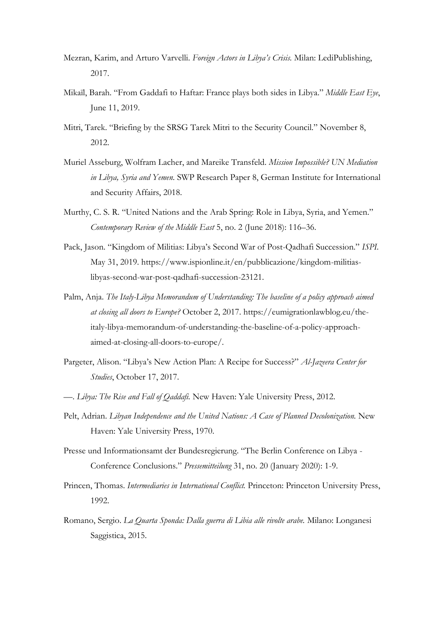- Mezran, Karim, and Arturo Varvelli. *Foreign Actors in Libya's Crisis.* Milan: LediPublishing, 2017.
- Mikaïl, Barah. "From Gaddafi to Haftar: France plays both sides in Libya." *Middle East Eye*, June 11, 2019.
- Mitri, Tarek. "Briefing by the SRSG Tarek Mitri to the Security Council." November 8, 2012.
- Muriel Asseburg, Wolfram Lacher, and Mareike Transfeld. *Mission Impossible? UN Mediation in Libya, Syria and Yemen.* SWP Research Paper 8, German Institute for International and Security Affairs, 2018.
- Murthy, C. S. R. "United Nations and the Arab Spring: Role in Libya, Syria, and Yemen." *Contemporary Review of the Middle East* 5, no. 2 (June 2018): 116–36.
- Pack, Jason. "Kingdom of Militias: Libya's Second War of Post-Qadhafi Succession." *ISPI.* May 31, 2019. https://www.ispionline.it/en/pubblicazione/kingdom-militiaslibyas-second-war-post-qadhafi-succession-23121.
- Palm, Anja. *The Italy-Libya Memorandum of Understanding: The baseline of a policy approach aimed at closing all doors to Europe?* October 2, 2017. https://eumigrationlawblog.eu/theitaly-libya-memorandum-of-understanding-the-baseline-of-a-policy-approachaimed-at-closing-all-doors-to-europe/.
- Pargeter, Alison. "Libya's New Action Plan: A Recipe for Success?" *Al-Jazeera Center for Studies*, October 17, 2017.
- —. *Libya: The Rise and Fall of Qaddafi.* New Haven: Yale University Press, 2012.
- Pelt, Adrian. *Libyan Independence and the United Nations: A Case of Planned Decolonization.* New Haven: Yale University Press, 1970.
- Presse und Informationsamt der Bundesregierung. "The Berlin Conference on Libya Conference Conclusions." *Pressemitteilung* 31, no. 20 (January 2020): 1-9.
- Princen, Thomas. *Intermediaries in International Conflict.* Princeton: Princeton University Press, 1992.
- Romano, Sergio. *La Quarta Sponda: Dalla guerra di Libia alle rivolte arabe.* Milano: Longanesi Saggistica, 2015.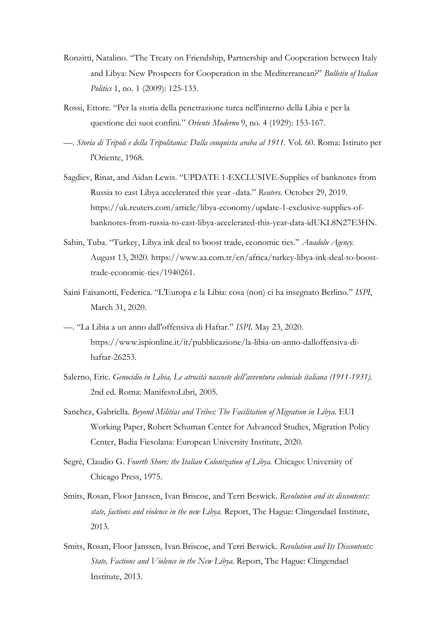- Ronzitti, Natalino. "The Treaty on Friendship, Partnership and Cooperation between Italy and Libya: New Prospects for Cooperation in the Mediterranean?" *Bulletin of Italian Politics* 1, no. 1 (2009): 125-133.
- Rossi, Ettore. "Per la storia della penetrazione turca nell'interno della Libia e per la questione dei suoi confini." *Oriente Moderno* 9, no. 4 (1929): 153-167.
- —. *Storia di Tripoli e della Tripolitania: Dalla conquista araba al 1911.* Vol. 60. Roma: Istituto per l'Oriente, 1968.
- Sagdiev, Rinat, and Aidan Lewis. "UPDATE 1-EXCLUSIVE-Supplies of banknotes from Russia to east Libya accelerated this year -data." *Reuters.* October 29, 2019. https://uk.reuters.com/article/libya-economy/update-1-exclusive-supplies-ofbanknotes-from-russia-to-east-libya-accelerated-this-year-data-idUKL8N27E3HN.
- Sahin, Tuba. "Turkey, Libya ink deal to boost trade, economic ties." *Anadolu Agency.* August 13, 2020. https://www.aa.com.tr/en/africa/turkey-libya-ink-deal-to-boosttrade-economic-ties/1940261.
- Saini Faisanotti, Federica. "L'Europa e la Libia: cosa (non) ci ha insegnato Berlino." *ISPI*, March 31, 2020.
- —. "La Libia a un anno dall'offensiva di Haftar." *ISPI.* May 23, 2020. https://www.ispionline.it/it/pubblicazione/la-libia-un-anno-dalloffensiva-dihaftar-26253.
- Salerno, Eric. *Genocidio in Libia, Le atrocità nascoste dell'avventura coloniale italiana (1911-1931).* 2nd ed. Roma: ManifestoLibri, 2005.
- Sanchez, Gabriella. *Beyond Militias and Tribes: The Facilitation of Migration in Libya.* EUI Working Paper, Robert Schuman Center for Advanced Studies, Migration Policy Center, Badia Fiesolana: European University Institute, 2020.
- Segrè, Claudio G. *Fourth Shore: the Italian Colonization of Libya.* Chicago: University of Chicago Press, 1975.
- Smits, Rosan, Floor Janssen, Ivan Briscoe, and Terri Beswick. *Revolution and its discontents: state, factions and violence in the new Libya.* Report, The Hague: Clingendael Institute, 2013.
- Smits, Rosan, Floor Janssen, Ivan Briscoe, and Terri Beswick. *Revolution and Its Discontents: State, Factions and Violence in the New Libya.* Report, The Hague: Clingendael Institute, 2013.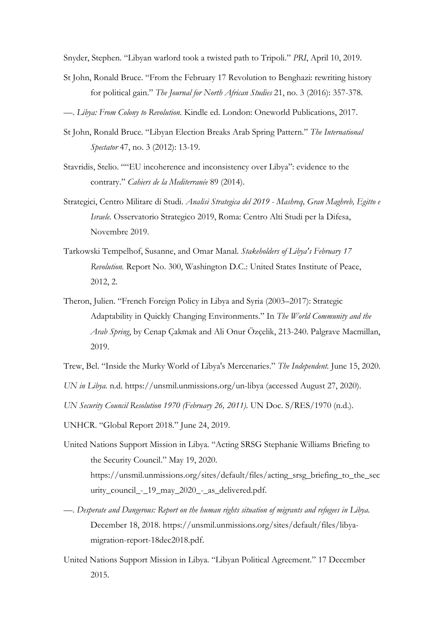Snyder, Stephen. "Libyan warlord took a twisted path to Tripoli." *PRI*, April 10, 2019.

- St John, Ronald Bruce. "From the February 17 Revolution to Benghazi: rewriting history for political gain." *The Journal for North African Studies* 21, no. 3 (2016): 357-378.
- —. *Libya: From Colony to Revolution.* Kindle ed. London: Oneworld Publications, 2017.
- St John, Ronald Bruce. "Libyan Election Breaks Arab Spring Pattern." *The International Spectator* 47, no. 3 (2012): 13-19.
- Stavridis, Stelio. ""EU incoherence and inconsistency over Libya": evidence to the contrary." *Cahiers de la Mediterranée* 89 (2014).
- Strategici, Centro Militare di Studi. *Analisi Strategica del 2019 - Mashreq, Gran Maghreb, Egitto e Israele.* Osservatorio Strategico 2019, Roma: Centro Alti Studi per la Difesa, Novembre 2019.
- Tarkowski Tempelhof, Susanne, and Omar Manal. *Stakeholders of Libya's February 17 Revolution.* Report No. 300, Washington D.C.: United States Institute of Peace, 2012, 2.
- Theron, Julien. "French Foreign Policy in Libya and Syria (2003–2017): Strategic Adaptability in Quickly Changing Environments." In *The World Community and the Arab Spring*, by Cenap Çakmak and Ali Onur Özçelik, 213-240. Palgrave Macmillan, 2019.

Trew, Bel. "Inside the Murky World of Libya's Mercenaries." *The Independent.* June 15, 2020.

*UN in Libya.* n.d. https://unsmil.unmissions.org/un-libya (accessed August 27, 2020).

*UN Security Council Resolution 1970 (February 26, 2011).* UN Doc. S/RES/1970 (n.d.).

- UNHCR. "Global Report 2018." June 24, 2019.
- United Nations Support Mission in Libya. "Acting SRSG Stephanie Williams Briefing to the Security Council." May 19, 2020. https://unsmil.unmissions.org/sites/default/files/acting\_srsg\_briefing\_to\_the\_sec urity\_council\_-\_19\_may\_2020\_-\_as\_delivered.pdf.
- —. *Desperate and Dangerous: Report on the human rights situation of migrants and refugees in Libya.* December 18, 2018. https://unsmil.unmissions.org/sites/default/files/libyamigration-report-18dec2018.pdf.
- United Nations Support Mission in Libya. "Libyan Political Agreement." 17 December 2015.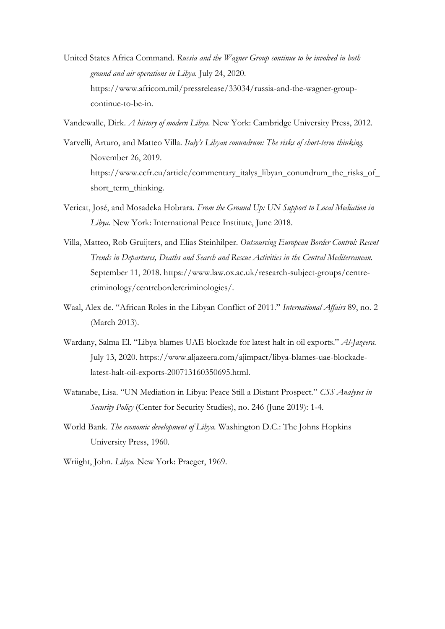United States Africa Command. *Russia and the Wagner Group continue to be involved in both ground and air operations in Libya.* July 24, 2020. https://www.africom.mil/pressrelease/33034/russia-and-the-wagner-groupcontinue-to-be-in.

Vandewalle, Dirk. *A history of modern Libya.* New York: Cambridge University Press, 2012.

- Varvelli, Arturo, and Matteo Villa. *Italy's Libyan conundrum: The risks of short-term thinking.* November 26, 2019. https://www.ecfr.eu/article/commentary\_italys\_libyan\_conundrum\_the\_risks\_of\_ short\_term\_thinking.
- Vericat, José, and Mosadeka Hobrara. *From the Ground Up: UN Support to Local Mediation in Libya.* New York: International Peace Institute, June 2018.
- Villa, Matteo, Rob Gruijters, and Elias Steinhilper. *Outsourcing European Border Control: Recent Trends in Departures, Deaths and Search and Rescue Activities in the Central Mediterranean.* September 11, 2018. https://www.law.ox.ac.uk/research-subject-groups/centrecriminology/centrebordercriminologies/.
- Waal, Alex de. "African Roles in the Libyan Conflict of 2011." *International Affairs* 89, no. 2 (March 2013).
- Wardany, Salma El. "Libya blames UAE blockade for latest halt in oil exports." *Al-Jazeera.* July 13, 2020. https://www.aljazeera.com/ajimpact/libya-blames-uae-blockadelatest-halt-oil-exports-200713160350695.html.
- Watanabe, Lisa. "UN Mediation in Libya: Peace Still a Distant Prospect." *CSS Analyses in Security Policy* (Center for Security Studies), no. 246 (June 2019): 1-4.
- World Bank. *The economic development of Libya.* Washington D.C.: The Johns Hopkins University Press, 1960.

Wriight, John. *Libya.* New York: Praeger, 1969.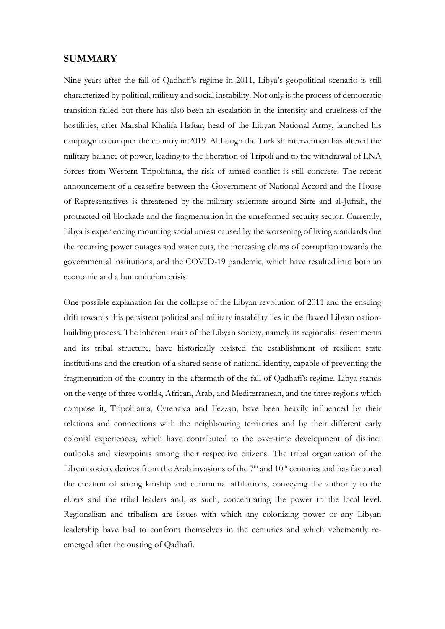#### **SUMMARY**

Nine years after the fall of Qadhafi's regime in 2011, Libya's geopolitical scenario is still characterized by political, military and social instability. Not only is the process of democratic transition failed but there has also been an escalation in the intensity and cruelness of the hostilities, after Marshal Khalifa Haftar, head of the Libyan National Army, launched his campaign to conquer the country in 2019. Although the Turkish intervention has altered the military balance of power, leading to the liberation of Tripoli and to the withdrawal of LNA forces from Western Tripolitania, the risk of armed conflict is still concrete. The recent announcement of a ceasefire between the Government of National Accord and the House of Representatives is threatened by the military stalemate around Sirte and al-Jufrah, the protracted oil blockade and the fragmentation in the unreformed security sector. Currently, Libya is experiencing mounting social unrest caused by the worsening of living standards due the recurring power outages and water cuts, the increasing claims of corruption towards the governmental institutions, and the COVID-19 pandemic, which have resulted into both an economic and a humanitarian crisis.

One possible explanation for the collapse of the Libyan revolution of 2011 and the ensuing drift towards this persistent political and military instability lies in the flawed Libyan nationbuilding process. The inherent traits of the Libyan society, namely its regionalist resentments and its tribal structure, have historically resisted the establishment of resilient state institutions and the creation of a shared sense of national identity, capable of preventing the fragmentation of the country in the aftermath of the fall of Qadhafi's regime. Libya stands on the verge of three worlds, African, Arab, and Mediterranean, and the three regions which compose it, Tripolitania, Cyrenaica and Fezzan, have been heavily influenced by their relations and connections with the neighbouring territories and by their different early colonial experiences, which have contributed to the over-time development of distinct outlooks and viewpoints among their respective citizens. The tribal organization of the Libyan society derives from the Arab invasions of the  $7<sup>th</sup>$  and  $10<sup>th</sup>$  centuries and has favoured the creation of strong kinship and communal affiliations, conveying the authority to the elders and the tribal leaders and, as such, concentrating the power to the local level. Regionalism and tribalism are issues with which any colonizing power or any Libyan leadership have had to confront themselves in the centuries and which vehemently reemerged after the ousting of Qadhafi.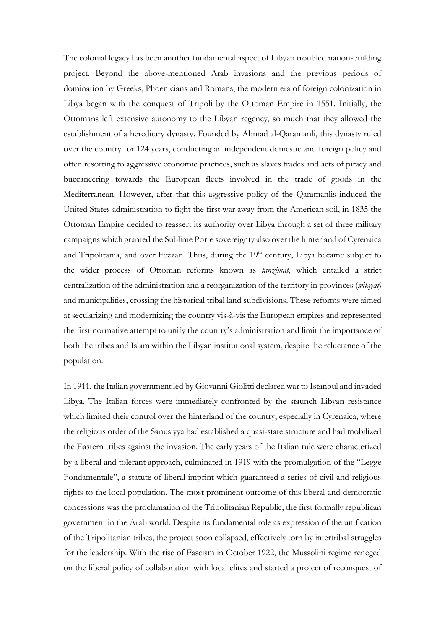The colonial legacy has been another fundamental aspect of Libyan troubled nation-building project. Beyond the above-mentioned Arab invasions and the previous periods of domination by Greeks, Phoenicians and Romans, the modern era of foreign colonization in Libya began with the conquest of Tripoli by the Ottoman Empire in 1551. Initially, the Ottomans left extensive autonomy to the Libyan regency, so much that they allowed the establishment of a hereditary dynasty. Founded by Ahmad al-Qaramanli, this dynasty ruled over the country for 124 years, conducting an independent domestic and foreign policy and often resorting to aggressive economic practices, such as slaves trades and acts of piracy and buccaneering towards the European fleets involved in the trade of goods in the Mediterranean. However, after that this aggressive policy of the Qaramanlis induced the United States administration to fight the first war away from the American soil, in 1835 the Ottoman Empire decided to reassert its authority over Libya through a set of three military campaigns which granted the Sublime Porte sovereignty also over the hinterland of Cyrenaica and Tripolitania, and over Fezzan. Thus, during the 19<sup>th</sup> century, Libya became subject to the wider process of Ottoman reforms known as *tanzimat*, which entailed a strict centralization of the administration and a reorganization of the territory in provinces (*wilayat)*  and municipalities, crossing the historical tribal land subdivisions. These reforms were aimed at secularizing and modernizing the country vis-à-vis the European empires and represented the first normative attempt to unify the country's administration and limit the importance of both the tribes and Islam within the Libyan institutional system, despite the reluctance of the population.

In 1911, the Italian government led by Giovanni Giolitti declared war to Istanbul and invaded Libya. The Italian forces were immediately confronted by the staunch Libyan resistance which limited their control over the hinterland of the country, especially in Cyrenaica, where the religious order of the Sanusiyya had established a quasi-state structure and had mobilized the Eastern tribes against the invasion. The early years of the Italian rule were characterized by a liberal and tolerant approach, culminated in 1919 with the promulgation of the "Legge Fondamentale", a statute of liberal imprint which guaranteed a series of civil and religious rights to the local population. The most prominent outcome of this liberal and democratic concessions was the proclamation of the Tripolitanian Republic, the first formally republican government in the Arab world. Despite its fundamental role as expression of the unification of the Tripolitanian tribes, the project soon collapsed, effectively torn by intertribal struggles for the leadership. With the rise of Fascism in October 1922, the Mussolini regime reneged on the liberal policy of collaboration with local elites and started a project of reconquest of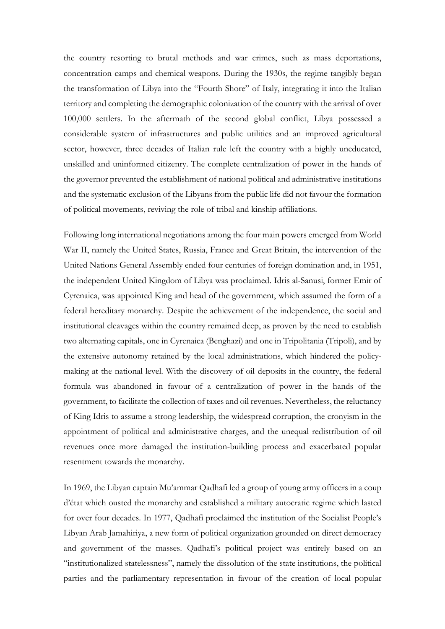the country resorting to brutal methods and war crimes, such as mass deportations, concentration camps and chemical weapons. During the 1930s, the regime tangibly began the transformation of Libya into the "Fourth Shore" of Italy, integrating it into the Italian territory and completing the demographic colonization of the country with the arrival of over 100,000 settlers. In the aftermath of the second global conflict, Libya possessed a considerable system of infrastructures and public utilities and an improved agricultural sector, however, three decades of Italian rule left the country with a highly uneducated, unskilled and uninformed citizenry. The complete centralization of power in the hands of the governor prevented the establishment of national political and administrative institutions and the systematic exclusion of the Libyans from the public life did not favour the formation of political movements, reviving the role of tribal and kinship affiliations.

Following long international negotiations among the four main powers emerged from World War II, namely the United States, Russia, France and Great Britain, the intervention of the United Nations General Assembly ended four centuries of foreign domination and, in 1951, the independent United Kingdom of Libya was proclaimed. Idris al-Sanusi, former Emir of Cyrenaica, was appointed King and head of the government, which assumed the form of a federal hereditary monarchy. Despite the achievement of the independence, the social and institutional cleavages within the country remained deep, as proven by the need to establish two alternating capitals, one in Cyrenaica (Benghazi) and one in Tripolitania (Tripoli), and by the extensive autonomy retained by the local administrations, which hindered the policymaking at the national level. With the discovery of oil deposits in the country, the federal formula was abandoned in favour of a centralization of power in the hands of the government, to facilitate the collection of taxes and oil revenues. Nevertheless, the reluctancy of King Idris to assume a strong leadership, the widespread corruption, the cronyism in the appointment of political and administrative charges, and the unequal redistribution of oil revenues once more damaged the institution-building process and exacerbated popular resentment towards the monarchy.

In 1969, the Libyan captain Mu'ammar Qadhafi led a group of young army officers in a coup d'état which ousted the monarchy and established a military autocratic regime which lasted for over four decades. In 1977, Qadhafi proclaimed the institution of the Socialist People's Libyan Arab Jamahiriya, a new form of political organization grounded on direct democracy and government of the masses. Qadhafi's political project was entirely based on an "institutionalized statelessness", namely the dissolution of the state institutions, the political parties and the parliamentary representation in favour of the creation of local popular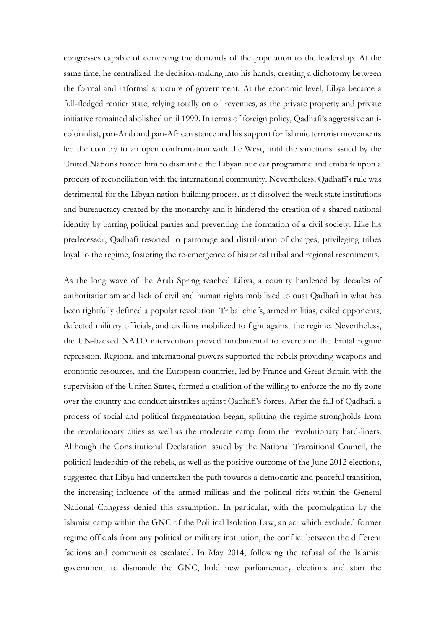congresses capable of conveying the demands of the population to the leadership. At the same time, he centralized the decision-making into his hands, creating a dichotomy between the formal and informal structure of government. At the economic level, Libya became a full-fledged rentier state, relying totally on oil revenues, as the private property and private initiative remained abolished until 1999. In terms of foreign policy, Qadhafi's aggressive anticolonialist, pan-Arab and pan-African stance and his support for Islamic terrorist movements led the country to an open confrontation with the West, until the sanctions issued by the United Nations forced him to dismantle the Libyan nuclear programme and embark upon a process of reconciliation with the international community. Nevertheless, Qadhafi's rule was detrimental for the Libyan nation-building process, as it dissolved the weak state institutions and bureaucracy created by the monarchy and it hindered the creation of a shared national identity by barring political parties and preventing the formation of a civil society. Like his predecessor, Qadhafi resorted to patronage and distribution of charges, privileging tribes loyal to the regime, fostering the re-emergence of historical tribal and regional resentments.

As the long wave of the Arab Spring reached Libya, a country hardened by decades of authoritarianism and lack of civil and human rights mobilized to oust Qadhafi in what has been rightfully defined a popular revolution. Tribal chiefs, armed militias, exiled opponents, defected military officials, and civilians mobilized to fight against the regime. Nevertheless, the UN-backed NATO intervention proved fundamental to overcome the brutal regime repression. Regional and international powers supported the rebels providing weapons and economic resources, and the European countries, led by France and Great Britain with the supervision of the United States, formed a coalition of the willing to enforce the no-fly zone over the country and conduct airstrikes against Qadhafi's forces. After the fall of Qadhafi, a process of social and political fragmentation began, splitting the regime strongholds from the revolutionary cities as well as the moderate camp from the revolutionary hard-liners. Although the Constitutional Declaration issued by the National Transitional Council, the political leadership of the rebels, as well as the positive outcome of the June 2012 elections, suggested that Libya had undertaken the path towards a democratic and peaceful transition, the increasing influence of the armed militias and the political rifts within the General National Congress denied this assumption. In particular, with the promulgation by the Islamist camp within the GNC of the Political Isolation Law, an act which excluded former regime officials from any political or military institution, the conflict between the different factions and communities escalated. In May 2014, following the refusal of the Islamist government to dismantle the GNC, hold new parliamentary elections and start the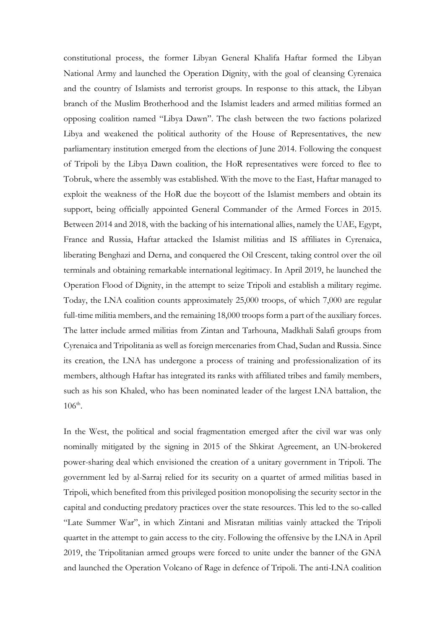constitutional process, the former Libyan General Khalifa Haftar formed the Libyan National Army and launched the Operation Dignity, with the goal of cleansing Cyrenaica and the country of Islamists and terrorist groups. In response to this attack, the Libyan branch of the Muslim Brotherhood and the Islamist leaders and armed militias formed an opposing coalition named "Libya Dawn". The clash between the two factions polarized Libya and weakened the political authority of the House of Representatives, the new parliamentary institution emerged from the elections of June 2014. Following the conquest of Tripoli by the Libya Dawn coalition, the HoR representatives were forced to flee to Tobruk, where the assembly was established. With the move to the East, Haftar managed to exploit the weakness of the HoR due the boycott of the Islamist members and obtain its support, being officially appointed General Commander of the Armed Forces in 2015. Between 2014 and 2018, with the backing of his international allies, namely the UAE, Egypt, France and Russia, Haftar attacked the Islamist militias and IS affiliates in Cyrenaica, liberating Benghazi and Derna, and conquered the Oil Crescent, taking control over the oil terminals and obtaining remarkable international legitimacy. In April 2019, he launched the Operation Flood of Dignity, in the attempt to seize Tripoli and establish a military regime. Today, the LNA coalition counts approximately 25,000 troops, of which 7,000 are regular full-time militia members, and the remaining 18,000 troops form a part of the auxiliary forces. The latter include armed militias from Zintan and Tarhouna, Madkhali Salafi groups from Cyrenaica and Tripolitania as well as foreign mercenaries from Chad, Sudan and Russia. Since its creation, the LNA has undergone a process of training and professionalization of its members, although Haftar has integrated its ranks with affiliated tribes and family members, such as his son Khaled, who has been nominated leader of the largest LNA battalion, the  $106^{\text{th}}$ .

In the West, the political and social fragmentation emerged after the civil war was only nominally mitigated by the signing in 2015 of the Shkirat Agreement, an UN-brokered power-sharing deal which envisioned the creation of a unitary government in Tripoli. The government led by al-Sarraj relied for its security on a quartet of armed militias based in Tripoli, which benefited from this privileged position monopolising the security sector in the capital and conducting predatory practices over the state resources. This led to the so-called "Late Summer War", in which Zintani and Misratan militias vainly attacked the Tripoli quartet in the attempt to gain access to the city. Following the offensive by the LNA in April 2019, the Tripolitanian armed groups were forced to unite under the banner of the GNA and launched the Operation Volcano of Rage in defence of Tripoli. The anti-LNA coalition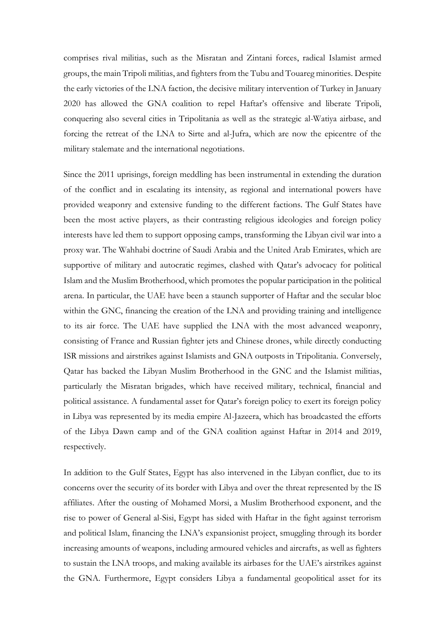comprises rival militias, such as the Misratan and Zintani forces, radical Islamist armed groups, the main Tripoli militias, and fighters from the Tubu and Touareg minorities. Despite the early victories of the LNA faction, the decisive military intervention of Turkey in January 2020 has allowed the GNA coalition to repel Haftar's offensive and liberate Tripoli, conquering also several cities in Tripolitania as well as the strategic al-Watiya airbase, and forcing the retreat of the LNA to Sirte and al-Jufra, which are now the epicentre of the military stalemate and the international negotiations.

Since the 2011 uprisings, foreign meddling has been instrumental in extending the duration of the conflict and in escalating its intensity, as regional and international powers have provided weaponry and extensive funding to the different factions. The Gulf States have been the most active players, as their contrasting religious ideologies and foreign policy interests have led them to support opposing camps, transforming the Libyan civil war into a proxy war. The Wahhabi doctrine of Saudi Arabia and the United Arab Emirates, which are supportive of military and autocratic regimes, clashed with Qatar's advocacy for political Islam and the Muslim Brotherhood, which promotes the popular participation in the political arena. In particular, the UAE have been a staunch supporter of Haftar and the secular bloc within the GNC, financing the creation of the LNA and providing training and intelligence to its air force. The UAE have supplied the LNA with the most advanced weaponry, consisting of France and Russian fighter jets and Chinese drones, while directly conducting ISR missions and airstrikes against Islamists and GNA outposts in Tripolitania. Conversely, Qatar has backed the Libyan Muslim Brotherhood in the GNC and the Islamist militias, particularly the Misratan brigades, which have received military, technical, financial and political assistance. A fundamental asset for Qatar's foreign policy to exert its foreign policy in Libya was represented by its media empire Al-Jazeera, which has broadcasted the efforts of the Libya Dawn camp and of the GNA coalition against Haftar in 2014 and 2019, respectively.

In addition to the Gulf States, Egypt has also intervened in the Libyan conflict, due to its concerns over the security of its border with Libya and over the threat represented by the IS affiliates. After the ousting of Mohamed Morsi, a Muslim Brotherhood exponent, and the rise to power of General al-Sisi, Egypt has sided with Haftar in the fight against terrorism and political Islam, financing the LNA's expansionist project, smuggling through its border increasing amounts of weapons, including armoured vehicles and aircrafts, as well as fighters to sustain the LNA troops, and making available its airbases for the UAE's airstrikes against the GNA. Furthermore, Egypt considers Libya a fundamental geopolitical asset for its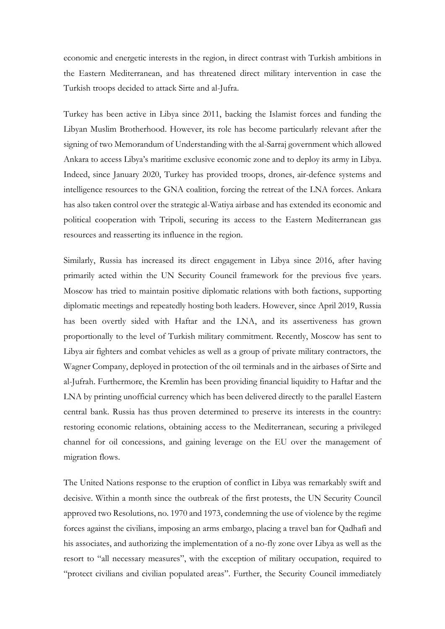economic and energetic interests in the region, in direct contrast with Turkish ambitions in the Eastern Mediterranean, and has threatened direct military intervention in case the Turkish troops decided to attack Sirte and al-Jufra.

Turkey has been active in Libya since 2011, backing the Islamist forces and funding the Libyan Muslim Brotherhood. However, its role has become particularly relevant after the signing of two Memorandum of Understanding with the al-Sarraj government which allowed Ankara to access Libya's maritime exclusive economic zone and to deploy its army in Libya. Indeed, since January 2020, Turkey has provided troops, drones, air-defence systems and intelligence resources to the GNA coalition, forcing the retreat of the LNA forces. Ankara has also taken control over the strategic al-Watiya airbase and has extended its economic and political cooperation with Tripoli, securing its access to the Eastern Mediterranean gas resources and reasserting its influence in the region.

Similarly, Russia has increased its direct engagement in Libya since 2016, after having primarily acted within the UN Security Council framework for the previous five years. Moscow has tried to maintain positive diplomatic relations with both factions, supporting diplomatic meetings and repeatedly hosting both leaders. However, since April 2019, Russia has been overtly sided with Haftar and the LNA, and its assertiveness has grown proportionally to the level of Turkish military commitment. Recently, Moscow has sent to Libya air fighters and combat vehicles as well as a group of private military contractors, the Wagner Company, deployed in protection of the oil terminals and in the airbases of Sirte and al-Jufrah. Furthermore, the Kremlin has been providing financial liquidity to Haftar and the LNA by printing unofficial currency which has been delivered directly to the parallel Eastern central bank. Russia has thus proven determined to preserve its interests in the country: restoring economic relations, obtaining access to the Mediterranean, securing a privileged channel for oil concessions, and gaining leverage on the EU over the management of migration flows.

The United Nations response to the eruption of conflict in Libya was remarkably swift and decisive. Within a month since the outbreak of the first protests, the UN Security Council approved two Resolutions, no. 1970 and 1973, condemning the use of violence by the regime forces against the civilians, imposing an arms embargo, placing a travel ban for Qadhafi and his associates, and authorizing the implementation of a no-fly zone over Libya as well as the resort to "all necessary measures", with the exception of military occupation, required to "protect civilians and civilian populated areas". Further, the Security Council immediately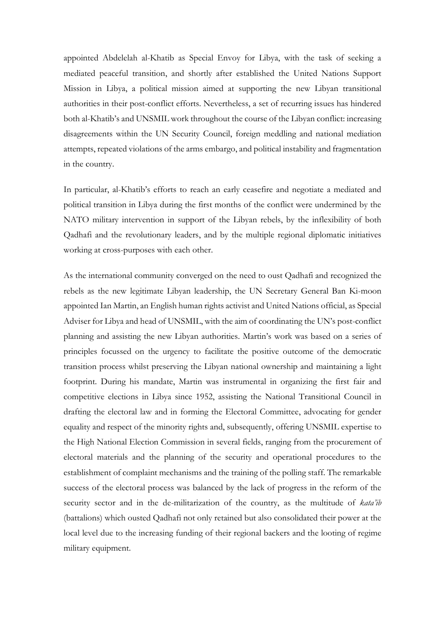appointed Abdelelah al-Khatib as Special Envoy for Libya, with the task of seeking a mediated peaceful transition, and shortly after established the United Nations Support Mission in Libya, a political mission aimed at supporting the new Libyan transitional authorities in their post-conflict efforts. Nevertheless, a set of recurring issues has hindered both al-Khatib's and UNSMIL work throughout the course of the Libyan conflict: increasing disagreements within the UN Security Council, foreign meddling and national mediation attempts, repeated violations of the arms embargo, and political instability and fragmentation in the country.

In particular, al-Khatib's efforts to reach an early ceasefire and negotiate a mediated and political transition in Libya during the first months of the conflict were undermined by the NATO military intervention in support of the Libyan rebels, by the inflexibility of both Qadhafi and the revolutionary leaders, and by the multiple regional diplomatic initiatives working at cross-purposes with each other.

As the international community converged on the need to oust Qadhafi and recognized the rebels as the new legitimate Libyan leadership, the UN Secretary General Ban Ki-moon appointed Ian Martin, an English human rights activist and United Nations official, as Special Adviser for Libya and head of UNSMIL, with the aim of coordinating the UN's post-conflict planning and assisting the new Libyan authorities. Martin's work was based on a series of principles focussed on the urgency to facilitate the positive outcome of the democratic transition process whilst preserving the Libyan national ownership and maintaining a light footprint. During his mandate, Martin was instrumental in organizing the first fair and competitive elections in Libya since 1952, assisting the National Transitional Council in drafting the electoral law and in forming the Electoral Committee, advocating for gender equality and respect of the minority rights and, subsequently, offering UNSMIL expertise to the High National Election Commission in several fields, ranging from the procurement of electoral materials and the planning of the security and operational procedures to the establishment of complaint mechanisms and the training of the polling staff. The remarkable success of the electoral process was balanced by the lack of progress in the reform of the security sector and in the de-militarization of the country, as the multitude of *kata'ib*  (battalions) which ousted Qadhafi not only retained but also consolidated their power at the local level due to the increasing funding of their regional backers and the looting of regime military equipment.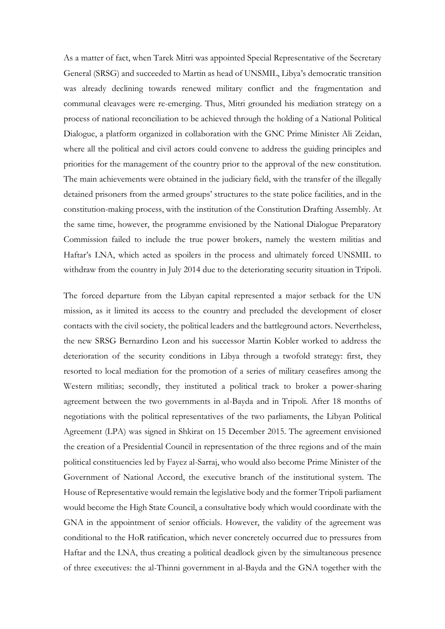As a matter of fact, when Tarek Mitri was appointed Special Representative of the Secretary General (SRSG) and succeeded to Martin as head of UNSMIL, Libya's democratic transition was already declining towards renewed military conflict and the fragmentation and communal cleavages were re-emerging. Thus, Mitri grounded his mediation strategy on a process of national reconciliation to be achieved through the holding of a National Political Dialogue, a platform organized in collaboration with the GNC Prime Minister Ali Zeidan, where all the political and civil actors could convene to address the guiding principles and priorities for the management of the country prior to the approval of the new constitution. The main achievements were obtained in the judiciary field, with the transfer of the illegally detained prisoners from the armed groups' structures to the state police facilities, and in the constitution-making process, with the institution of the Constitution Drafting Assembly. At the same time, however, the programme envisioned by the National Dialogue Preparatory Commission failed to include the true power brokers, namely the western militias and Haftar's LNA, which acted as spoilers in the process and ultimately forced UNSMIL to withdraw from the country in July 2014 due to the deteriorating security situation in Tripoli.

The forced departure from the Libyan capital represented a major setback for the UN mission, as it limited its access to the country and precluded the development of closer contacts with the civil society, the political leaders and the battleground actors. Nevertheless, the new SRSG Bernardino Leon and his successor Martin Kobler worked to address the deterioration of the security conditions in Libya through a twofold strategy: first, they resorted to local mediation for the promotion of a series of military ceasefires among the Western militias; secondly, they instituted a political track to broker a power-sharing agreement between the two governments in al-Bayda and in Tripoli. After 18 months of negotiations with the political representatives of the two parliaments, the Libyan Political Agreement (LPA) was signed in Shkirat on 15 December 2015. The agreement envisioned the creation of a Presidential Council in representation of the three regions and of the main political constituencies led by Fayez al-Sarraj, who would also become Prime Minister of the Government of National Accord, the executive branch of the institutional system. The House of Representative would remain the legislative body and the former Tripoli parliament would become the High State Council, a consultative body which would coordinate with the GNA in the appointment of senior officials. However, the validity of the agreement was conditional to the HoR ratification, which never concretely occurred due to pressures from Haftar and the LNA, thus creating a political deadlock given by the simultaneous presence of three executives: the al-Thinni government in al-Bayda and the GNA together with the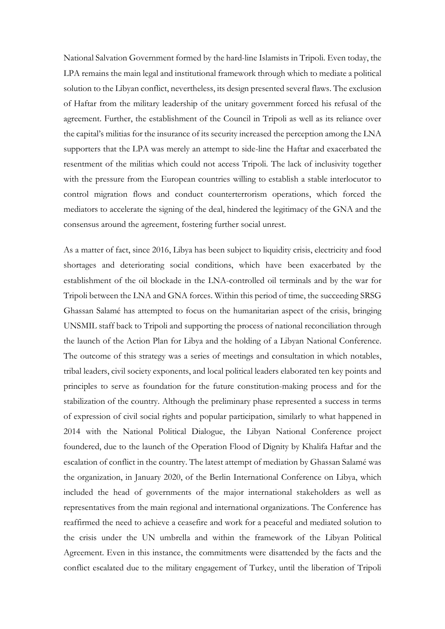National Salvation Government formed by the hard-line Islamists in Tripoli. Even today, the LPA remains the main legal and institutional framework through which to mediate a political solution to the Libyan conflict, nevertheless, its design presented several flaws. The exclusion of Haftar from the military leadership of the unitary government forced his refusal of the agreement. Further, the establishment of the Council in Tripoli as well as its reliance over the capital's militias for the insurance of its security increased the perception among the LNA supporters that the LPA was merely an attempt to side-line the Haftar and exacerbated the resentment of the militias which could not access Tripoli. The lack of inclusivity together with the pressure from the European countries willing to establish a stable interlocutor to control migration flows and conduct counterterrorism operations, which forced the mediators to accelerate the signing of the deal, hindered the legitimacy of the GNA and the consensus around the agreement, fostering further social unrest.

As a matter of fact, since 2016, Libya has been subject to liquidity crisis, electricity and food shortages and deteriorating social conditions, which have been exacerbated by the establishment of the oil blockade in the LNA-controlled oil terminals and by the war for Tripoli between the LNA and GNA forces. Within this period of time, the succeeding SRSG Ghassan Salamé has attempted to focus on the humanitarian aspect of the crisis, bringing UNSMIL staff back to Tripoli and supporting the process of national reconciliation through the launch of the Action Plan for Libya and the holding of a Libyan National Conference. The outcome of this strategy was a series of meetings and consultation in which notables, tribal leaders, civil society exponents, and local political leaders elaborated ten key points and principles to serve as foundation for the future constitution-making process and for the stabilization of the country. Although the preliminary phase represented a success in terms of expression of civil social rights and popular participation, similarly to what happened in 2014 with the National Political Dialogue, the Libyan National Conference project foundered, due to the launch of the Operation Flood of Dignity by Khalifa Haftar and the escalation of conflict in the country. The latest attempt of mediation by Ghassan Salamé was the organization, in January 2020, of the Berlin International Conference on Libya, which included the head of governments of the major international stakeholders as well as representatives from the main regional and international organizations. The Conference has reaffirmed the need to achieve a ceasefire and work for a peaceful and mediated solution to the crisis under the UN umbrella and within the framework of the Libyan Political Agreement. Even in this instance, the commitments were disattended by the facts and the conflict escalated due to the military engagement of Turkey, until the liberation of Tripoli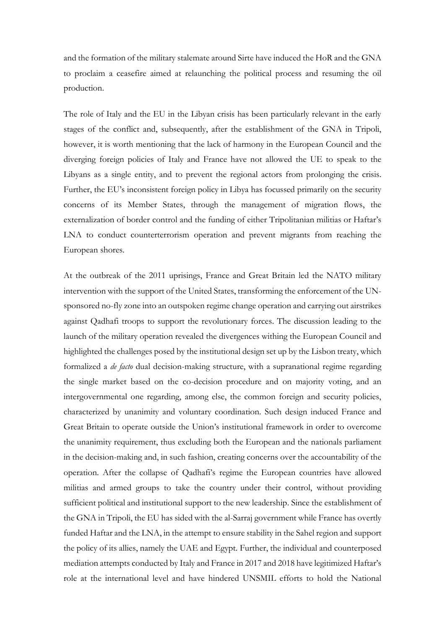and the formation of the military stalemate around Sirte have induced the HoR and the GNA to proclaim a ceasefire aimed at relaunching the political process and resuming the oil production.

The role of Italy and the EU in the Libyan crisis has been particularly relevant in the early stages of the conflict and, subsequently, after the establishment of the GNA in Tripoli, however, it is worth mentioning that the lack of harmony in the European Council and the diverging foreign policies of Italy and France have not allowed the UE to speak to the Libyans as a single entity, and to prevent the regional actors from prolonging the crisis. Further, the EU's inconsistent foreign policy in Libya has focussed primarily on the security concerns of its Member States, through the management of migration flows, the externalization of border control and the funding of either Tripolitanian militias or Haftar's LNA to conduct counterterrorism operation and prevent migrants from reaching the European shores.

At the outbreak of the 2011 uprisings, France and Great Britain led the NATO military intervention with the support of the United States, transforming the enforcement of the UNsponsored no-fly zone into an outspoken regime change operation and carrying out airstrikes against Qadhafi troops to support the revolutionary forces. The discussion leading to the launch of the military operation revealed the divergences withing the European Council and highlighted the challenges posed by the institutional design set up by the Lisbon treaty, which formalized a *de facto* dual decision-making structure, with a supranational regime regarding the single market based on the co-decision procedure and on majority voting, and an intergovernmental one regarding, among else, the common foreign and security policies, characterized by unanimity and voluntary coordination. Such design induced France and Great Britain to operate outside the Union's institutional framework in order to overcome the unanimity requirement, thus excluding both the European and the nationals parliament in the decision-making and, in such fashion, creating concerns over the accountability of the operation. After the collapse of Qadhafi's regime the European countries have allowed militias and armed groups to take the country under their control, without providing sufficient political and institutional support to the new leadership. Since the establishment of the GNA in Tripoli, the EU has sided with the al-Sarraj government while France has overtly funded Haftar and the LNA, in the attempt to ensure stability in the Sahel region and support the policy of its allies, namely the UAE and Egypt. Further, the individual and counterposed mediation attempts conducted by Italy and France in 2017 and 2018 have legitimized Haftar's role at the international level and have hindered UNSMIL efforts to hold the National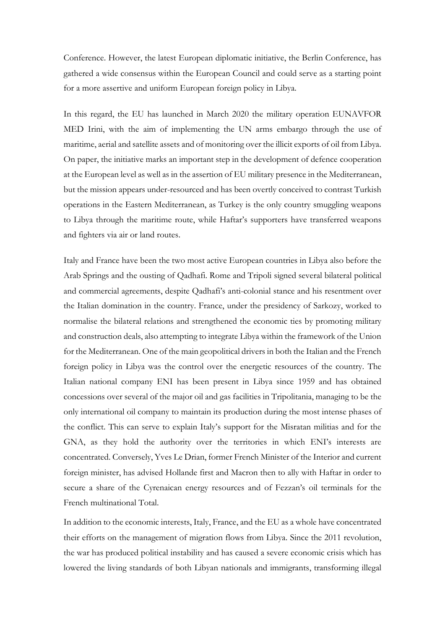Conference. However, the latest European diplomatic initiative, the Berlin Conference, has gathered a wide consensus within the European Council and could serve as a starting point for a more assertive and uniform European foreign policy in Libya.

In this regard, the EU has launched in March 2020 the military operation EUNAVFOR MED Irini, with the aim of implementing the UN arms embargo through the use of maritime, aerial and satellite assets and of monitoring over the illicit exports of oil from Libya. On paper, the initiative marks an important step in the development of defence cooperation at the European level as well as in the assertion of EU military presence in the Mediterranean, but the mission appears under-resourced and has been overtly conceived to contrast Turkish operations in the Eastern Mediterranean, as Turkey is the only country smuggling weapons to Libya through the maritime route, while Haftar's supporters have transferred weapons and fighters via air or land routes.

Italy and France have been the two most active European countries in Libya also before the Arab Springs and the ousting of Qadhafi. Rome and Tripoli signed several bilateral political and commercial agreements, despite Qadhafi's anti-colonial stance and his resentment over the Italian domination in the country. France, under the presidency of Sarkozy, worked to normalise the bilateral relations and strengthened the economic ties by promoting military and construction deals, also attempting to integrate Libya within the framework of the Union for the Mediterranean. One of the main geopolitical drivers in both the Italian and the French foreign policy in Libya was the control over the energetic resources of the country. The Italian national company ENI has been present in Libya since 1959 and has obtained concessions over several of the major oil and gas facilities in Tripolitania, managing to be the only international oil company to maintain its production during the most intense phases of the conflict. This can serve to explain Italy's support for the Misratan militias and for the GNA, as they hold the authority over the territories in which ENI's interests are concentrated. Conversely, Yves Le Drian, former French Minister of the Interior and current foreign minister, has advised Hollande first and Macron then to ally with Haftar in order to secure a share of the Cyrenaican energy resources and of Fezzan's oil terminals for the French multinational Total.

In addition to the economic interests, Italy, France, and the EU as a whole have concentrated their efforts on the management of migration flows from Libya. Since the 2011 revolution, the war has produced political instability and has caused a severe economic crisis which has lowered the living standards of both Libyan nationals and immigrants, transforming illegal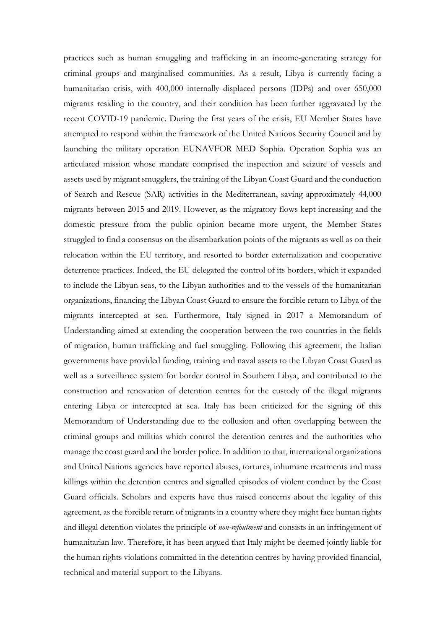practices such as human smuggling and trafficking in an income-generating strategy for criminal groups and marginalised communities. As a result, Libya is currently facing a humanitarian crisis, with 400,000 internally displaced persons (IDPs) and over 650,000 migrants residing in the country, and their condition has been further aggravated by the recent COVID-19 pandemic. During the first years of the crisis, EU Member States have attempted to respond within the framework of the United Nations Security Council and by launching the military operation EUNAVFOR MED Sophia. Operation Sophia was an articulated mission whose mandate comprised the inspection and seizure of vessels and assets used by migrant smugglers, the training of the Libyan Coast Guard and the conduction of Search and Rescue (SAR) activities in the Mediterranean, saving approximately 44,000 migrants between 2015 and 2019. However, as the migratory flows kept increasing and the domestic pressure from the public opinion became more urgent, the Member States struggled to find a consensus on the disembarkation points of the migrants as well as on their relocation within the EU territory, and resorted to border externalization and cooperative deterrence practices. Indeed, the EU delegated the control of its borders, which it expanded to include the Libyan seas, to the Libyan authorities and to the vessels of the humanitarian organizations, financing the Libyan Coast Guard to ensure the forcible return to Libya of the migrants intercepted at sea. Furthermore, Italy signed in 2017 a Memorandum of Understanding aimed at extending the cooperation between the two countries in the fields of migration, human trafficking and fuel smuggling. Following this agreement, the Italian governments have provided funding, training and naval assets to the Libyan Coast Guard as well as a surveillance system for border control in Southern Libya, and contributed to the construction and renovation of detention centres for the custody of the illegal migrants entering Libya or intercepted at sea. Italy has been criticized for the signing of this Memorandum of Understanding due to the collusion and often overlapping between the criminal groups and militias which control the detention centres and the authorities who manage the coast guard and the border police. In addition to that, international organizations and United Nations agencies have reported abuses, tortures, inhumane treatments and mass killings within the detention centres and signalled episodes of violent conduct by the Coast Guard officials. Scholars and experts have thus raised concerns about the legality of this agreement, as the forcible return of migrants in a country where they might face human rights and illegal detention violates the principle of *non-refoulment* and consists in an infringement of humanitarian law. Therefore, it has been argued that Italy might be deemed jointly liable for the human rights violations committed in the detention centres by having provided financial, technical and material support to the Libyans.